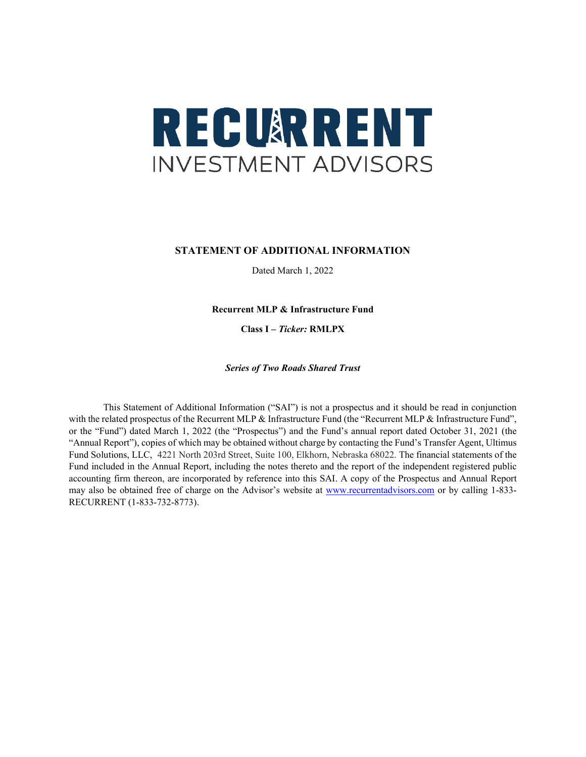

# **STATEMENT OF ADDITIONAL INFORMATION**

Dated March 1, 2022

**Recurrent MLP & Infrastructure Fund**

**Class I –** *Ticker:* **RMLPX**

*Series of Two Roads Shared Trust*

This Statement of Additional Information ("SAI") is not a prospectus and it should be read in conjunction with the related prospectus of the Recurrent MLP & Infrastructure Fund (the "Recurrent MLP & Infrastructure Fund", or the "Fund") dated March 1, 2022 (the "Prospectus") and the Fund's annual report dated October 31, 2021 (the "Annual Report"), copies of which may be obtained without charge by contacting the Fund's Transfer Agent, Ultimus Fund Solutions, LLC, 4221 North 203rd Street, Suite 100, Elkhorn, Nebraska 68022. The financial statements of the Fund included in the Annual Report, including the notes thereto and the report of the independent registered public accounting firm thereon, are incorporated by reference into this SAI. A copy of the Prospectus and Annual Report may also be obtained free of charge on the Advisor's website at [www.recurrentadvisors.com](http://www.recurrentadvisors.com/) or by calling 1-833- RECURRENT (1-833-732-8773).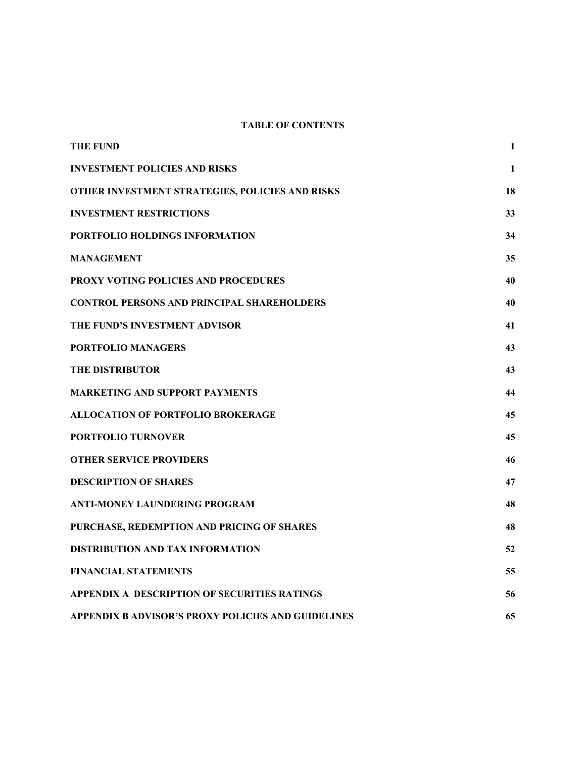# **TABLE OF CONTENTS**

| THE FUND                                           | 1  |
|----------------------------------------------------|----|
| <b>INVESTMENT POLICIES AND RISKS</b>               | 1  |
| OTHER INVESTMENT STRATEGIES, POLICIES AND RISKS    | 18 |
| <b>INVESTMENT RESTRICTIONS</b>                     | 33 |
| PORTFOLIO HOLDINGS INFORMATION                     | 34 |
| MANAGEMENT                                         | 35 |
| <b>PROXY VOTING POLICIES AND PROCEDURES</b>        | 40 |
| <b>CONTROL PERSONS AND PRINCIPAL SHAREHOLDERS</b>  | 40 |
| THE FUND'S INVESTMENT ADVISOR                      | 41 |
| <b>PORTFOLIO MANAGERS</b>                          | 43 |
| <b>THE DISTRIBUTOR</b>                             | 43 |
| MARKETING AND SUPPORT PAYMENTS                     | 44 |
| <b>ALLOCATION OF PORTFOLIO BROKERAGE</b>           | 45 |
| <b>PORTFOLIO TURNOVER</b>                          | 45 |
| <b>OTHER SERVICE PROVIDERS</b>                     | 46 |
| <b>DESCRIPTION OF SHARES</b>                       | 47 |
| <b>ANTI-MONEY LAUNDERING PROGRAM</b>               | 48 |
| PURCHASE, REDEMPTION AND PRICING OF SHARES         | 48 |
| DISTRIBUTION AND TAX INFORMATION                   | 52 |
| <b>FINANCIAL STATEMENTS</b>                        | 55 |
| APPENDIX A DESCRIPTION OF SECURITIES RATINGS       | 56 |
| APPENDIX B ADVISOR'S PROXY POLICIES AND GUIDELINES | 65 |
|                                                    |    |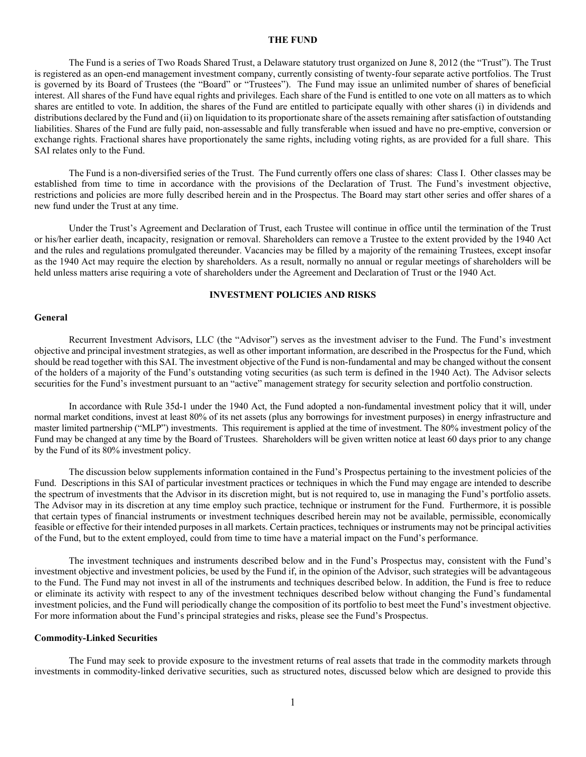#### **THE FUND**

The Fund is a series of Two Roads Shared Trust, a Delaware statutory trust organized on June 8, 2012 (the "Trust"). The Trust is registered as an open-end management investment company, currently consisting of twenty-four separate active portfolios. The Trust is governed by its Board of Trustees (the "Board" or "Trustees"). The Fund may issue an unlimited number of shares of beneficial interest. All shares of the Fund have equal rights and privileges. Each share of the Fund is entitled to one vote on all matters as to which shares are entitled to vote. In addition, the shares of the Fund are entitled to participate equally with other shares (i) in dividends and distributions declared by the Fund and (ii) on liquidation to its proportionate share of the assets remaining after satisfaction of outstanding liabilities. Shares of the Fund are fully paid, non-assessable and fully transferable when issued and have no pre-emptive, conversion or exchange rights. Fractional shares have proportionately the same rights, including voting rights, as are provided for a full share. This SAI relates only to the Fund.

The Fund is a non-diversified series of the Trust. The Fund currently offers one class of shares: Class I. Other classes may be established from time to time in accordance with the provisions of the Declaration of Trust. The Fund's investment objective, restrictions and policies are more fully described herein and in the Prospectus. The Board may start other series and offer shares of a new fund under the Trust at any time.

Under the Trust's Agreement and Declaration of Trust, each Trustee will continue in office until the termination of the Trust or his/her earlier death, incapacity, resignation or removal. Shareholders can remove a Trustee to the extent provided by the 1940 Act and the rules and regulations promulgated thereunder. Vacancies may be filled by a majority of the remaining Trustees, except insofar as the 1940 Act may require the election by shareholders. As a result, normally no annual or regular meetings of shareholders will be held unless matters arise requiring a vote of shareholders under the Agreement and Declaration of Trust or the 1940 Act.

# **INVESTMENT POLICIES AND RISKS**

#### **General**

Recurrent Investment Advisors, LLC (the "Advisor") serves as the investment adviser to the Fund. The Fund's investment objective and principal investment strategies, as well as other important information, are described in the Prospectus for the Fund, which should be read together with this SAI. The investment objective of the Fund is non-fundamental and may be changed without the consent of the holders of a majority of the Fund's outstanding voting securities (as such term is defined in the 1940 Act). The Advisor selects securities for the Fund's investment pursuant to an "active" management strategy for security selection and portfolio construction.

In accordance with Rule 35d-1 under the 1940 Act, the Fund adopted a non-fundamental investment policy that it will, under normal market conditions, invest at least 80% of its net assets (plus any borrowings for investment purposes) in energy infrastructure and master limited partnership ("MLP") investments. This requirement is applied at the time of investment. The 80% investment policy of the Fund may be changed at any time by the Board of Trustees. Shareholders will be given written notice at least 60 days prior to any change by the Fund of its 80% investment policy.

The discussion below supplements information contained in the Fund's Prospectus pertaining to the investment policies of the Fund. Descriptions in this SAI of particular investment practices or techniques in which the Fund may engage are intended to describe the spectrum of investments that the Advisor in its discretion might, but is not required to, use in managing the Fund's portfolio assets. The Advisor may in its discretion at any time employ such practice, technique or instrument for the Fund. Furthermore, it is possible that certain types of financial instruments or investment techniques described herein may not be available, permissible, economically feasible or effective for their intended purposes in all markets. Certain practices, techniques or instruments may not be principal activities of the Fund, but to the extent employed, could from time to time have a material impact on the Fund's performance.

The investment techniques and instruments described below and in the Fund's Prospectus may, consistent with the Fund's investment objective and investment policies, be used by the Fund if, in the opinion of the Advisor, such strategies will be advantageous to the Fund. The Fund may not invest in all of the instruments and techniques described below. In addition, the Fund is free to reduce or eliminate its activity with respect to any of the investment techniques described below without changing the Fund's fundamental investment policies, and the Fund will periodically change the composition of its portfolio to best meet the Fund's investment objective. For more information about the Fund's principal strategies and risks, please see the Fund's Prospectus.

#### **Commodity-Linked Securities**

The Fund may seek to provide exposure to the investment returns of real assets that trade in the commodity markets through investments in commodity-linked derivative securities, such as structured notes, discussed below which are designed to provide this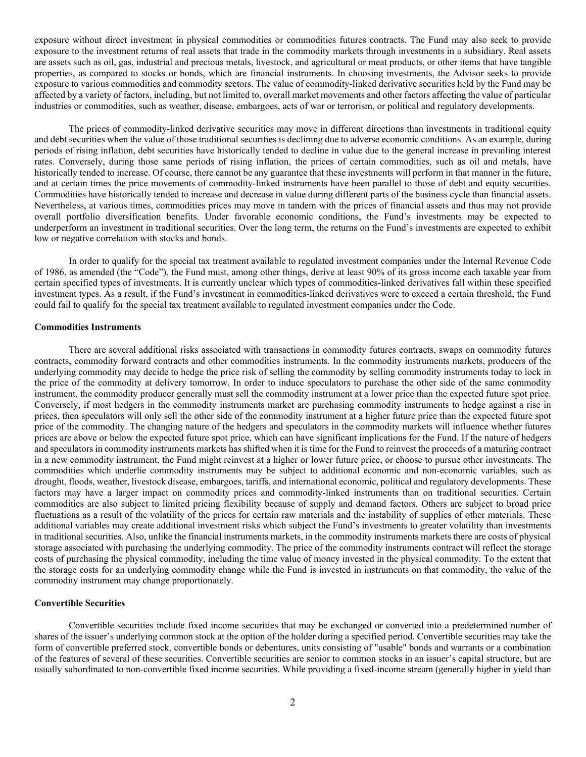exposure without direct investment in physical commodities or commodities futures contracts. The Fund may also seek to provide exposure to the investment returns of real assets that trade in the commodity markets through investments in a subsidiary. Real assets are assets such as oil, gas, industrial and precious metals, livestock, and agricultural or meat products, or other items that have tangible properties, as compared to stocks or bonds, which are financial instruments. In choosing investments, the Advisor seeks to provide exposure to various commodities and commodity sectors. The value of commodity-linked derivative securities held by the Fund may be affected by a variety of factors, including, but not limited to, overall market movements and other factors affecting the value of particular industries or commodities, such as weather, disease, embargoes, acts of war or terrorism, or political and regulatory developments.

The prices of commodity-linked derivative securities may move in different directions than investments in traditional equity and debt securities when the value of those traditional securities is declining due to adverse economic conditions. As an example, during periods of rising inflation, debt securities have historically tended to decline in value due to the general increase in prevailing interest rates. Conversely, during those same periods of rising inflation, the prices of certain commodities, such as oil and metals, have historically tended to increase. Of course, there cannot be any guarantee that these investments will perform in that manner in the future, and at certain times the price movements of commodity-linked instruments have been parallel to those of debt and equity securities. Commodities have historically tended to increase and decrease in value during different parts of the business cycle than financial assets. Nevertheless, at various times, commodities prices may move in tandem with the prices of financial assets and thus may not provide overall portfolio diversification benefits. Under favorable economic conditions, the Fund's investments may be expected to underperform an investment in traditional securities. Over the long term, the returns on the Fund's investments are expected to exhibit low or negative correlation with stocks and bonds.

In order to qualify for the special tax treatment available to regulated investment companies under the Internal Revenue Code of 1986, as amended (the "Code"), the Fund must, among other things, derive at least 90% of its gross income each taxable year from certain specified types of investments. It is currently unclear which types of commodities-linked derivatives fall within these specified investment types. As a result, if the Fund's investment in commodities-linked derivatives were to exceed a certain threshold, the Fund could fail to qualify for the special tax treatment available to regulated investment companies under the Code.

#### **Commodities Instruments**

There are several additional risks associated with transactions in commodity futures contracts, swaps on commodity futures contracts, commodity forward contracts and other commodities instruments. In the commodity instruments markets, producers of the underlying commodity may decide to hedge the price risk of selling the commodity by selling commodity instruments today to lock in the price of the commodity at delivery tomorrow. In order to induce speculators to purchase the other side of the same commodity instrument, the commodity producer generally must sell the commodity instrument at a lower price than the expected future spot price. Conversely, if most hedgers in the commodity instruments market are purchasing commodity instruments to hedge against a rise in prices, then speculators will only sell the other side of the commodity instrument at a higher future price than the expected future spot price of the commodity. The changing nature of the hedgers and speculators in the commodity markets will influence whether futures prices are above or below the expected future spot price, which can have significant implications for the Fund. If the nature of hedgers and speculators in commodity instruments markets has shifted when it is time for the Fund to reinvest the proceeds of a maturing contract in a new commodity instrument, the Fund might reinvest at a higher or lower future price, or choose to pursue other investments. The commodities which underlie commodity instruments may be subject to additional economic and non-economic variables, such as drought, floods, weather, livestock disease, embargoes, tariffs, and international economic, political and regulatory developments. These factors may have a larger impact on commodity prices and commodity-linked instruments than on traditional securities. Certain commodities are also subject to limited pricing flexibility because of supply and demand factors. Others are subject to broad price fluctuations as a result of the volatility of the prices for certain raw materials and the instability of supplies of other materials. These additional variables may create additional investment risks which subject the Fund's investments to greater volatility than investments in traditional securities. Also, unlike the financial instruments markets, in the commodity instruments markets there are costs of physical storage associated with purchasing the underlying commodity. The price of the commodity instruments contract will reflect the storage costs of purchasing the physical commodity, including the time value of money invested in the physical commodity. To the extent that the storage costs for an underlying commodity change while the Fund is invested in instruments on that commodity, the value of the commodity instrument may change proportionately.

#### **Convertible Securities**

Convertible securities include fixed income securities that may be exchanged or converted into a predetermined number of shares of the issuer's underlying common stock at the option of the holder during a specified period. Convertible securities may take the form of convertible preferred stock, convertible bonds or debentures, units consisting of "usable" bonds and warrants or a combination of the features of several of these securities. Convertible securities are senior to common stocks in an issuer's capital structure, but are usually subordinated to non-convertible fixed income securities. While providing a fixed-income stream (generally higher in yield than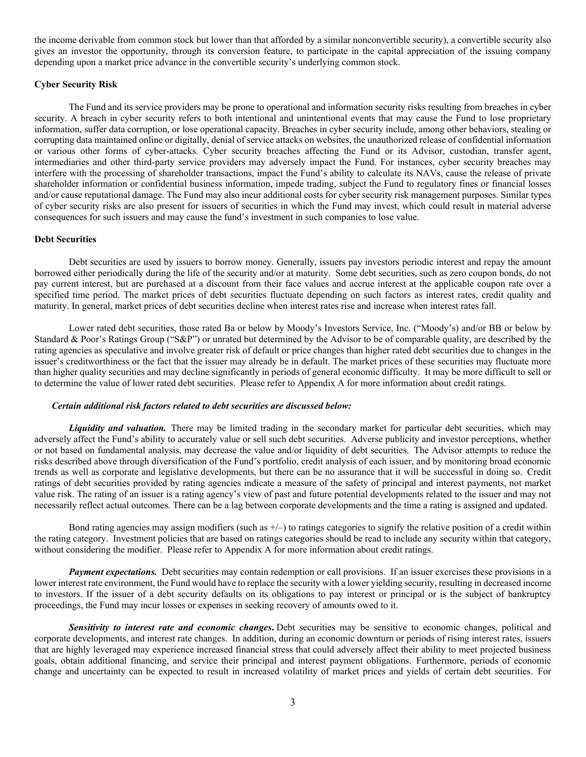the income derivable from common stock but lower than that afforded by a similar nonconvertible security), a convertible security also gives an investor the opportunity, through its conversion feature, to participate in the capital appreciation of the issuing company depending upon a market price advance in the convertible security's underlying common stock.

# **Cyber Security Risk**

The Fund and its service providers may be prone to operational and information security risks resulting from breaches in cyber security. A breach in cyber security refers to both intentional and unintentional events that may cause the Fund to lose proprietary information, suffer data corruption, or lose operational capacity. Breaches in cyber security include, among other behaviors, stealing or corrupting data maintained online or digitally, denial of service attacks on websites, the unauthorized release of confidential information or various other forms of cyber-attacks. Cyber security breaches affecting the Fund or its Advisor, custodian, transfer agent, intermediaries and other third-party service providers may adversely impact the Fund. For instances, cyber security breaches may interfere with the processing of shareholder transactions, impact the Fund's ability to calculate its NAVs, cause the release of private shareholder information or confidential business information, impede trading, subject the Fund to regulatory fines or financial losses and/or cause reputational damage. The Fund may also incur additional costs for cyber security risk management purposes. Similar types of cyber security risks are also present for issuers of securities in which the Fund may invest, which could result in material adverse consequences for such issuers and may cause the fund's investment in such companies to lose value.

#### **Debt Securities**

Debt securities are used by issuers to borrow money. Generally, issuers pay investors periodic interest and repay the amount borrowed either periodically during the life of the security and/or at maturity. Some debt securities, such as zero coupon bonds, do not pay current interest, but are purchased at a discount from their face values and accrue interest at the applicable coupon rate over a specified time period. The market prices of debt securities fluctuate depending on such factors as interest rates, credit quality and maturity. In general, market prices of debt securities decline when interest rates rise and increase when interest rates fall.

Lower rated debt securities, those rated Ba or below by Moody's Investors Service, Inc. ("Moody's) and/or BB or below by Standard & Poor's Ratings Group ("S&P") or unrated but determined by the Advisor to be of comparable quality, are described by the rating agencies as speculative and involve greater risk of default or price changes than higher rated debt securities due to changes in the issuer's creditworthiness or the fact that the issuer may already be in default. The market prices of these securities may fluctuate more than higher quality securities and may decline significantly in periods of general economic difficulty. It may be more difficult to sell or to determine the value of lower rated debt securities. Please refer to Appendix A for more information about credit ratings.

### *Certain additional risk factors related to debt securities are discussed below:*

Liquidity and valuation. There may be limited trading in the secondary market for particular debt securities, which may adversely affect the Fund's ability to accurately value or sell such debt securities. Adverse publicity and investor perceptions, whether or not based on fundamental analysis, may decrease the value and/or liquidity of debt securities. The Advisor attempts to reduce the risks described above through diversification of the Fund's portfolio, credit analysis of each issuer, and by monitoring broad economic trends as well as corporate and legislative developments, but there can be no assurance that it will be successful in doing so. Credit ratings of debt securities provided by rating agencies indicate a measure of the safety of principal and interest payments, not market value risk. The rating of an issuer is a rating agency's view of past and future potential developments related to the issuer and may not necessarily reflect actual outcomes. There can be a lag between corporate developments and the time a rating is assigned and updated.

Bond rating agencies may assign modifiers (such as  $+/-$ ) to ratings categories to signify the relative position of a credit within the rating category. Investment policies that are based on ratings categories should be read to include any security within that category, without considering the modifier. Please refer to Appendix A for more information about credit ratings.

*Payment expectations.* Debt securities may contain redemption or call provisions. If an issuer exercises these provisions in a lower interest rate environment, the Fund would have to replace the security with a lower yielding security, resulting in decreased income to investors. If the issuer of a debt security defaults on its obligations to pay interest or principal or is the subject of bankruptcy proceedings, the Fund may incur losses or expenses in seeking recovery of amounts owed to it.

*Sensitivity to interest rate and economic changes***.** Debt securities may be sensitive to economic changes, political and corporate developments, and interest rate changes. In addition, during an economic downturn or periods of rising interest rates, issuers that are highly leveraged may experience increased financial stress that could adversely affect their ability to meet projected business goals, obtain additional financing, and service their principal and interest payment obligations. Furthermore, periods of economic change and uncertainty can be expected to result in increased volatility of market prices and yields of certain debt securities. For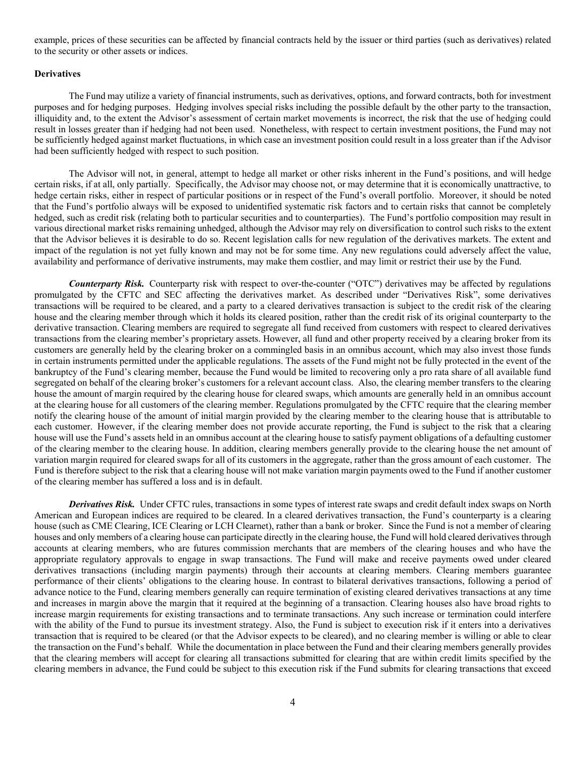example, prices of these securities can be affected by financial contracts held by the issuer or third parties (such as derivatives) related to the security or other assets or indices.

# **Derivatives**

The Fund may utilize a variety of financial instruments, such as derivatives, options, and forward contracts, both for investment purposes and for hedging purposes. Hedging involves special risks including the possible default by the other party to the transaction, illiquidity and, to the extent the Advisor's assessment of certain market movements is incorrect, the risk that the use of hedging could result in losses greater than if hedging had not been used. Nonetheless, with respect to certain investment positions, the Fund may not be sufficiently hedged against market fluctuations, in which case an investment position could result in a loss greater than if the Advisor had been sufficiently hedged with respect to such position.

The Advisor will not, in general, attempt to hedge all market or other risks inherent in the Fund's positions, and will hedge certain risks, if at all, only partially. Specifically, the Advisor may choose not, or may determine that it is economically unattractive, to hedge certain risks, either in respect of particular positions or in respect of the Fund's overall portfolio. Moreover, it should be noted that the Fund's portfolio always will be exposed to unidentified systematic risk factors and to certain risks that cannot be completely hedged, such as credit risk (relating both to particular securities and to counterparties). The Fund's portfolio composition may result in various directional market risks remaining unhedged, although the Advisor may rely on diversification to control such risks to the extent that the Advisor believes it is desirable to do so. Recent legislation calls for new regulation of the derivatives markets. The extent and impact of the regulation is not yet fully known and may not be for some time. Any new regulations could adversely affect the value, availability and performance of derivative instruments, may make them costlier, and may limit or restrict their use by the Fund.

*Counterparty Risk.* Counterparty risk with respect to over-the-counter ("OTC") derivatives may be affected by regulations promulgated by the CFTC and SEC affecting the derivatives market. As described under "Derivatives Risk", some derivatives transactions will be required to be cleared, and a party to a cleared derivatives transaction is subject to the credit risk of the clearing house and the clearing member through which it holds its cleared position, rather than the credit risk of its original counterparty to the derivative transaction. Clearing members are required to segregate all fund received from customers with respect to cleared derivatives transactions from the clearing member's proprietary assets. However, all fund and other property received by a clearing broker from its customers are generally held by the clearing broker on a commingled basis in an omnibus account, which may also invest those funds in certain instruments permitted under the applicable regulations. The assets of the Fund might not be fully protected in the event of the bankruptcy of the Fund's clearing member, because the Fund would be limited to recovering only a pro rata share of all available fund segregated on behalf of the clearing broker's customers for a relevant account class. Also, the clearing member transfers to the clearing house the amount of margin required by the clearing house for cleared swaps, which amounts are generally held in an omnibus account at the clearing house for all customers of the clearing member. Regulations promulgated by the CFTC require that the clearing member notify the clearing house of the amount of initial margin provided by the clearing member to the clearing house that is attributable to each customer. However, if the clearing member does not provide accurate reporting, the Fund is subject to the risk that a clearing house will use the Fund's assets held in an omnibus account at the clearing house to satisfy payment obligations of a defaulting customer of the clearing member to the clearing house. In addition, clearing members generally provide to the clearing house the net amount of variation margin required for cleared swaps for all of its customers in the aggregate, rather than the gross amount of each customer. The Fund is therefore subject to the risk that a clearing house will not make variation margin payments owed to the Fund if another customer of the clearing member has suffered a loss and is in default.

*Derivatives Risk.*Under CFTC rules, transactions in some types of interest rate swaps and credit default index swaps on North American and European indices are required to be cleared. In a cleared derivatives transaction, the Fund's counterparty is a clearing house (such as CME Clearing, ICE Clearing or LCH Clearnet), rather than a bank or broker. Since the Fund is not a member of clearing houses and only members of a clearing house can participate directly in the clearing house, the Fund will hold cleared derivatives through accounts at clearing members, who are futures commission merchants that are members of the clearing houses and who have the appropriate regulatory approvals to engage in swap transactions. The Fund will make and receive payments owed under cleared derivatives transactions (including margin payments) through their accounts at clearing members. Clearing members guarantee performance of their clients' obligations to the clearing house. In contrast to bilateral derivatives transactions, following a period of advance notice to the Fund, clearing members generally can require termination of existing cleared derivatives transactions at any time and increases in margin above the margin that it required at the beginning of a transaction. Clearing houses also have broad rights to increase margin requirements for existing transactions and to terminate transactions. Any such increase or termination could interfere with the ability of the Fund to pursue its investment strategy. Also, the Fund is subject to execution risk if it enters into a derivatives transaction that is required to be cleared (or that the Advisor expects to be cleared), and no clearing member is willing or able to clear the transaction on the Fund's behalf. While the documentation in place between the Fund and their clearing members generally provides that the clearing members will accept for clearing all transactions submitted for clearing that are within credit limits specified by the clearing members in advance, the Fund could be subject to this execution risk if the Fund submits for clearing transactions that exceed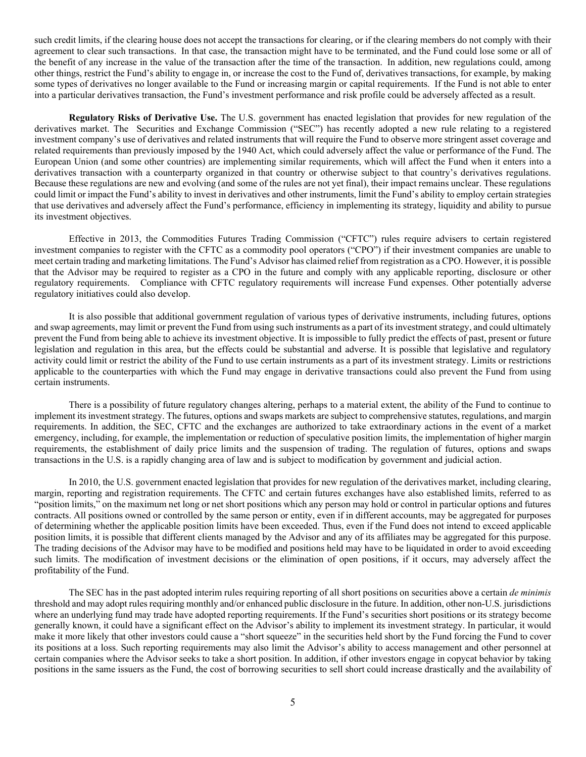such credit limits, if the clearing house does not accept the transactions for clearing, or if the clearing members do not comply with their agreement to clear such transactions. In that case, the transaction might have to be terminated, and the Fund could lose some or all of the benefit of any increase in the value of the transaction after the time of the transaction. In addition, new regulations could, among other things, restrict the Fund's ability to engage in, or increase the cost to the Fund of, derivatives transactions, for example, by making some types of derivatives no longer available to the Fund or increasing margin or capital requirements. If the Fund is not able to enter into a particular derivatives transaction, the Fund's investment performance and risk profile could be adversely affected as a result.

**Regulatory Risks of Derivative Use.** The U.S. government has enacted legislation that provides for new regulation of the derivatives market. The Securities and Exchange Commission ("SEC") has recently adopted a new rule relating to a registered investment company's use of derivatives and related instruments that will require the Fund to observe more stringent asset coverage and related requirements than previously imposed by the 1940 Act, which could adversely affect the value or performance of the Fund. The European Union (and some other countries) are implementing similar requirements, which will affect the Fund when it enters into a derivatives transaction with a counterparty organized in that country or otherwise subject to that country's derivatives regulations. Because these regulations are new and evolving (and some of the rules are not yet final), their impact remains unclear. These regulations could limit or impact the Fund's ability to invest in derivatives and other instruments, limit the Fund's ability to employ certain strategies that use derivatives and adversely affect the Fund's performance, efficiency in implementing its strategy, liquidity and ability to pursue its investment objectives.

Effective in 2013, the Commodities Futures Trading Commission ("CFTC") rules require advisers to certain registered investment companies to register with the CFTC as a commodity pool operators ("CPO") if their investment companies are unable to meet certain trading and marketing limitations. The Fund's Advisor has claimed relief from registration as a CPO. However, it is possible that the Advisor may be required to register as a CPO in the future and comply with any applicable reporting, disclosure or other regulatory requirements. Compliance with CFTC regulatory requirements will increase Fund expenses. Other potentially adverse regulatory initiatives could also develop.

It is also possible that additional government regulation of various types of derivative instruments, including futures, options and swap agreements, may limit or prevent the Fund from using such instruments as a part of its investment strategy, and could ultimately prevent the Fund from being able to achieve its investment objective. It is impossible to fully predict the effects of past, present or future legislation and regulation in this area, but the effects could be substantial and adverse. It is possible that legislative and regulatory activity could limit or restrict the ability of the Fund to use certain instruments as a part of its investment strategy. Limits or restrictions applicable to the counterparties with which the Fund may engage in derivative transactions could also prevent the Fund from using certain instruments.

There is a possibility of future regulatory changes altering, perhaps to a material extent, the ability of the Fund to continue to implement its investment strategy. The futures, options and swaps markets are subject to comprehensive statutes, regulations, and margin requirements. In addition, the SEC, CFTC and the exchanges are authorized to take extraordinary actions in the event of a market emergency, including, for example, the implementation or reduction of speculative position limits, the implementation of higher margin requirements, the establishment of daily price limits and the suspension of trading. The regulation of futures, options and swaps transactions in the U.S. is a rapidly changing area of law and is subject to modification by government and judicial action.

In 2010, the U.S. government enacted legislation that provides for new regulation of the derivatives market, including clearing, margin, reporting and registration requirements. The CFTC and certain futures exchanges have also established limits, referred to as "position limits," on the maximum net long or net short positions which any person may hold or control in particular options and futures contracts. All positions owned or controlled by the same person or entity, even if in different accounts, may be aggregated for purposes of determining whether the applicable position limits have been exceeded. Thus, even if the Fund does not intend to exceed applicable position limits, it is possible that different clients managed by the Advisor and any of its affiliates may be aggregated for this purpose. The trading decisions of the Advisor may have to be modified and positions held may have to be liquidated in order to avoid exceeding such limits. The modification of investment decisions or the elimination of open positions, if it occurs, may adversely affect the profitability of the Fund.

The SEC has in the past adopted interim rules requiring reporting of all short positions on securities above a certain *de minimis* threshold and may adopt rules requiring monthly and/or enhanced public disclosure in the future. In addition, other non-U.S. jurisdictions where an underlying fund may trade have adopted reporting requirements. If the Fund's securities short positions or its strategy become generally known, it could have a significant effect on the Advisor's ability to implement its investment strategy. In particular, it would make it more likely that other investors could cause a "short squeeze" in the securities held short by the Fund forcing the Fund to cover its positions at a loss. Such reporting requirements may also limit the Advisor's ability to access management and other personnel at certain companies where the Advisor seeks to take a short position. In addition, if other investors engage in copycat behavior by taking positions in the same issuers as the Fund, the cost of borrowing securities to sell short could increase drastically and the availability of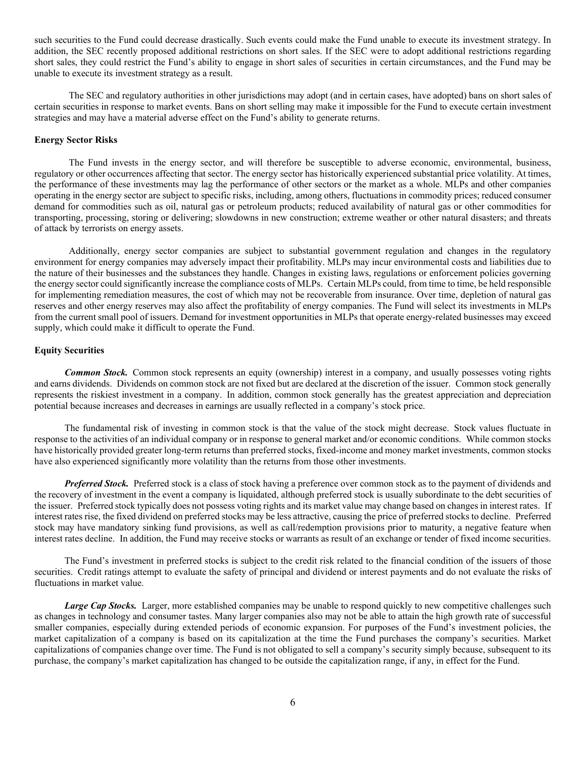such securities to the Fund could decrease drastically. Such events could make the Fund unable to execute its investment strategy. In addition, the SEC recently proposed additional restrictions on short sales. If the SEC were to adopt additional restrictions regarding short sales, they could restrict the Fund's ability to engage in short sales of securities in certain circumstances, and the Fund may be unable to execute its investment strategy as a result.

The SEC and regulatory authorities in other jurisdictions may adopt (and in certain cases, have adopted) bans on short sales of certain securities in response to market events. Bans on short selling may make it impossible for the Fund to execute certain investment strategies and may have a material adverse effect on the Fund's ability to generate returns.

#### **Energy Sector Risks**

The Fund invests in the energy sector, and will therefore be susceptible to adverse economic, environmental, business, regulatory or other occurrences affecting that sector. The energy sector has historically experienced substantial price volatility. At times, the performance of these investments may lag the performance of other sectors or the market as a whole. MLPs and other companies operating in the energy sector are subject to specific risks, including, among others, fluctuations in commodity prices; reduced consumer demand for commodities such as oil, natural gas or petroleum products; reduced availability of natural gas or other commodities for transporting, processing, storing or delivering; slowdowns in new construction; extreme weather or other natural disasters; and threats of attack by terrorists on energy assets.

Additionally, energy sector companies are subject to substantial government regulation and changes in the regulatory environment for energy companies may adversely impact their profitability. MLPs may incur environmental costs and liabilities due to the nature of their businesses and the substances they handle. Changes in existing laws, regulations or enforcement policies governing the energy sector could significantly increase the compliance costs of MLPs. Certain MLPs could, from time to time, be held responsible for implementing remediation measures, the cost of which may not be recoverable from insurance. Over time, depletion of natural gas reserves and other energy reserves may also affect the profitability of energy companies. The Fund will select its investments in MLPs from the current small pool of issuers. Demand for investment opportunities in MLPs that operate energy-related businesses may exceed supply, which could make it difficult to operate the Fund.

#### **Equity Securities**

*Common Stock.* Common stock represents an equity (ownership) interest in a company, and usually possesses voting rights and earns dividends. Dividends on common stock are not fixed but are declared at the discretion of the issuer. Common stock generally represents the riskiest investment in a company. In addition, common stock generally has the greatest appreciation and depreciation potential because increases and decreases in earnings are usually reflected in a company's stock price.

The fundamental risk of investing in common stock is that the value of the stock might decrease. Stock values fluctuate in response to the activities of an individual company or in response to general market and/or economic conditions. While common stocks have historically provided greater long-term returns than preferred stocks, fixed-income and money market investments, common stocks have also experienced significantly more volatility than the returns from those other investments.

*Preferred Stock.*Preferred stock is a class of stock having a preference over common stock as to the payment of dividends and the recovery of investment in the event a company is liquidated, although preferred stock is usually subordinate to the debt securities of the issuer. Preferred stock typically does not possess voting rights and its market value may change based on changes in interest rates. If interest rates rise, the fixed dividend on preferred stocks may be less attractive, causing the price of preferred stocks to decline. Preferred stock may have mandatory sinking fund provisions, as well as call/redemption provisions prior to maturity, a negative feature when interest rates decline. In addition, the Fund may receive stocks or warrants as result of an exchange or tender of fixed income securities.

The Fund's investment in preferred stocks is subject to the credit risk related to the financial condition of the issuers of those securities. Credit ratings attempt to evaluate the safety of principal and dividend or interest payments and do not evaluate the risks of fluctuations in market value.

*Large Cap Stocks.* Larger, more established companies may be unable to respond quickly to new competitive challenges such as changes in technology and consumer tastes. Many larger companies also may not be able to attain the high growth rate of successful smaller companies, especially during extended periods of economic expansion. For purposes of the Fund's investment policies, the market capitalization of a company is based on its capitalization at the time the Fund purchases the company's securities. Market capitalizations of companies change over time. The Fund is not obligated to sell a company's security simply because, subsequent to its purchase, the company's market capitalization has changed to be outside the capitalization range, if any, in effect for the Fund.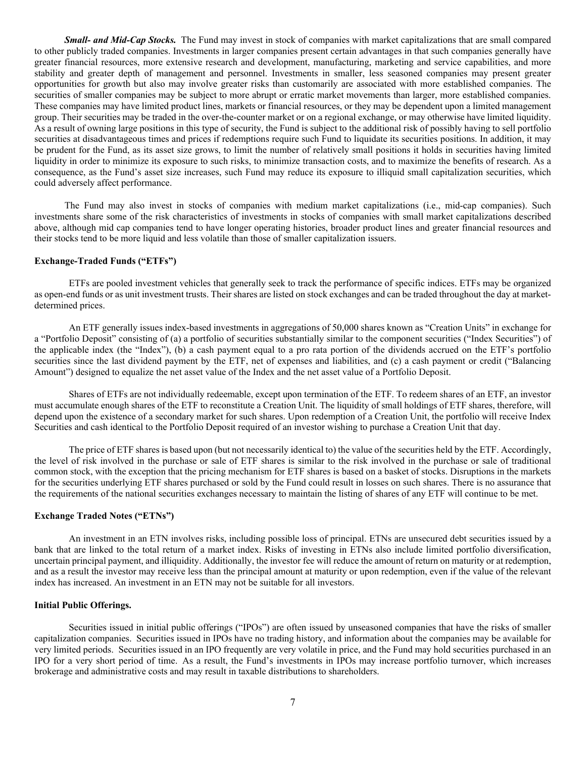*Small- and Mid-Cap Stocks.*The Fund may invest in stock of companies with market capitalizations that are small compared to other publicly traded companies. Investments in larger companies present certain advantages in that such companies generally have greater financial resources, more extensive research and development, manufacturing, marketing and service capabilities, and more stability and greater depth of management and personnel. Investments in smaller, less seasoned companies may present greater opportunities for growth but also may involve greater risks than customarily are associated with more established companies. The securities of smaller companies may be subject to more abrupt or erratic market movements than larger, more established companies. These companies may have limited product lines, markets or financial resources, or they may be dependent upon a limited management group. Their securities may be traded in the over-the-counter market or on a regional exchange, or may otherwise have limited liquidity. As a result of owning large positions in this type of security, the Fund is subject to the additional risk of possibly having to sell portfolio securities at disadvantageous times and prices if redemptions require such Fund to liquidate its securities positions. In addition, it may be prudent for the Fund, as its asset size grows, to limit the number of relatively small positions it holds in securities having limited liquidity in order to minimize its exposure to such risks, to minimize transaction costs, and to maximize the benefits of research. As a consequence, as the Fund's asset size increases, such Fund may reduce its exposure to illiquid small capitalization securities, which could adversely affect performance.

The Fund may also invest in stocks of companies with medium market capitalizations (i.e., mid-cap companies). Such investments share some of the risk characteristics of investments in stocks of companies with small market capitalizations described above, although mid cap companies tend to have longer operating histories, broader product lines and greater financial resources and their stocks tend to be more liquid and less volatile than those of smaller capitalization issuers.

#### **Exchange-Traded Funds ("ETFs")**

ETFs are pooled investment vehicles that generally seek to track the performance of specific indices. ETFs may be organized as open-end funds or as unit investment trusts. Their shares are listed on stock exchanges and can be traded throughout the day at marketdetermined prices.

An ETF generally issues index-based investments in aggregations of 50,000 shares known as "Creation Units" in exchange for a "Portfolio Deposit" consisting of (a) a portfolio of securities substantially similar to the component securities ("Index Securities") of the applicable index (the "Index"), (b) a cash payment equal to a pro rata portion of the dividends accrued on the ETF's portfolio securities since the last dividend payment by the ETF, net of expenses and liabilities, and (c) a cash payment or credit ("Balancing Amount") designed to equalize the net asset value of the Index and the net asset value of a Portfolio Deposit.

Shares of ETFs are not individually redeemable, except upon termination of the ETF. To redeem shares of an ETF, an investor must accumulate enough shares of the ETF to reconstitute a Creation Unit. The liquidity of small holdings of ETF shares, therefore, will depend upon the existence of a secondary market for such shares. Upon redemption of a Creation Unit, the portfolio will receive Index Securities and cash identical to the Portfolio Deposit required of an investor wishing to purchase a Creation Unit that day.

The price of ETF shares is based upon (but not necessarily identical to) the value of the securities held by the ETF. Accordingly, the level of risk involved in the purchase or sale of ETF shares is similar to the risk involved in the purchase or sale of traditional common stock, with the exception that the pricing mechanism for ETF shares is based on a basket of stocks. Disruptions in the markets for the securities underlying ETF shares purchased or sold by the Fund could result in losses on such shares. There is no assurance that the requirements of the national securities exchanges necessary to maintain the listing of shares of any ETF will continue to be met.

### **Exchange Traded Notes ("ETNs")**

An investment in an ETN involves risks, including possible loss of principal. ETNs are unsecured debt securities issued by a bank that are linked to the total return of a market index. Risks of investing in ETNs also include limited portfolio diversification, uncertain principal payment, and illiquidity. Additionally, the investor fee will reduce the amount of return on maturity or at redemption, and as a result the investor may receive less than the principal amount at maturity or upon redemption, even if the value of the relevant index has increased. An investment in an ETN may not be suitable for all investors.

### **Initial Public Offerings.**

Securities issued in initial public offerings ("IPOs") are often issued by unseasoned companies that have the risks of smaller capitalization companies. Securities issued in IPOs have no trading history, and information about the companies may be available for very limited periods. Securities issued in an IPO frequently are very volatile in price, and the Fund may hold securities purchased in an IPO for a very short period of time. As a result, the Fund's investments in IPOs may increase portfolio turnover, which increases brokerage and administrative costs and may result in taxable distributions to shareholders.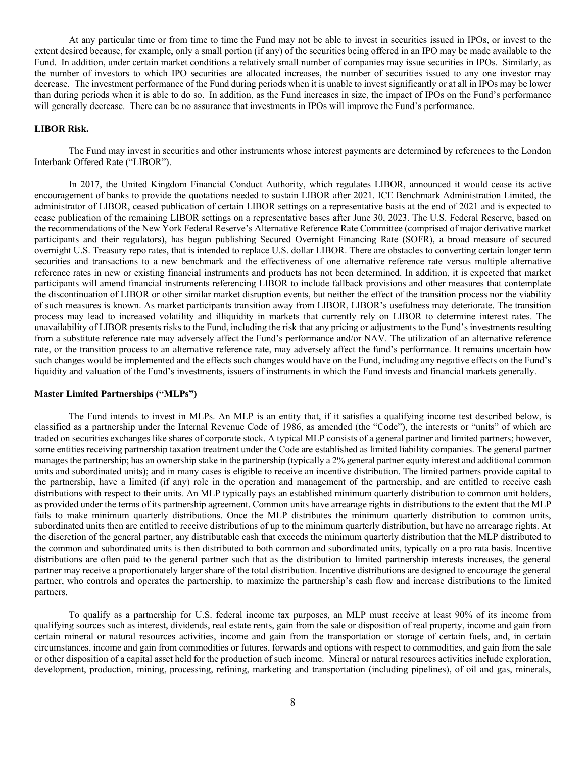At any particular time or from time to time the Fund may not be able to invest in securities issued in IPOs, or invest to the extent desired because, for example, only a small portion (if any) of the securities being offered in an IPO may be made available to the Fund. In addition, under certain market conditions a relatively small number of companies may issue securities in IPOs. Similarly, as the number of investors to which IPO securities are allocated increases, the number of securities issued to any one investor may decrease. The investment performance of the Fund during periods when it is unable to invest significantly or at all in IPOs may be lower than during periods when it is able to do so. In addition, as the Fund increases in size, the impact of IPOs on the Fund's performance will generally decrease. There can be no assurance that investments in IPOs will improve the Fund's performance.

#### **LIBOR Risk.**

The Fund may invest in securities and other instruments whose interest payments are determined by references to the London Interbank Offered Rate ("LIBOR").

In 2017, the United Kingdom Financial Conduct Authority, which regulates LIBOR, announced it would cease its active encouragement of banks to provide the quotations needed to sustain LIBOR after 2021. ICE Benchmark Administration Limited, the administrator of LIBOR, ceased publication of certain LIBOR settings on a representative basis at the end of 2021 and is expected to cease publication of the remaining LIBOR settings on a representative bases after June 30, 2023. The U.S. Federal Reserve, based on the recommendations of the New York Federal Reserve's Alternative Reference Rate Committee (comprised of major derivative market participants and their regulators), has begun publishing Secured Overnight Financing Rate (SOFR), a broad measure of secured overnight U.S. Treasury repo rates, that is intended to replace U.S. dollar LIBOR. There are obstacles to converting certain longer term securities and transactions to a new benchmark and the effectiveness of one alternative reference rate versus multiple alternative reference rates in new or existing financial instruments and products has not been determined. In addition, it is expected that market participants will amend financial instruments referencing LIBOR to include fallback provisions and other measures that contemplate the discontinuation of LIBOR or other similar market disruption events, but neither the effect of the transition process nor the viability of such measures is known. As market participants transition away from LIBOR, LIBOR's usefulness may deteriorate. The transition process may lead to increased volatility and illiquidity in markets that currently rely on LIBOR to determine interest rates. The unavailability of LIBOR presents risks to the Fund, including the risk that any pricing or adjustments to the Fund's investments resulting from a substitute reference rate may adversely affect the Fund's performance and/or NAV. The utilization of an alternative reference rate, or the transition process to an alternative reference rate, may adversely affect the fund's performance. It remains uncertain how such changes would be implemented and the effects such changes would have on the Fund, including any negative effects on the Fund's liquidity and valuation of the Fund's investments, issuers of instruments in which the Fund invests and financial markets generally.

### **Master Limited Partnerships ("MLPs")**

The Fund intends to invest in MLPs. An MLP is an entity that, if it satisfies a qualifying income test described below, is classified as a partnership under the Internal Revenue Code of 1986, as amended (the "Code"), the interests or "units" of which are traded on securities exchanges like shares of corporate stock. A typical MLP consists of a general partner and limited partners; however, some entities receiving partnership taxation treatment under the Code are established as limited liability companies. The general partner manages the partnership; has an ownership stake in the partnership (typically a 2% general partner equity interest and additional common units and subordinated units); and in many cases is eligible to receive an incentive distribution. The limited partners provide capital to the partnership, have a limited (if any) role in the operation and management of the partnership, and are entitled to receive cash distributions with respect to their units. An MLP typically pays an established minimum quarterly distribution to common unit holders, as provided under the terms of its partnership agreement. Common units have arrearage rights in distributions to the extent that the MLP fails to make minimum quarterly distributions. Once the MLP distributes the minimum quarterly distribution to common units, subordinated units then are entitled to receive distributions of up to the minimum quarterly distribution, but have no arrearage rights. At the discretion of the general partner, any distributable cash that exceeds the minimum quarterly distribution that the MLP distributed to the common and subordinated units is then distributed to both common and subordinated units, typically on a pro rata basis. Incentive distributions are often paid to the general partner such that as the distribution to limited partnership interests increases, the general partner may receive a proportionately larger share of the total distribution. Incentive distributions are designed to encourage the general partner, who controls and operates the partnership, to maximize the partnership's cash flow and increase distributions to the limited partners.

To qualify as a partnership for U.S. federal income tax purposes, an MLP must receive at least 90% of its income from qualifying sources such as interest, dividends, real estate rents, gain from the sale or disposition of real property, income and gain from certain mineral or natural resources activities, income and gain from the transportation or storage of certain fuels, and, in certain circumstances, income and gain from commodities or futures, forwards and options with respect to commodities, and gain from the sale or other disposition of a capital asset held for the production of such income. Mineral or natural resources activities include exploration, development, production, mining, processing, refining, marketing and transportation (including pipelines), of oil and gas, minerals,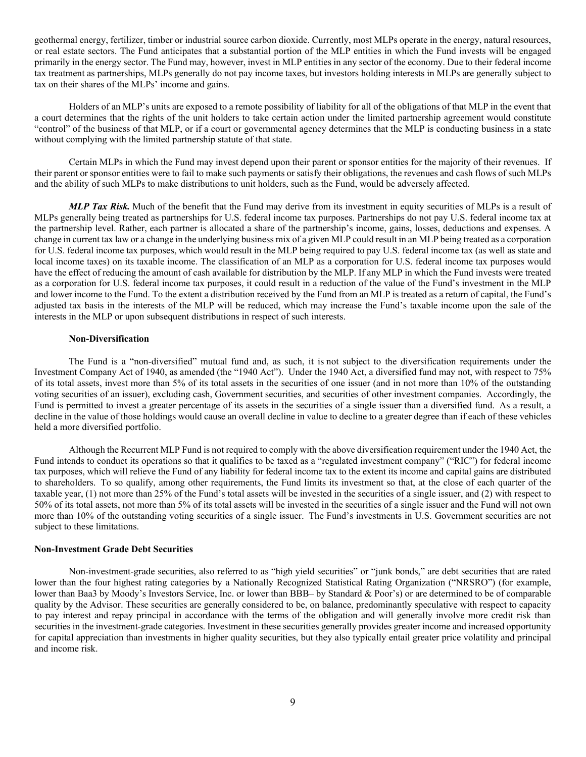geothermal energy, fertilizer, timber or industrial source carbon dioxide. Currently, most MLPs operate in the energy, natural resources, or real estate sectors. The Fund anticipates that a substantial portion of the MLP entities in which the Fund invests will be engaged primarily in the energy sector. The Fund may, however, invest in MLP entities in any sector of the economy. Due to their federal income tax treatment as partnerships, MLPs generally do not pay income taxes, but investors holding interests in MLPs are generally subject to tax on their shares of the MLPs' income and gains.

Holders of an MLP's units are exposed to a remote possibility of liability for all of the obligations of that MLP in the event that a court determines that the rights of the unit holders to take certain action under the limited partnership agreement would constitute "control" of the business of that MLP, or if a court or governmental agency determines that the MLP is conducting business in a state without complying with the limited partnership statute of that state.

Certain MLPs in which the Fund may invest depend upon their parent or sponsor entities for the majority of their revenues. If their parent or sponsor entities were to fail to make such payments or satisfy their obligations, the revenues and cash flows of such MLPs and the ability of such MLPs to make distributions to unit holders, such as the Fund, would be adversely affected.

*MLP Tax Risk.* Much of the benefit that the Fund may derive from its investment in equity securities of MLPs is a result of MLPs generally being treated as partnerships for U.S. federal income tax purposes. Partnerships do not pay U.S. federal income tax at the partnership level. Rather, each partner is allocated a share of the partnership's income, gains, losses, deductions and expenses. A change in current tax law or a change in the underlying business mix of a given MLP could result in an MLP being treated as a corporation for U.S. federal income tax purposes, which would result in the MLP being required to pay U.S. federal income tax (as well as state and local income taxes) on its taxable income. The classification of an MLP as a corporation for U.S. federal income tax purposes would have the effect of reducing the amount of cash available for distribution by the MLP. If any MLP in which the Fund invests were treated as a corporation for U.S. federal income tax purposes, it could result in a reduction of the value of the Fund's investment in the MLP and lower income to the Fund. To the extent a distribution received by the Fund from an MLP is treated as a return of capital, the Fund's adjusted tax basis in the interests of the MLP will be reduced, which may increase the Fund's taxable income upon the sale of the interests in the MLP or upon subsequent distributions in respect of such interests.

# **Non-Diversification**

The Fund is a "non-diversified" mutual fund and, as such, it is not subject to the diversification requirements under the Investment Company Act of 1940, as amended (the "1940 Act"). Under the 1940 Act, a diversified fund may not, with respect to 75% of its total assets, invest more than 5% of its total assets in the securities of one issuer (and in not more than 10% of the outstanding voting securities of an issuer), excluding cash, Government securities, and securities of other investment companies. Accordingly, the Fund is permitted to invest a greater percentage of its assets in the securities of a single issuer than a diversified fund. As a result, a decline in the value of those holdings would cause an overall decline in value to decline to a greater degree than if each of these vehicles held a more diversified portfolio.

Although the Recurrent MLP Fund is not required to comply with the above diversification requirement under the 1940 Act, the Fund intends to conduct its operations so that it qualifies to be taxed as a "regulated investment company" ("RIC") for federal income tax purposes, which will relieve the Fund of any liability for federal income tax to the extent its income and capital gains are distributed to shareholders. To so qualify, among other requirements, the Fund limits its investment so that, at the close of each quarter of the taxable year, (1) not more than 25% of the Fund's total assets will be invested in the securities of a single issuer, and (2) with respect to 50% of its total assets, not more than 5% of its total assets will be invested in the securities of a single issuer and the Fund will not own more than 10% of the outstanding voting securities of a single issuer. The Fund's investments in U.S. Government securities are not subject to these limitations.

#### **Non-Investment Grade Debt Securities**

Non-investment-grade securities, also referred to as "high yield securities" or "junk bonds," are debt securities that are rated lower than the four highest rating categories by a Nationally Recognized Statistical Rating Organization ("NRSRO") (for example, lower than Baa3 by Moody's Investors Service, Inc. or lower than BBB– by Standard & Poor's) or are determined to be of comparable quality by the Advisor. These securities are generally considered to be, on balance, predominantly speculative with respect to capacity to pay interest and repay principal in accordance with the terms of the obligation and will generally involve more credit risk than securities in the investment-grade categories. Investment in these securities generally provides greater income and increased opportunity for capital appreciation than investments in higher quality securities, but they also typically entail greater price volatility and principal and income risk.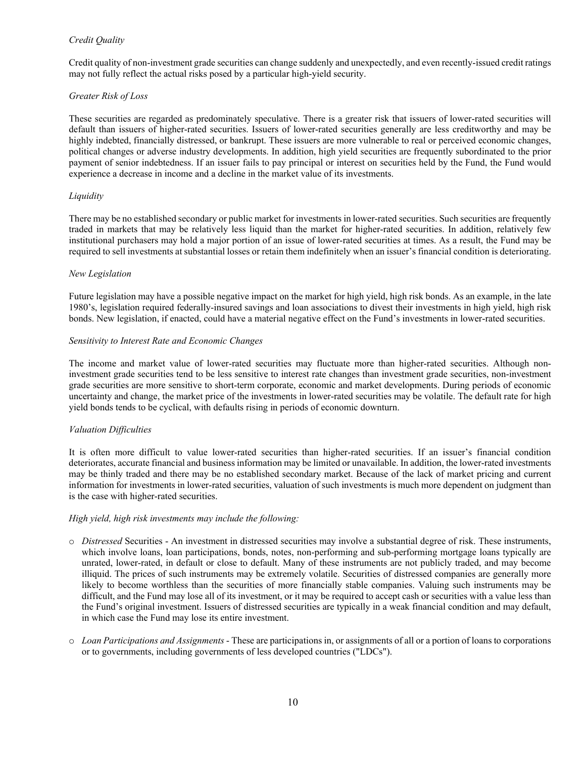# *Credit Quality*

Credit quality of non-investment grade securities can change suddenly and unexpectedly, and even recently-issued credit ratings may not fully reflect the actual risks posed by a particular high-yield security.

# *Greater Risk of Loss*

These securities are regarded as predominately speculative. There is a greater risk that issuers of lower-rated securities will default than issuers of higher-rated securities. Issuers of lower-rated securities generally are less creditworthy and may be highly indebted, financially distressed, or bankrupt. These issuers are more vulnerable to real or perceived economic changes, political changes or adverse industry developments. In addition, high yield securities are frequently subordinated to the prior payment of senior indebtedness. If an issuer fails to pay principal or interest on securities held by the Fund, the Fund would experience a decrease in income and a decline in the market value of its investments.

# *Liquidity*

There may be no established secondary or public market for investments in lower-rated securities. Such securities are frequently traded in markets that may be relatively less liquid than the market for higher-rated securities. In addition, relatively few institutional purchasers may hold a major portion of an issue of lower-rated securities at times. As a result, the Fund may be required to sell investments at substantial losses or retain them indefinitely when an issuer's financial condition is deteriorating.

# *New Legislation*

Future legislation may have a possible negative impact on the market for high yield, high risk bonds. As an example, in the late 1980's, legislation required federally-insured savings and loan associations to divest their investments in high yield, high risk bonds. New legislation, if enacted, could have a material negative effect on the Fund's investments in lower-rated securities.

# *Sensitivity to Interest Rate and Economic Changes*

The income and market value of lower-rated securities may fluctuate more than higher-rated securities. Although noninvestment grade securities tend to be less sensitive to interest rate changes than investment grade securities, non-investment grade securities are more sensitive to short-term corporate, economic and market developments. During periods of economic uncertainty and change, the market price of the investments in lower-rated securities may be volatile. The default rate for high yield bonds tends to be cyclical, with defaults rising in periods of economic downturn.

### *Valuation Difficulties*

It is often more difficult to value lower-rated securities than higher-rated securities. If an issuer's financial condition deteriorates, accurate financial and business information may be limited or unavailable. In addition, the lower-rated investments may be thinly traded and there may be no established secondary market. Because of the lack of market pricing and current information for investments in lower-rated securities, valuation of such investments is much more dependent on judgment than is the case with higher-rated securities.

### *High yield, high risk investments may include the following:*

- o *Distressed* Securities An investment in distressed securities may involve a substantial degree of risk. These instruments, which involve loans, loan participations, bonds, notes, non-performing and sub-performing mortgage loans typically are unrated, lower-rated, in default or close to default. Many of these instruments are not publicly traded, and may become illiquid. The prices of such instruments may be extremely volatile. Securities of distressed companies are generally more likely to become worthless than the securities of more financially stable companies. Valuing such instruments may be difficult, and the Fund may lose all of its investment, or it may be required to accept cash or securities with a value less than the Fund's original investment. Issuers of distressed securities are typically in a weak financial condition and may default, in which case the Fund may lose its entire investment.
- o *Loan Participations and Assignments* These are participations in, or assignments of all or a portion of loans to corporations or to governments, including governments of less developed countries ("LDCs").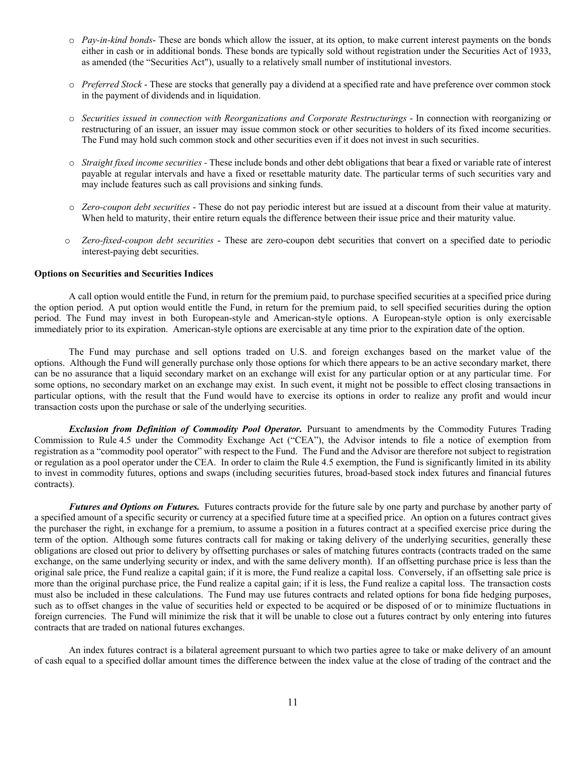- o *Pay-in-kind bonds* These are bonds which allow the issuer, at its option, to make current interest payments on the bonds either in cash or in additional bonds. These bonds are typically sold without registration under the Securities Act of 1933, as amended (the "Securities Act"), usually to a relatively small number of institutional investors.
- o *Preferred Stock* These are stocks that generally pay a dividend at a specified rate and have preference over common stock in the payment of dividends and in liquidation.
- o *Securities issued in connection with Reorganizations and Corporate Restructurings* In connection with reorganizing or restructuring of an issuer, an issuer may issue common stock or other securities to holders of its fixed income securities. The Fund may hold such common stock and other securities even if it does not invest in such securities.
- o *Straight fixed income securities -* These include bonds and other debt obligations that bear a fixed or variable rate of interest payable at regular intervals and have a fixed or resettable maturity date. The particular terms of such securities vary and may include features such as call provisions and sinking funds.
- o *Zero-coupon debt securities* These do not pay periodic interest but are issued at a discount from their value at maturity. When held to maturity, their entire return equals the difference between their issue price and their maturity value.
- o *Zero-fixed-coupon debt securities*  These are zero-coupon debt securities that convert on a specified date to periodic interest-paying debt securities.

# **Options on Securities and Securities Indices**

A call option would entitle the Fund, in return for the premium paid, to purchase specified securities at a specified price during the option period. A put option would entitle the Fund, in return for the premium paid, to sell specified securities during the option period. The Fund may invest in both European-style and American-style options. A European-style option is only exercisable immediately prior to its expiration. American-style options are exercisable at any time prior to the expiration date of the option.

The Fund may purchase and sell options traded on U.S. and foreign exchanges based on the market value of the options. Although the Fund will generally purchase only those options for which there appears to be an active secondary market, there can be no assurance that a liquid secondary market on an exchange will exist for any particular option or at any particular time. For some options, no secondary market on an exchange may exist. In such event, it might not be possible to effect closing transactions in particular options, with the result that the Fund would have to exercise its options in order to realize any profit and would incur transaction costs upon the purchase or sale of the underlying securities.

*Exclusion from Definition of Commodity Pool Operator.* Pursuant to amendments by the Commodity Futures Trading Commission to Rule 4.5 under the Commodity Exchange Act ("CEA"), the Advisor intends to file a notice of exemption from registration as a "commodity pool operator" with respect to the Fund. The Fund and the Advisor are therefore not subject to registration or regulation as a pool operator under the CEA. In order to claim the Rule 4.5 exemption, the Fund is significantly limited in its ability to invest in commodity futures, options and swaps (including securities futures, broad-based stock index futures and financial futures contracts).

*Futures and Options on Futures.*Futures contracts provide for the future sale by one party and purchase by another party of a specified amount of a specific security or currency at a specified future time at a specified price. An option on a futures contract gives the purchaser the right, in exchange for a premium, to assume a position in a futures contract at a specified exercise price during the term of the option. Although some futures contracts call for making or taking delivery of the underlying securities, generally these obligations are closed out prior to delivery by offsetting purchases or sales of matching futures contracts (contracts traded on the same exchange, on the same underlying security or index, and with the same delivery month). If an offsetting purchase price is less than the original sale price, the Fund realize a capital gain; if it is more, the Fund realize a capital loss. Conversely, if an offsetting sale price is more than the original purchase price, the Fund realize a capital gain; if it is less, the Fund realize a capital loss. The transaction costs must also be included in these calculations. The Fund may use futures contracts and related options for bona fide hedging purposes, such as to offset changes in the value of securities held or expected to be acquired or be disposed of or to minimize fluctuations in foreign currencies. The Fund will minimize the risk that it will be unable to close out a futures contract by only entering into futures contracts that are traded on national futures exchanges.

An index futures contract is a bilateral agreement pursuant to which two parties agree to take or make delivery of an amount of cash equal to a specified dollar amount times the difference between the index value at the close of trading of the contract and the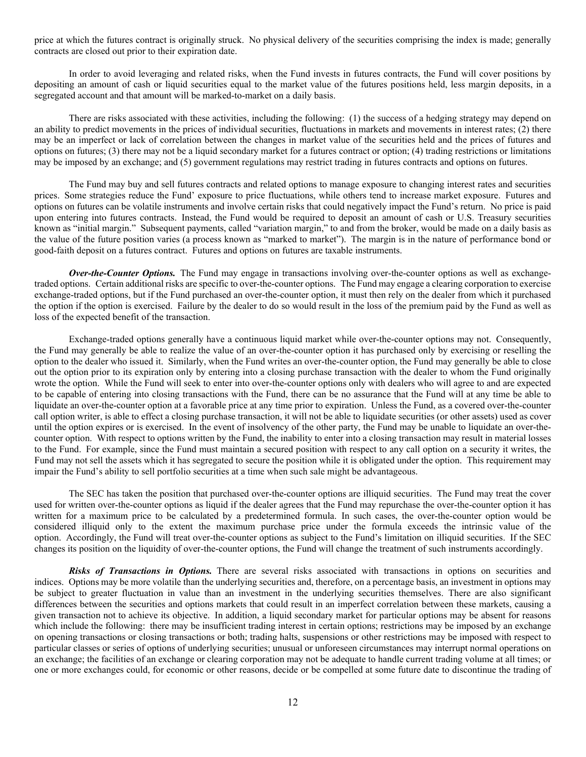price at which the futures contract is originally struck. No physical delivery of the securities comprising the index is made; generally contracts are closed out prior to their expiration date.

In order to avoid leveraging and related risks, when the Fund invests in futures contracts, the Fund will cover positions by depositing an amount of cash or liquid securities equal to the market value of the futures positions held, less margin deposits, in a segregated account and that amount will be marked-to-market on a daily basis.

There are risks associated with these activities, including the following: (1) the success of a hedging strategy may depend on an ability to predict movements in the prices of individual securities, fluctuations in markets and movements in interest rates; (2) there may be an imperfect or lack of correlation between the changes in market value of the securities held and the prices of futures and options on futures; (3) there may not be a liquid secondary market for a futures contract or option; (4) trading restrictions or limitations may be imposed by an exchange; and (5) government regulations may restrict trading in futures contracts and options on futures.

The Fund may buy and sell futures contracts and related options to manage exposure to changing interest rates and securities prices. Some strategies reduce the Fund' exposure to price fluctuations, while others tend to increase market exposure. Futures and options on futures can be volatile instruments and involve certain risks that could negatively impact the Fund's return. No price is paid upon entering into futures contracts. Instead, the Fund would be required to deposit an amount of cash or U.S. Treasury securities known as "initial margin." Subsequent payments, called "variation margin," to and from the broker, would be made on a daily basis as the value of the future position varies (a process known as "marked to market"). The margin is in the nature of performance bond or good-faith deposit on a futures contract. Futures and options on futures are taxable instruments.

*Over-the-Counter Options.* The Fund may engage in transactions involving over-the-counter options as well as exchangetraded options. Certain additional risks are specific to over-the-counter options. The Fund may engage a clearing corporation to exercise exchange-traded options, but if the Fund purchased an over-the-counter option, it must then rely on the dealer from which it purchased the option if the option is exercised. Failure by the dealer to do so would result in the loss of the premium paid by the Fund as well as loss of the expected benefit of the transaction.

Exchange-traded options generally have a continuous liquid market while over-the-counter options may not. Consequently, the Fund may generally be able to realize the value of an over-the-counter option it has purchased only by exercising or reselling the option to the dealer who issued it. Similarly, when the Fund writes an over-the-counter option, the Fund may generally be able to close out the option prior to its expiration only by entering into a closing purchase transaction with the dealer to whom the Fund originally wrote the option. While the Fund will seek to enter into over-the-counter options only with dealers who will agree to and are expected to be capable of entering into closing transactions with the Fund, there can be no assurance that the Fund will at any time be able to liquidate an over-the-counter option at a favorable price at any time prior to expiration. Unless the Fund, as a covered over-the-counter call option writer, is able to effect a closing purchase transaction, it will not be able to liquidate securities (or other assets) used as cover until the option expires or is exercised. In the event of insolvency of the other party, the Fund may be unable to liquidate an over-thecounter option. With respect to options written by the Fund, the inability to enter into a closing transaction may result in material losses to the Fund. For example, since the Fund must maintain a secured position with respect to any call option on a security it writes, the Fund may not sell the assets which it has segregated to secure the position while it is obligated under the option. This requirement may impair the Fund's ability to sell portfolio securities at a time when such sale might be advantageous.

The SEC has taken the position that purchased over-the-counter options are illiquid securities. The Fund may treat the cover used for written over-the-counter options as liquid if the dealer agrees that the Fund may repurchase the over-the-counter option it has written for a maximum price to be calculated by a predetermined formula. In such cases, the over-the-counter option would be considered illiquid only to the extent the maximum purchase price under the formula exceeds the intrinsic value of the option. Accordingly, the Fund will treat over-the-counter options as subject to the Fund's limitation on illiquid securities. If the SEC changes its position on the liquidity of over-the-counter options, the Fund will change the treatment of such instruments accordingly.

*Risks of Transactions in Options.* There are several risks associated with transactions in options on securities and indices. Options may be more volatile than the underlying securities and, therefore, on a percentage basis, an investment in options may be subject to greater fluctuation in value than an investment in the underlying securities themselves. There are also significant differences between the securities and options markets that could result in an imperfect correlation between these markets, causing a given transaction not to achieve its objective. In addition, a liquid secondary market for particular options may be absent for reasons which include the following: there may be insufficient trading interest in certain options; restrictions may be imposed by an exchange on opening transactions or closing transactions or both; trading halts, suspensions or other restrictions may be imposed with respect to particular classes or series of options of underlying securities; unusual or unforeseen circumstances may interrupt normal operations on an exchange; the facilities of an exchange or clearing corporation may not be adequate to handle current trading volume at all times; or one or more exchanges could, for economic or other reasons, decide or be compelled at some future date to discontinue the trading of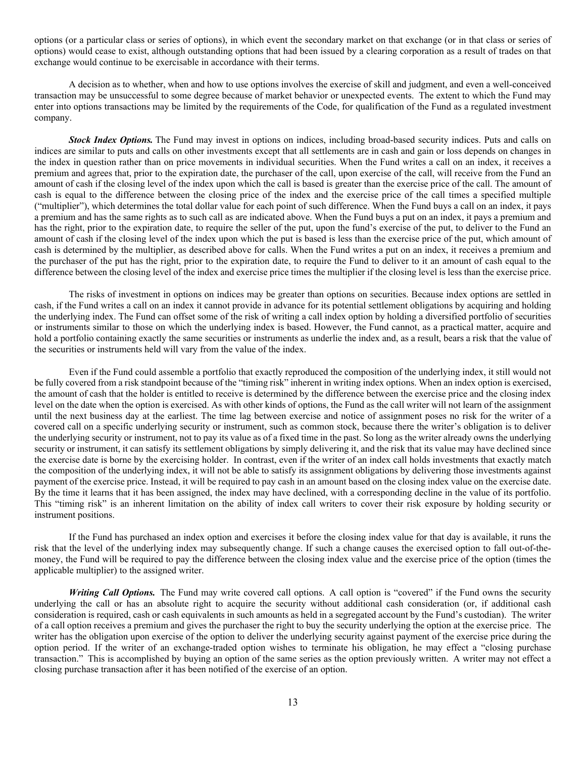options (or a particular class or series of options), in which event the secondary market on that exchange (or in that class or series of options) would cease to exist, although outstanding options that had been issued by a clearing corporation as a result of trades on that exchange would continue to be exercisable in accordance with their terms.

A decision as to whether, when and how to use options involves the exercise of skill and judgment, and even a well-conceived transaction may be unsuccessful to some degree because of market behavior or unexpected events. The extent to which the Fund may enter into options transactions may be limited by the requirements of the Code, for qualification of the Fund as a regulated investment company.

*Stock Index Options.* The Fund may invest in options on indices, including broad-based security indices. Puts and calls on indices are similar to puts and calls on other investments except that all settlements are in cash and gain or loss depends on changes in the index in question rather than on price movements in individual securities. When the Fund writes a call on an index, it receives a premium and agrees that, prior to the expiration date, the purchaser of the call, upon exercise of the call, will receive from the Fund an amount of cash if the closing level of the index upon which the call is based is greater than the exercise price of the call. The amount of cash is equal to the difference between the closing price of the index and the exercise price of the call times a specified multiple ("multiplier"), which determines the total dollar value for each point of such difference. When the Fund buys a call on an index, it pays a premium and has the same rights as to such call as are indicated above. When the Fund buys a put on an index, it pays a premium and has the right, prior to the expiration date, to require the seller of the put, upon the fund's exercise of the put, to deliver to the Fund an amount of cash if the closing level of the index upon which the put is based is less than the exercise price of the put, which amount of cash is determined by the multiplier, as described above for calls. When the Fund writes a put on an index, it receives a premium and the purchaser of the put has the right, prior to the expiration date, to require the Fund to deliver to it an amount of cash equal to the difference between the closing level of the index and exercise price times the multiplier if the closing level is less than the exercise price.

The risks of investment in options on indices may be greater than options on securities. Because index options are settled in cash, if the Fund writes a call on an index it cannot provide in advance for its potential settlement obligations by acquiring and holding the underlying index. The Fund can offset some of the risk of writing a call index option by holding a diversified portfolio of securities or instruments similar to those on which the underlying index is based. However, the Fund cannot, as a practical matter, acquire and hold a portfolio containing exactly the same securities or instruments as underlie the index and, as a result, bears a risk that the value of the securities or instruments held will vary from the value of the index.

Even if the Fund could assemble a portfolio that exactly reproduced the composition of the underlying index, it still would not be fully covered from a risk standpoint because of the "timing risk" inherent in writing index options. When an index option is exercised, the amount of cash that the holder is entitled to receive is determined by the difference between the exercise price and the closing index level on the date when the option is exercised. As with other kinds of options, the Fund as the call writer will not learn of the assignment until the next business day at the earliest. The time lag between exercise and notice of assignment poses no risk for the writer of a covered call on a specific underlying security or instrument, such as common stock, because there the writer's obligation is to deliver the underlying security or instrument, not to pay its value as of a fixed time in the past. So long as the writer already owns the underlying security or instrument, it can satisfy its settlement obligations by simply delivering it, and the risk that its value may have declined since the exercise date is borne by the exercising holder. In contrast, even if the writer of an index call holds investments that exactly match the composition of the underlying index, it will not be able to satisfy its assignment obligations by delivering those investments against payment of the exercise price. Instead, it will be required to pay cash in an amount based on the closing index value on the exercise date. By the time it learns that it has been assigned, the index may have declined, with a corresponding decline in the value of its portfolio. This "timing risk" is an inherent limitation on the ability of index call writers to cover their risk exposure by holding security or instrument positions.

If the Fund has purchased an index option and exercises it before the closing index value for that day is available, it runs the risk that the level of the underlying index may subsequently change. If such a change causes the exercised option to fall out-of-themoney, the Fund will be required to pay the difference between the closing index value and the exercise price of the option (times the applicable multiplier) to the assigned writer.

*Writing Call Options.* The Fund may write covered call options. A call option is "covered" if the Fund owns the security underlying the call or has an absolute right to acquire the security without additional cash consideration (or, if additional cash consideration is required, cash or cash equivalents in such amounts as held in a segregated account by the Fund's custodian). The writer of a call option receives a premium and gives the purchaser the right to buy the security underlying the option at the exercise price. The writer has the obligation upon exercise of the option to deliver the underlying security against payment of the exercise price during the option period. If the writer of an exchange-traded option wishes to terminate his obligation, he may effect a "closing purchase transaction." This is accomplished by buying an option of the same series as the option previously written. A writer may not effect a closing purchase transaction after it has been notified of the exercise of an option.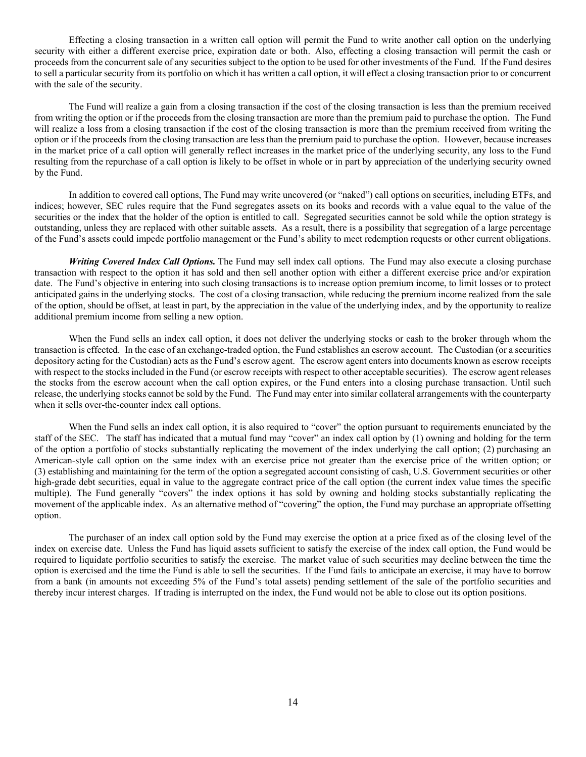Effecting a closing transaction in a written call option will permit the Fund to write another call option on the underlying security with either a different exercise price, expiration date or both. Also, effecting a closing transaction will permit the cash or proceeds from the concurrent sale of any securities subject to the option to be used for other investments of the Fund. If the Fund desires to sell a particular security from its portfolio on which it has written a call option, it will effect a closing transaction prior to or concurrent with the sale of the security.

The Fund will realize a gain from a closing transaction if the cost of the closing transaction is less than the premium received from writing the option or if the proceeds from the closing transaction are more than the premium paid to purchase the option. The Fund will realize a loss from a closing transaction if the cost of the closing transaction is more than the premium received from writing the option or if the proceeds from the closing transaction are less than the premium paid to purchase the option. However, because increases in the market price of a call option will generally reflect increases in the market price of the underlying security, any loss to the Fund resulting from the repurchase of a call option is likely to be offset in whole or in part by appreciation of the underlying security owned by the Fund.

In addition to covered call options, The Fund may write uncovered (or "naked") call options on securities, including ETFs, and indices; however, SEC rules require that the Fund segregates assets on its books and records with a value equal to the value of the securities or the index that the holder of the option is entitled to call. Segregated securities cannot be sold while the option strategy is outstanding, unless they are replaced with other suitable assets. As a result, there is a possibility that segregation of a large percentage of the Fund's assets could impede portfolio management or the Fund's ability to meet redemption requests or other current obligations.

*Writing Covered Index Call Options.* The Fund may sell index call options. The Fund may also execute a closing purchase transaction with respect to the option it has sold and then sell another option with either a different exercise price and/or expiration date. The Fund's objective in entering into such closing transactions is to increase option premium income, to limit losses or to protect anticipated gains in the underlying stocks. The cost of a closing transaction, while reducing the premium income realized from the sale of the option, should be offset, at least in part, by the appreciation in the value of the underlying index, and by the opportunity to realize additional premium income from selling a new option.

When the Fund sells an index call option, it does not deliver the underlying stocks or cash to the broker through whom the transaction is effected. In the case of an exchange-traded option, the Fund establishes an escrow account. The Custodian (or a securities depository acting for the Custodian) acts as the Fund's escrow agent. The escrow agent enters into documents known as escrow receipts with respect to the stocks included in the Fund (or escrow receipts with respect to other acceptable securities). The escrow agent releases the stocks from the escrow account when the call option expires, or the Fund enters into a closing purchase transaction. Until such release, the underlying stocks cannot be sold by the Fund. The Fund may enter into similar collateral arrangements with the counterparty when it sells over-the-counter index call options.

When the Fund sells an index call option, it is also required to "cover" the option pursuant to requirements enunciated by the staff of the SEC. The staff has indicated that a mutual fund may "cover" an index call option by (1) owning and holding for the term of the option a portfolio of stocks substantially replicating the movement of the index underlying the call option; (2) purchasing an American-style call option on the same index with an exercise price not greater than the exercise price of the written option; or (3) establishing and maintaining for the term of the option a segregated account consisting of cash, U.S. Government securities or other high-grade debt securities, equal in value to the aggregate contract price of the call option (the current index value times the specific multiple). The Fund generally "covers" the index options it has sold by owning and holding stocks substantially replicating the movement of the applicable index. As an alternative method of "covering" the option, the Fund may purchase an appropriate offsetting option.

The purchaser of an index call option sold by the Fund may exercise the option at a price fixed as of the closing level of the index on exercise date. Unless the Fund has liquid assets sufficient to satisfy the exercise of the index call option, the Fund would be required to liquidate portfolio securities to satisfy the exercise. The market value of such securities may decline between the time the option is exercised and the time the Fund is able to sell the securities. If the Fund fails to anticipate an exercise, it may have to borrow from a bank (in amounts not exceeding 5% of the Fund's total assets) pending settlement of the sale of the portfolio securities and thereby incur interest charges. If trading is interrupted on the index, the Fund would not be able to close out its option positions.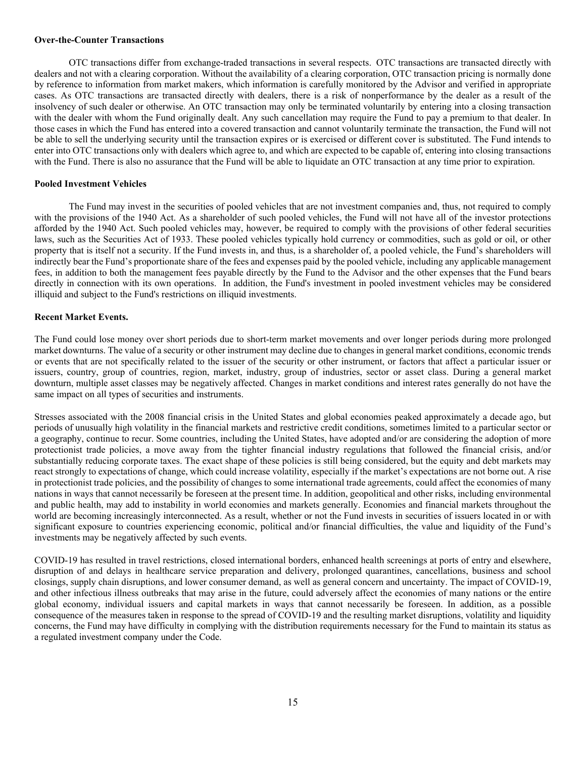# **Over-the-Counter Transactions**

OTC transactions differ from exchange-traded transactions in several respects. OTC transactions are transacted directly with dealers and not with a clearing corporation. Without the availability of a clearing corporation, OTC transaction pricing is normally done by reference to information from market makers, which information is carefully monitored by the Advisor and verified in appropriate cases. As OTC transactions are transacted directly with dealers, there is a risk of nonperformance by the dealer as a result of the insolvency of such dealer or otherwise. An OTC transaction may only be terminated voluntarily by entering into a closing transaction with the dealer with whom the Fund originally dealt. Any such cancellation may require the Fund to pay a premium to that dealer. In those cases in which the Fund has entered into a covered transaction and cannot voluntarily terminate the transaction, the Fund will not be able to sell the underlying security until the transaction expires or is exercised or different cover is substituted. The Fund intends to enter into OTC transactions only with dealers which agree to, and which are expected to be capable of, entering into closing transactions with the Fund. There is also no assurance that the Fund will be able to liquidate an OTC transaction at any time prior to expiration.

# **Pooled Investment Vehicles**

The Fund may invest in the securities of pooled vehicles that are not investment companies and, thus, not required to comply with the provisions of the 1940 Act. As a shareholder of such pooled vehicles, the Fund will not have all of the investor protections afforded by the 1940 Act. Such pooled vehicles may, however, be required to comply with the provisions of other federal securities laws, such as the Securities Act of 1933. These pooled vehicles typically hold currency or commodities, such as gold or oil, or other property that is itself not a security. If the Fund invests in, and thus, is a shareholder of, a pooled vehicle, the Fund's shareholders will indirectly bear the Fund's proportionate share of the fees and expenses paid by the pooled vehicle, including any applicable management fees, in addition to both the management fees payable directly by the Fund to the Advisor and the other expenses that the Fund bears directly in connection with its own operations. In addition, the Fund's investment in pooled investment vehicles may be considered illiquid and subject to the Fund's restrictions on illiquid investments.

# **Recent Market Events.**

The Fund could lose money over short periods due to short-term market movements and over longer periods during more prolonged market downturns. The value of a security or other instrument may decline due to changes in general market conditions, economic trends or events that are not specifically related to the issuer of the security or other instrument, or factors that affect a particular issuer or issuers, country, group of countries, region, market, industry, group of industries, sector or asset class. During a general market downturn, multiple asset classes may be negatively affected. Changes in market conditions and interest rates generally do not have the same impact on all types of securities and instruments.

Stresses associated with the 2008 financial crisis in the United States and global economies peaked approximately a decade ago, but periods of unusually high volatility in the financial markets and restrictive credit conditions, sometimes limited to a particular sector or a geography, continue to recur. Some countries, including the United States, have adopted and/or are considering the adoption of more protectionist trade policies, a move away from the tighter financial industry regulations that followed the financial crisis, and/or substantially reducing corporate taxes. The exact shape of these policies is still being considered, but the equity and debt markets may react strongly to expectations of change, which could increase volatility, especially if the market's expectations are not borne out. A rise in protectionist trade policies, and the possibility of changes to some international trade agreements, could affect the economies of many nations in ways that cannot necessarily be foreseen at the present time. In addition, geopolitical and other risks, including environmental and public health, may add to instability in world economies and markets generally. Economies and financial markets throughout the world are becoming increasingly interconnected. As a result, whether or not the Fund invests in securities of issuers located in or with significant exposure to countries experiencing economic, political and/or financial difficulties, the value and liquidity of the Fund's investments may be negatively affected by such events.

COVID-19 has resulted in travel restrictions, closed international borders, enhanced health screenings at ports of entry and elsewhere, disruption of and delays in healthcare service preparation and delivery, prolonged quarantines, cancellations, business and school closings, supply chain disruptions, and lower consumer demand, as well as general concern and uncertainty. The impact of COVID-19, and other infectious illness outbreaks that may arise in the future, could adversely affect the economies of many nations or the entire global economy, individual issuers and capital markets in ways that cannot necessarily be foreseen. In addition, as a possible consequence of the measures taken in response to the spread of COVID-19 and the resulting market disruptions, volatility and liquidity concerns, the Fund may have difficulty in complying with the distribution requirements necessary for the Fund to maintain its status as a regulated investment company under the Code.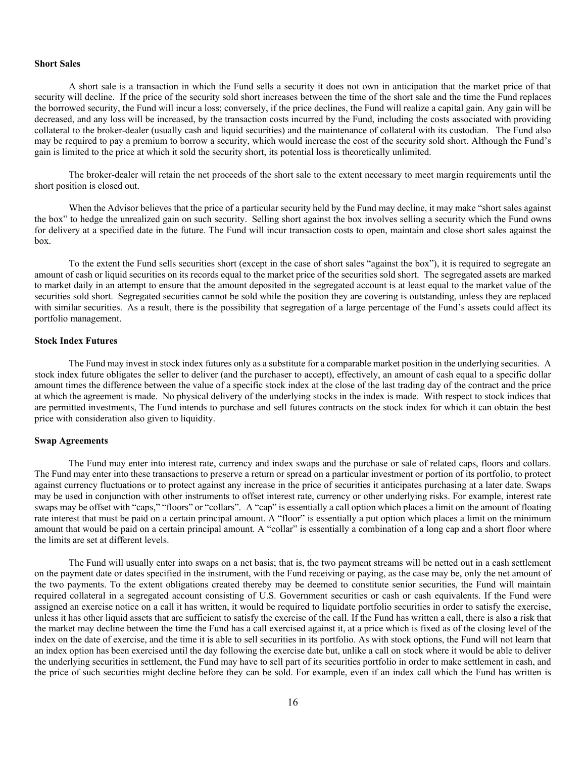# **Short Sales**

A short sale is a transaction in which the Fund sells a security it does not own in anticipation that the market price of that security will decline. If the price of the security sold short increases between the time of the short sale and the time the Fund replaces the borrowed security, the Fund will incur a loss; conversely, if the price declines, the Fund will realize a capital gain. Any gain will be decreased, and any loss will be increased, by the transaction costs incurred by the Fund, including the costs associated with providing collateral to the broker-dealer (usually cash and liquid securities) and the maintenance of collateral with its custodian. The Fund also may be required to pay a premium to borrow a security, which would increase the cost of the security sold short. Although the Fund's gain is limited to the price at which it sold the security short, its potential loss is theoretically unlimited.

The broker-dealer will retain the net proceeds of the short sale to the extent necessary to meet margin requirements until the short position is closed out.

When the Advisor believes that the price of a particular security held by the Fund may decline, it may make "short sales against the box" to hedge the unrealized gain on such security. Selling short against the box involves selling a security which the Fund owns for delivery at a specified date in the future. The Fund will incur transaction costs to open, maintain and close short sales against the box.

To the extent the Fund sells securities short (except in the case of short sales "against the box"), it is required to segregate an amount of cash or liquid securities on its records equal to the market price of the securities sold short. The segregated assets are marked to market daily in an attempt to ensure that the amount deposited in the segregated account is at least equal to the market value of the securities sold short. Segregated securities cannot be sold while the position they are covering is outstanding, unless they are replaced with similar securities. As a result, there is the possibility that segregation of a large percentage of the Fund's assets could affect its portfolio management.

### **Stock Index Futures**

The Fund may invest in stock index futures only as a substitute for a comparable market position in the underlying securities. A stock index future obligates the seller to deliver (and the purchaser to accept), effectively, an amount of cash equal to a specific dollar amount times the difference between the value of a specific stock index at the close of the last trading day of the contract and the price at which the agreement is made. No physical delivery of the underlying stocks in the index is made. With respect to stock indices that are permitted investments, The Fund intends to purchase and sell futures contracts on the stock index for which it can obtain the best price with consideration also given to liquidity.

### **Swap Agreements**

The Fund may enter into interest rate, currency and index swaps and the purchase or sale of related caps, floors and collars. The Fund may enter into these transactions to preserve a return or spread on a particular investment or portion of its portfolio, to protect against currency fluctuations or to protect against any increase in the price of securities it anticipates purchasing at a later date. Swaps may be used in conjunction with other instruments to offset interest rate, currency or other underlying risks. For example, interest rate swaps may be offset with "caps," "floors" or "collars". A "cap" is essentially a call option which places a limit on the amount of floating rate interest that must be paid on a certain principal amount. A "floor" is essentially a put option which places a limit on the minimum amount that would be paid on a certain principal amount. A "collar" is essentially a combination of a long cap and a short floor where the limits are set at different levels.

The Fund will usually enter into swaps on a net basis; that is, the two payment streams will be netted out in a cash settlement on the payment date or dates specified in the instrument, with the Fund receiving or paying, as the case may be, only the net amount of the two payments. To the extent obligations created thereby may be deemed to constitute senior securities, the Fund will maintain required collateral in a segregated account consisting of U.S. Government securities or cash or cash equivalents. If the Fund were assigned an exercise notice on a call it has written, it would be required to liquidate portfolio securities in order to satisfy the exercise, unless it has other liquid assets that are sufficient to satisfy the exercise of the call. If the Fund has written a call, there is also a risk that the market may decline between the time the Fund has a call exercised against it, at a price which is fixed as of the closing level of the index on the date of exercise, and the time it is able to sell securities in its portfolio. As with stock options, the Fund will not learn that an index option has been exercised until the day following the exercise date but, unlike a call on stock where it would be able to deliver the underlying securities in settlement, the Fund may have to sell part of its securities portfolio in order to make settlement in cash, and the price of such securities might decline before they can be sold. For example, even if an index call which the Fund has written is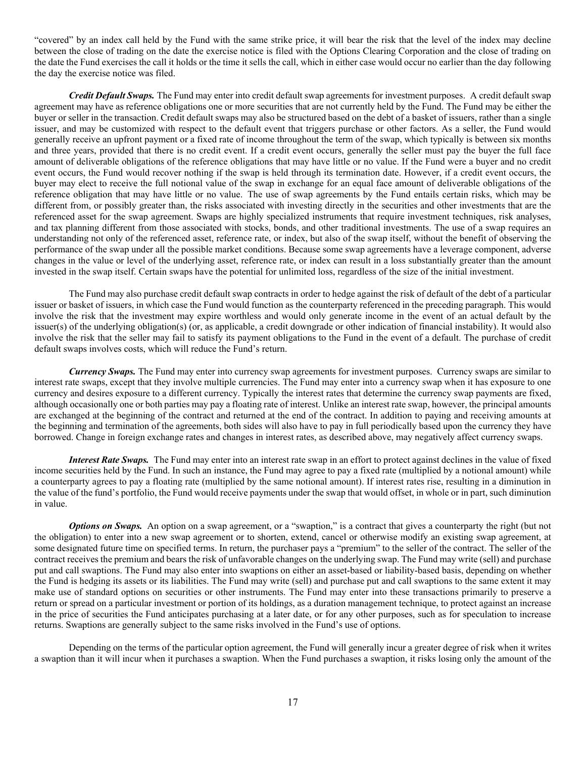"covered" by an index call held by the Fund with the same strike price, it will bear the risk that the level of the index may decline between the close of trading on the date the exercise notice is filed with the Options Clearing Corporation and the close of trading on the date the Fund exercises the call it holds or the time it sells the call, which in either case would occur no earlier than the day following the day the exercise notice was filed.

*Credit Default Swaps.* The Fund may enter into credit default swap agreements for investment purposes. A credit default swap agreement may have as reference obligations one or more securities that are not currently held by the Fund. The Fund may be either the buyer or seller in the transaction. Credit default swaps may also be structured based on the debt of a basket of issuers, rather than a single issuer, and may be customized with respect to the default event that triggers purchase or other factors. As a seller, the Fund would generally receive an upfront payment or a fixed rate of income throughout the term of the swap, which typically is between six months and three years, provided that there is no credit event. If a credit event occurs, generally the seller must pay the buyer the full face amount of deliverable obligations of the reference obligations that may have little or no value. If the Fund were a buyer and no credit event occurs, the Fund would recover nothing if the swap is held through its termination date. However, if a credit event occurs, the buyer may elect to receive the full notional value of the swap in exchange for an equal face amount of deliverable obligations of the reference obligation that may have little or no value. The use of swap agreements by the Fund entails certain risks, which may be different from, or possibly greater than, the risks associated with investing directly in the securities and other investments that are the referenced asset for the swap agreement. Swaps are highly specialized instruments that require investment techniques, risk analyses, and tax planning different from those associated with stocks, bonds, and other traditional investments. The use of a swap requires an understanding not only of the referenced asset, reference rate, or index, but also of the swap itself, without the benefit of observing the performance of the swap under all the possible market conditions. Because some swap agreements have a leverage component, adverse changes in the value or level of the underlying asset, reference rate, or index can result in a loss substantially greater than the amount invested in the swap itself. Certain swaps have the potential for unlimited loss, regardless of the size of the initial investment.

The Fund may also purchase credit default swap contracts in order to hedge against the risk of default of the debt of a particular issuer or basket of issuers, in which case the Fund would function as the counterparty referenced in the preceding paragraph. This would involve the risk that the investment may expire worthless and would only generate income in the event of an actual default by the issuer(s) of the underlying obligation(s) (or, as applicable, a credit downgrade or other indication of financial instability). It would also involve the risk that the seller may fail to satisfy its payment obligations to the Fund in the event of a default. The purchase of credit default swaps involves costs, which will reduce the Fund's return.

*Currency Swaps.* The Fund may enter into currency swap agreements for investment purposes. Currency swaps are similar to interest rate swaps, except that they involve multiple currencies. The Fund may enter into a currency swap when it has exposure to one currency and desires exposure to a different currency. Typically the interest rates that determine the currency swap payments are fixed, although occasionally one or both parties may pay a floating rate of interest. Unlike an interest rate swap, however, the principal amounts are exchanged at the beginning of the contract and returned at the end of the contract. In addition to paying and receiving amounts at the beginning and termination of the agreements, both sides will also have to pay in full periodically based upon the currency they have borrowed. Change in foreign exchange rates and changes in interest rates, as described above, may negatively affect currency swaps.

*Interest Rate Swaps.* The Fund may enter into an interest rate swap in an effort to protect against declines in the value of fixed income securities held by the Fund. In such an instance, the Fund may agree to pay a fixed rate (multiplied by a notional amount) while a counterparty agrees to pay a floating rate (multiplied by the same notional amount). If interest rates rise, resulting in a diminution in the value of the fund's portfolio, the Fund would receive payments under the swap that would offset, in whole or in part, such diminution in value.

*Options on Swaps.* An option on a swap agreement, or a "swaption," is a contract that gives a counterparty the right (but not the obligation) to enter into a new swap agreement or to shorten, extend, cancel or otherwise modify an existing swap agreement, at some designated future time on specified terms. In return, the purchaser pays a "premium" to the seller of the contract. The seller of the contract receives the premium and bears the risk of unfavorable changes on the underlying swap. The Fund may write (sell) and purchase put and call swaptions. The Fund may also enter into swaptions on either an asset-based or liability-based basis, depending on whether the Fund is hedging its assets or its liabilities. The Fund may write (sell) and purchase put and call swaptions to the same extent it may make use of standard options on securities or other instruments. The Fund may enter into these transactions primarily to preserve a return or spread on a particular investment or portion of its holdings, as a duration management technique, to protect against an increase in the price of securities the Fund anticipates purchasing at a later date, or for any other purposes, such as for speculation to increase returns. Swaptions are generally subject to the same risks involved in the Fund's use of options.

Depending on the terms of the particular option agreement, the Fund will generally incur a greater degree of risk when it writes a swaption than it will incur when it purchases a swaption. When the Fund purchases a swaption, it risks losing only the amount of the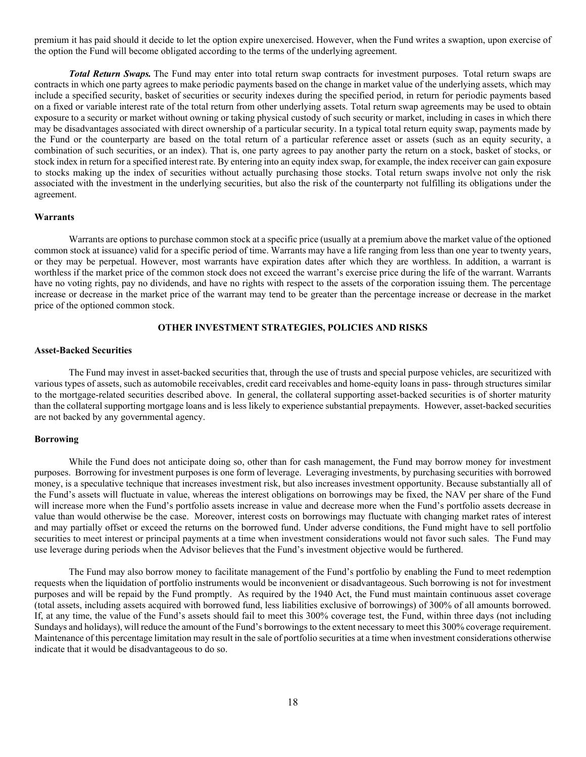premium it has paid should it decide to let the option expire unexercised. However, when the Fund writes a swaption, upon exercise of the option the Fund will become obligated according to the terms of the underlying agreement.

*Total Return Swaps.* The Fund may enter into total return swap contracts for investment purposes. Total return swaps are contracts in which one party agrees to make periodic payments based on the change in market value of the underlying assets, which may include a specified security, basket of securities or security indexes during the specified period, in return for periodic payments based on a fixed or variable interest rate of the total return from other underlying assets. Total return swap agreements may be used to obtain exposure to a security or market without owning or taking physical custody of such security or market, including in cases in which there may be disadvantages associated with direct ownership of a particular security. In a typical total return equity swap, payments made by the Fund or the counterparty are based on the total return of a particular reference asset or assets (such as an equity security, a combination of such securities, or an index). That is, one party agrees to pay another party the return on a stock, basket of stocks, or stock index in return for a specified interest rate. By entering into an equity index swap, for example, the index receiver can gain exposure to stocks making up the index of securities without actually purchasing those stocks. Total return swaps involve not only the risk associated with the investment in the underlying securities, but also the risk of the counterparty not fulfilling its obligations under the agreement.

### **Warrants**

Warrants are options to purchase common stock at a specific price (usually at a premium above the market value of the optioned common stock at issuance) valid for a specific period of time. Warrants may have a life ranging from less than one year to twenty years, or they may be perpetual. However, most warrants have expiration dates after which they are worthless. In addition, a warrant is worthless if the market price of the common stock does not exceed the warrant's exercise price during the life of the warrant. Warrants have no voting rights, pay no dividends, and have no rights with respect to the assets of the corporation issuing them. The percentage increase or decrease in the market price of the warrant may tend to be greater than the percentage increase or decrease in the market price of the optioned common stock.

# **OTHER INVESTMENT STRATEGIES, POLICIES AND RISKS**

#### **Asset-Backed Securities**

The Fund may invest in asset-backed securities that, through the use of trusts and special purpose vehicles, are securitized with various types of assets, such as automobile receivables, credit card receivables and home-equity loans in pass- through structures similar to the mortgage-related securities described above. In general, the collateral supporting asset-backed securities is of shorter maturity than the collateral supporting mortgage loans and is less likely to experience substantial prepayments. However, asset-backed securities are not backed by any governmental agency.

### **Borrowing**

While the Fund does not anticipate doing so, other than for cash management, the Fund may borrow money for investment purposes. Borrowing for investment purposes is one form of leverage. Leveraging investments, by purchasing securities with borrowed money, is a speculative technique that increases investment risk, but also increases investment opportunity. Because substantially all of the Fund's assets will fluctuate in value, whereas the interest obligations on borrowings may be fixed, the NAV per share of the Fund will increase more when the Fund's portfolio assets increase in value and decrease more when the Fund's portfolio assets decrease in value than would otherwise be the case. Moreover, interest costs on borrowings may fluctuate with changing market rates of interest and may partially offset or exceed the returns on the borrowed fund. Under adverse conditions, the Fund might have to sell portfolio securities to meet interest or principal payments at a time when investment considerations would not favor such sales. The Fund may use leverage during periods when the Advisor believes that the Fund's investment objective would be furthered.

The Fund may also borrow money to facilitate management of the Fund's portfolio by enabling the Fund to meet redemption requests when the liquidation of portfolio instruments would be inconvenient or disadvantageous. Such borrowing is not for investment purposes and will be repaid by the Fund promptly. As required by the 1940 Act, the Fund must maintain continuous asset coverage (total assets, including assets acquired with borrowed fund, less liabilities exclusive of borrowings) of 300% of all amounts borrowed. If, at any time, the value of the Fund's assets should fail to meet this 300% coverage test, the Fund, within three days (not including Sundays and holidays), will reduce the amount of the Fund's borrowings to the extent necessary to meet this 300% coverage requirement. Maintenance of this percentage limitation may result in the sale of portfolio securities at a time when investment considerations otherwise indicate that it would be disadvantageous to do so.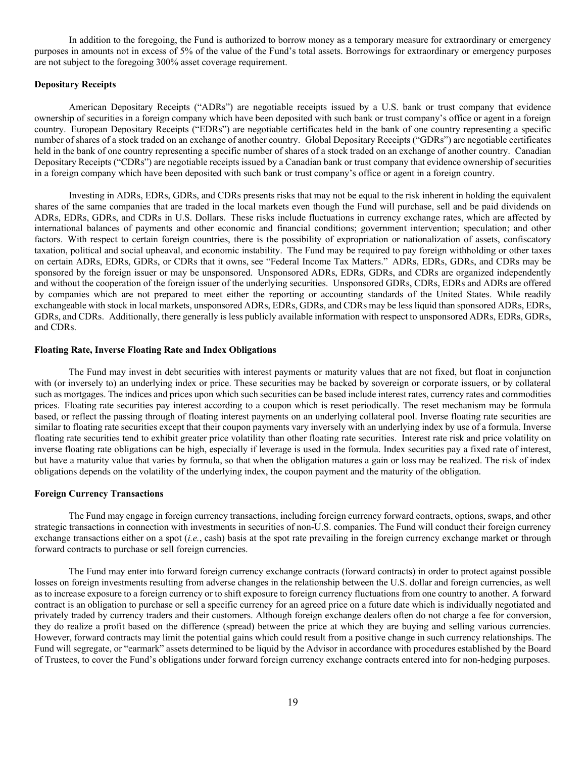In addition to the foregoing, the Fund is authorized to borrow money as a temporary measure for extraordinary or emergency purposes in amounts not in excess of 5% of the value of the Fund's total assets. Borrowings for extraordinary or emergency purposes are not subject to the foregoing 300% asset coverage requirement.

# **Depositary Receipts**

American Depositary Receipts ("ADRs") are negotiable receipts issued by a U.S. bank or trust company that evidence ownership of securities in a foreign company which have been deposited with such bank or trust company's office or agent in a foreign country. European Depositary Receipts ("EDRs") are negotiable certificates held in the bank of one country representing a specific number of shares of a stock traded on an exchange of another country. Global Depositary Receipts ("GDRs") are negotiable certificates held in the bank of one country representing a specific number of shares of a stock traded on an exchange of another country. Canadian Depositary Receipts ("CDRs") are negotiable receipts issued by a Canadian bank or trust company that evidence ownership of securities in a foreign company which have been deposited with such bank or trust company's office or agent in a foreign country.

Investing in ADRs, EDRs, GDRs, and CDRs presents risks that may not be equal to the risk inherent in holding the equivalent shares of the same companies that are traded in the local markets even though the Fund will purchase, sell and be paid dividends on ADRs, EDRs, GDRs, and CDRs in U.S. Dollars. These risks include fluctuations in currency exchange rates, which are affected by international balances of payments and other economic and financial conditions; government intervention; speculation; and other factors. With respect to certain foreign countries, there is the possibility of expropriation or nationalization of assets, confiscatory taxation, political and social upheaval, and economic instability. The Fund may be required to pay foreign withholding or other taxes on certain ADRs, EDRs, GDRs, or CDRs that it owns, see "Federal Income Tax Matters." ADRs, EDRs, GDRs, and CDRs may be sponsored by the foreign issuer or may be unsponsored. Unsponsored ADRs, EDRs, GDRs, and CDRs are organized independently and without the cooperation of the foreign issuer of the underlying securities. Unsponsored GDRs, CDRs, EDRs and ADRs are offered by companies which are not prepared to meet either the reporting or accounting standards of the United States. While readily exchangeable with stock in local markets, unsponsored ADRs, EDRs, GDRs, and CDRs may be less liquid than sponsored ADRs, EDRs, GDRs, and CDRs. Additionally, there generally is less publicly available information with respect to unsponsored ADRs, EDRs, GDRs, and CDRs.

# **Floating Rate, Inverse Floating Rate and Index Obligations**

The Fund may invest in debt securities with interest payments or maturity values that are not fixed, but float in conjunction with (or inversely to) an underlying index or price. These securities may be backed by sovereign or corporate issuers, or by collateral such as mortgages. The indices and prices upon which such securities can be based include interest rates, currency rates and commodities prices. Floating rate securities pay interest according to a coupon which is reset periodically. The reset mechanism may be formula based, or reflect the passing through of floating interest payments on an underlying collateral pool. Inverse floating rate securities are similar to floating rate securities except that their coupon payments vary inversely with an underlying index by use of a formula. Inverse floating rate securities tend to exhibit greater price volatility than other floating rate securities. Interest rate risk and price volatility on inverse floating rate obligations can be high, especially if leverage is used in the formula. Index securities pay a fixed rate of interest, but have a maturity value that varies by formula, so that when the obligation matures a gain or loss may be realized. The risk of index obligations depends on the volatility of the underlying index, the coupon payment and the maturity of the obligation.

### **Foreign Currency Transactions**

The Fund may engage in foreign currency transactions, including foreign currency forward contracts, options, swaps, and other strategic transactions in connection with investments in securities of non-U.S. companies. The Fund will conduct their foreign currency exchange transactions either on a spot (*i.e.*, cash) basis at the spot rate prevailing in the foreign currency exchange market or through forward contracts to purchase or sell foreign currencies.

The Fund may enter into forward foreign currency exchange contracts (forward contracts) in order to protect against possible losses on foreign investments resulting from adverse changes in the relationship between the U.S. dollar and foreign currencies, as well as to increase exposure to a foreign currency or to shift exposure to foreign currency fluctuations from one country to another. A forward contract is an obligation to purchase or sell a specific currency for an agreed price on a future date which is individually negotiated and privately traded by currency traders and their customers. Although foreign exchange dealers often do not charge a fee for conversion, they do realize a profit based on the difference (spread) between the price at which they are buying and selling various currencies. However, forward contracts may limit the potential gains which could result from a positive change in such currency relationships. The Fund will segregate, or "earmark" assets determined to be liquid by the Advisor in accordance with procedures established by the Board of Trustees, to cover the Fund's obligations under forward foreign currency exchange contracts entered into for non-hedging purposes.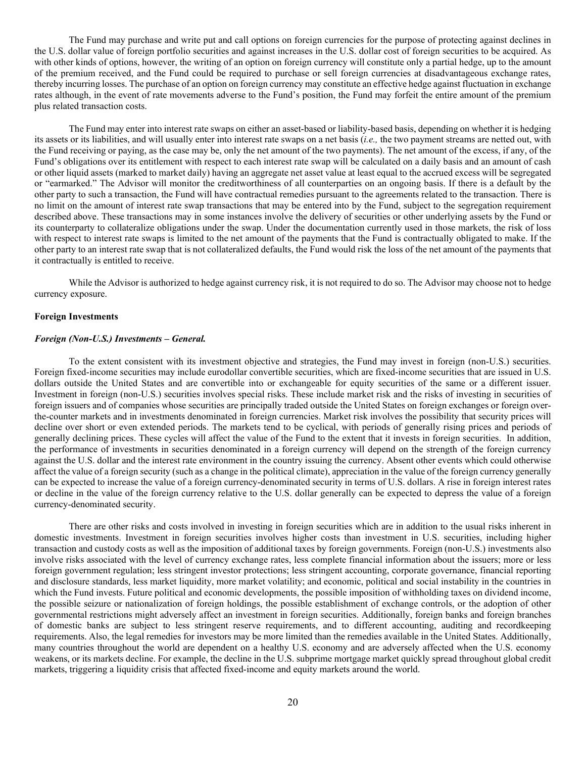The Fund may purchase and write put and call options on foreign currencies for the purpose of protecting against declines in the U.S. dollar value of foreign portfolio securities and against increases in the U.S. dollar cost of foreign securities to be acquired. As with other kinds of options, however, the writing of an option on foreign currency will constitute only a partial hedge, up to the amount of the premium received, and the Fund could be required to purchase or sell foreign currencies at disadvantageous exchange rates, thereby incurring losses. The purchase of an option on foreign currency may constitute an effective hedge against fluctuation in exchange rates although, in the event of rate movements adverse to the Fund's position, the Fund may forfeit the entire amount of the premium plus related transaction costs.

The Fund may enter into interest rate swaps on either an asset-based or liability-based basis, depending on whether it is hedging its assets or its liabilities, and will usually enter into interest rate swaps on a net basis (*i.e.,* the two payment streams are netted out, with the Fund receiving or paying, as the case may be, only the net amount of the two payments). The net amount of the excess, if any, of the Fund's obligations over its entitlement with respect to each interest rate swap will be calculated on a daily basis and an amount of cash or other liquid assets (marked to market daily) having an aggregate net asset value at least equal to the accrued excess will be segregated or "earmarked." The Advisor will monitor the creditworthiness of all counterparties on an ongoing basis. If there is a default by the other party to such a transaction, the Fund will have contractual remedies pursuant to the agreements related to the transaction. There is no limit on the amount of interest rate swap transactions that may be entered into by the Fund, subject to the segregation requirement described above. These transactions may in some instances involve the delivery of securities or other underlying assets by the Fund or its counterparty to collateralize obligations under the swap. Under the documentation currently used in those markets, the risk of loss with respect to interest rate swaps is limited to the net amount of the payments that the Fund is contractually obligated to make. If the other party to an interest rate swap that is not collateralized defaults, the Fund would risk the loss of the net amount of the payments that it contractually is entitled to receive.

While the Advisor is authorized to hedge against currency risk, it is not required to do so. The Advisor may choose not to hedge currency exposure.

### **Foreign Investments**

# *Foreign (Non-U.S.) Investments – General.*

To the extent consistent with its investment objective and strategies, the Fund may invest in foreign (non-U.S.) securities. Foreign fixed-income securities may include eurodollar convertible securities, which are fixed-income securities that are issued in U.S. dollars outside the United States and are convertible into or exchangeable for equity securities of the same or a different issuer. Investment in foreign (non-U.S.) securities involves special risks. These include market risk and the risks of investing in securities of foreign issuers and of companies whose securities are principally traded outside the United States on foreign exchanges or foreign overthe-counter markets and in investments denominated in foreign currencies. Market risk involves the possibility that security prices will decline over short or even extended periods. The markets tend to be cyclical, with periods of generally rising prices and periods of generally declining prices. These cycles will affect the value of the Fund to the extent that it invests in foreign securities. In addition, the performance of investments in securities denominated in a foreign currency will depend on the strength of the foreign currency against the U.S. dollar and the interest rate environment in the country issuing the currency. Absent other events which could otherwise affect the value of a foreign security (such as a change in the political climate), appreciation in the value of the foreign currency generally can be expected to increase the value of a foreign currency-denominated security in terms of U.S. dollars. A rise in foreign interest rates or decline in the value of the foreign currency relative to the U.S. dollar generally can be expected to depress the value of a foreign currency-denominated security.

There are other risks and costs involved in investing in foreign securities which are in addition to the usual risks inherent in domestic investments. Investment in foreign securities involves higher costs than investment in U.S. securities, including higher transaction and custody costs as well as the imposition of additional taxes by foreign governments. Foreign (non-U.S.) investments also involve risks associated with the level of currency exchange rates, less complete financial information about the issuers; more or less foreign government regulation; less stringent investor protections; less stringent accounting, corporate governance, financial reporting and disclosure standards, less market liquidity, more market volatility; and economic, political and social instability in the countries in which the Fund invests. Future political and economic developments, the possible imposition of withholding taxes on dividend income, the possible seizure or nationalization of foreign holdings, the possible establishment of exchange controls, or the adoption of other governmental restrictions might adversely affect an investment in foreign securities. Additionally, foreign banks and foreign branches of domestic banks are subject to less stringent reserve requirements, and to different accounting, auditing and recordkeeping requirements. Also, the legal remedies for investors may be more limited than the remedies available in the United States. Additionally, many countries throughout the world are dependent on a healthy U.S. economy and are adversely affected when the U.S. economy weakens, or its markets decline. For example, the decline in the U.S. subprime mortgage market quickly spread throughout global credit markets, triggering a liquidity crisis that affected fixed-income and equity markets around the world.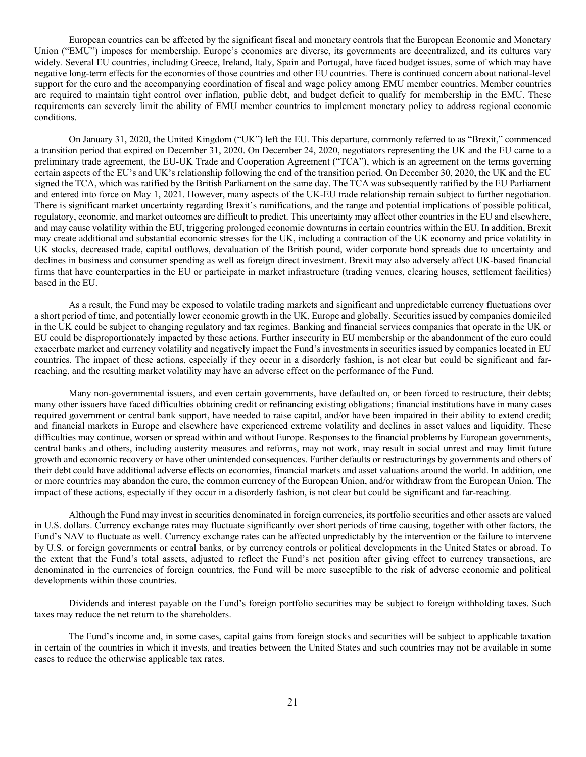European countries can be affected by the significant fiscal and monetary controls that the European Economic and Monetary Union ("EMU") imposes for membership. Europe's economies are diverse, its governments are decentralized, and its cultures vary widely. Several EU countries, including Greece, Ireland, Italy, Spain and Portugal, have faced budget issues, some of which may have negative long-term effects for the economies of those countries and other EU countries. There is continued concern about national-level support for the euro and the accompanying coordination of fiscal and wage policy among EMU member countries. Member countries are required to maintain tight control over inflation, public debt, and budget deficit to qualify for membership in the EMU. These requirements can severely limit the ability of EMU member countries to implement monetary policy to address regional economic conditions.

On January 31, 2020, the United Kingdom ("UK") left the EU. This departure, commonly referred to as "Brexit," commenced a transition period that expired on December 31, 2020. On December 24, 2020, negotiators representing the UK and the EU came to a preliminary trade agreement, the EU-UK Trade and Cooperation Agreement ("TCA"), which is an agreement on the terms governing certain aspects of the EU's and UK's relationship following the end of the transition period. On December 30, 2020, the UK and the EU signed the TCA, which was ratified by the British Parliament on the same day. The TCA was subsequently ratified by the EU Parliament and entered into force on May 1, 2021. However, many aspects of the UK-EU trade relationship remain subject to further negotiation. There is significant market uncertainty regarding Brexit's ramifications, and the range and potential implications of possible political, regulatory, economic, and market outcomes are difficult to predict. This uncertainty may affect other countries in the EU and elsewhere, and may cause volatility within the EU, triggering prolonged economic downturns in certain countries within the EU. In addition, Brexit may create additional and substantial economic stresses for the UK, including a contraction of the UK economy and price volatility in UK stocks, decreased trade, capital outflows, devaluation of the British pound, wider corporate bond spreads due to uncertainty and declines in business and consumer spending as well as foreign direct investment. Brexit may also adversely affect UK-based financial firms that have counterparties in the EU or participate in market infrastructure (trading venues, clearing houses, settlement facilities) based in the EU.

As a result, the Fund may be exposed to volatile trading markets and significant and unpredictable currency fluctuations over a short period of time, and potentially lower economic growth in the UK, Europe and globally. Securities issued by companies domiciled in the UK could be subject to changing regulatory and tax regimes. Banking and financial services companies that operate in the UK or EU could be disproportionately impacted by these actions. Further insecurity in EU membership or the abandonment of the euro could exacerbate market and currency volatility and negatively impact the Fund's investments in securities issued by companies located in EU countries. The impact of these actions, especially if they occur in a disorderly fashion, is not clear but could be significant and farreaching, and the resulting market volatility may have an adverse effect on the performance of the Fund.

Many non-governmental issuers, and even certain governments, have defaulted on, or been forced to restructure, their debts; many other issuers have faced difficulties obtaining credit or refinancing existing obligations; financial institutions have in many cases required government or central bank support, have needed to raise capital, and/or have been impaired in their ability to extend credit; and financial markets in Europe and elsewhere have experienced extreme volatility and declines in asset values and liquidity. These difficulties may continue, worsen or spread within and without Europe. Responses to the financial problems by European governments, central banks and others, including austerity measures and reforms, may not work, may result in social unrest and may limit future growth and economic recovery or have other unintended consequences. Further defaults or restructurings by governments and others of their debt could have additional adverse effects on economies, financial markets and asset valuations around the world. In addition, one or more countries may abandon the euro, the common currency of the European Union, and/or withdraw from the European Union. The impact of these actions, especially if they occur in a disorderly fashion, is not clear but could be significant and far-reaching.

Although the Fund may invest in securities denominated in foreign currencies, its portfolio securities and other assets are valued in U.S. dollars. Currency exchange rates may fluctuate significantly over short periods of time causing, together with other factors, the Fund's NAV to fluctuate as well. Currency exchange rates can be affected unpredictably by the intervention or the failure to intervene by U.S. or foreign governments or central banks, or by currency controls or political developments in the United States or abroad. To the extent that the Fund's total assets, adjusted to reflect the Fund's net position after giving effect to currency transactions, are denominated in the currencies of foreign countries, the Fund will be more susceptible to the risk of adverse economic and political developments within those countries.

Dividends and interest payable on the Fund's foreign portfolio securities may be subject to foreign withholding taxes. Such taxes may reduce the net return to the shareholders.

The Fund's income and, in some cases, capital gains from foreign stocks and securities will be subject to applicable taxation in certain of the countries in which it invests, and treaties between the United States and such countries may not be available in some cases to reduce the otherwise applicable tax rates.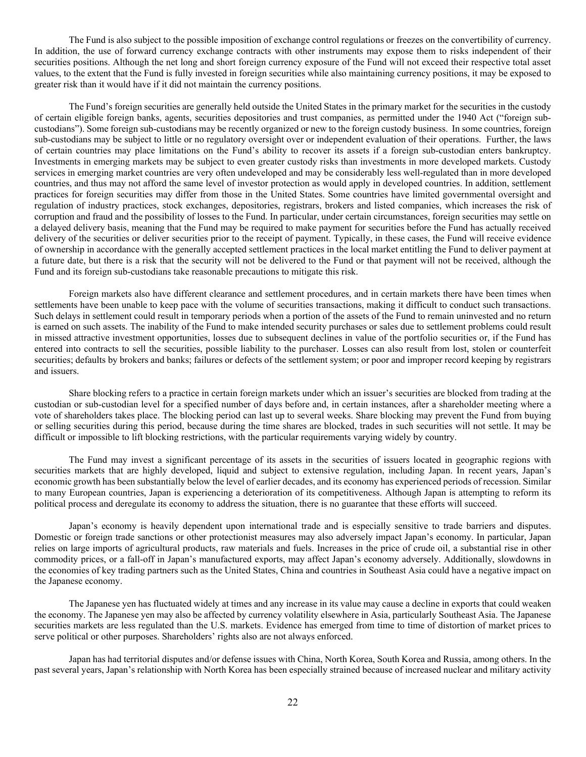The Fund is also subject to the possible imposition of exchange control regulations or freezes on the convertibility of currency. In addition, the use of forward currency exchange contracts with other instruments may expose them to risks independent of their securities positions. Although the net long and short foreign currency exposure of the Fund will not exceed their respective total asset values, to the extent that the Fund is fully invested in foreign securities while also maintaining currency positions, it may be exposed to greater risk than it would have if it did not maintain the currency positions.

The Fund's foreign securities are generally held outside the United States in the primary market for the securities in the custody of certain eligible foreign banks, agents, securities depositories and trust companies, as permitted under the 1940 Act ("foreign subcustodians"). Some foreign sub-custodians may be recently organized or new to the foreign custody business. In some countries, foreign sub-custodians may be subject to little or no regulatory oversight over or independent evaluation of their operations. Further, the laws of certain countries may place limitations on the Fund's ability to recover its assets if a foreign sub-custodian enters bankruptcy. Investments in emerging markets may be subject to even greater custody risks than investments in more developed markets. Custody services in emerging market countries are very often undeveloped and may be considerably less well-regulated than in more developed countries, and thus may not afford the same level of investor protection as would apply in developed countries. In addition, settlement practices for foreign securities may differ from those in the United States. Some countries have limited governmental oversight and regulation of industry practices, stock exchanges, depositories, registrars, brokers and listed companies, which increases the risk of corruption and fraud and the possibility of losses to the Fund. In particular, under certain circumstances, foreign securities may settle on a delayed delivery basis, meaning that the Fund may be required to make payment for securities before the Fund has actually received delivery of the securities or deliver securities prior to the receipt of payment. Typically, in these cases, the Fund will receive evidence of ownership in accordance with the generally accepted settlement practices in the local market entitling the Fund to deliver payment at a future date, but there is a risk that the security will not be delivered to the Fund or that payment will not be received, although the Fund and its foreign sub-custodians take reasonable precautions to mitigate this risk.

Foreign markets also have different clearance and settlement procedures, and in certain markets there have been times when settlements have been unable to keep pace with the volume of securities transactions, making it difficult to conduct such transactions. Such delays in settlement could result in temporary periods when a portion of the assets of the Fund to remain uninvested and no return is earned on such assets. The inability of the Fund to make intended security purchases or sales due to settlement problems could result in missed attractive investment opportunities, losses due to subsequent declines in value of the portfolio securities or, if the Fund has entered into contracts to sell the securities, possible liability to the purchaser. Losses can also result from lost, stolen or counterfeit securities; defaults by brokers and banks; failures or defects of the settlement system; or poor and improper record keeping by registrars and issuers.

Share blocking refers to a practice in certain foreign markets under which an issuer's securities are blocked from trading at the custodian or sub-custodian level for a specified number of days before and, in certain instances, after a shareholder meeting where a vote of shareholders takes place. The blocking period can last up to several weeks. Share blocking may prevent the Fund from buying or selling securities during this period, because during the time shares are blocked, trades in such securities will not settle. It may be difficult or impossible to lift blocking restrictions, with the particular requirements varying widely by country.

The Fund may invest a significant percentage of its assets in the securities of issuers located in geographic regions with securities markets that are highly developed, liquid and subject to extensive regulation, including Japan. In recent years, Japan's economic growth has been substantially below the level of earlier decades, and its economy has experienced periods of recession. Similar to many European countries, Japan is experiencing a deterioration of its competitiveness. Although Japan is attempting to reform its political process and deregulate its economy to address the situation, there is no guarantee that these efforts will succeed.

Japan's economy is heavily dependent upon international trade and is especially sensitive to trade barriers and disputes. Domestic or foreign trade sanctions or other protectionist measures may also adversely impact Japan's economy. In particular, Japan relies on large imports of agricultural products, raw materials and fuels. Increases in the price of crude oil, a substantial rise in other commodity prices, or a fall-off in Japan's manufactured exports, may affect Japan's economy adversely. Additionally, slowdowns in the economies of key trading partners such as the United States, China and countries in Southeast Asia could have a negative impact on the Japanese economy.

The Japanese yen has fluctuated widely at times and any increase in its value may cause a decline in exports that could weaken the economy. The Japanese yen may also be affected by currency volatility elsewhere in Asia, particularly Southeast Asia. The Japanese securities markets are less regulated than the U.S. markets. Evidence has emerged from time to time of distortion of market prices to serve political or other purposes. Shareholders' rights also are not always enforced.

Japan has had territorial disputes and/or defense issues with China, North Korea, South Korea and Russia, among others. In the past several years, Japan's relationship with North Korea has been especially strained because of increased nuclear and military activity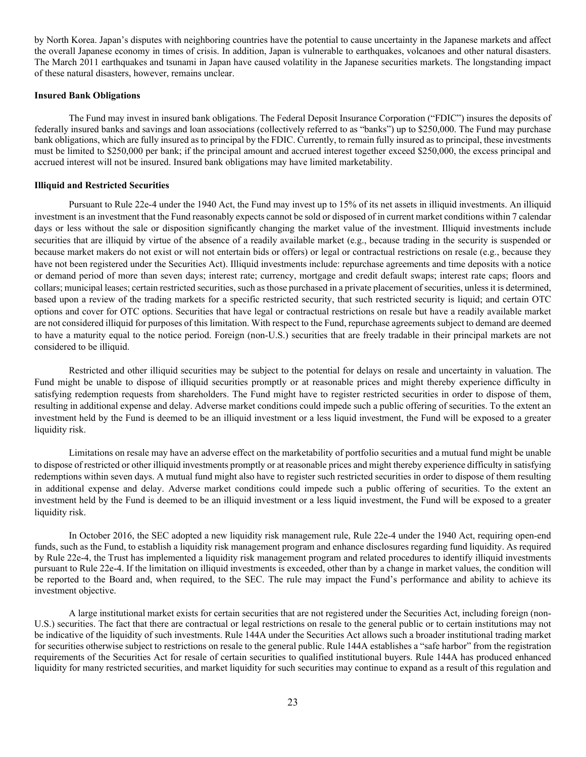by North Korea. Japan's disputes with neighboring countries have the potential to cause uncertainty in the Japanese markets and affect the overall Japanese economy in times of crisis. In addition, Japan is vulnerable to earthquakes, volcanoes and other natural disasters. The March 2011 earthquakes and tsunami in Japan have caused volatility in the Japanese securities markets. The longstanding impact of these natural disasters, however, remains unclear.

### **Insured Bank Obligations**

The Fund may invest in insured bank obligations. The Federal Deposit Insurance Corporation ("FDIC") insures the deposits of federally insured banks and savings and loan associations (collectively referred to as "banks") up to \$250,000. The Fund may purchase bank obligations, which are fully insured as to principal by the FDIC. Currently, to remain fully insured as to principal, these investments must be limited to \$250,000 per bank; if the principal amount and accrued interest together exceed \$250,000, the excess principal and accrued interest will not be insured. Insured bank obligations may have limited marketability.

### **Illiquid and Restricted Securities**

Pursuant to Rule 22e-4 under the 1940 Act, the Fund may invest up to 15% of its net assets in illiquid investments. An illiquid investment is an investment that the Fund reasonably expects cannot be sold or disposed of in current market conditions within 7 calendar days or less without the sale or disposition significantly changing the market value of the investment. Illiquid investments include securities that are illiquid by virtue of the absence of a readily available market (e.g., because trading in the security is suspended or because market makers do not exist or will not entertain bids or offers) or legal or contractual restrictions on resale (e.g., because they have not been registered under the Securities Act). Illiquid investments include: repurchase agreements and time deposits with a notice or demand period of more than seven days; interest rate; currency, mortgage and credit default swaps; interest rate caps; floors and collars; municipal leases; certain restricted securities, such as those purchased in a private placement of securities, unless it is determined, based upon a review of the trading markets for a specific restricted security, that such restricted security is liquid; and certain OTC options and cover for OTC options. Securities that have legal or contractual restrictions on resale but have a readily available market are not considered illiquid for purposes of this limitation. With respect to the Fund, repurchase agreements subject to demand are deemed to have a maturity equal to the notice period. Foreign (non-U.S.) securities that are freely tradable in their principal markets are not considered to be illiquid.

Restricted and other illiquid securities may be subject to the potential for delays on resale and uncertainty in valuation. The Fund might be unable to dispose of illiquid securities promptly or at reasonable prices and might thereby experience difficulty in satisfying redemption requests from shareholders. The Fund might have to register restricted securities in order to dispose of them, resulting in additional expense and delay. Adverse market conditions could impede such a public offering of securities. To the extent an investment held by the Fund is deemed to be an illiquid investment or a less liquid investment, the Fund will be exposed to a greater liquidity risk.

Limitations on resale may have an adverse effect on the marketability of portfolio securities and a mutual fund might be unable to dispose of restricted or other illiquid investments promptly or at reasonable prices and might thereby experience difficulty in satisfying redemptions within seven days. A mutual fund might also have to register such restricted securities in order to dispose of them resulting in additional expense and delay. Adverse market conditions could impede such a public offering of securities. To the extent an investment held by the Fund is deemed to be an illiquid investment or a less liquid investment, the Fund will be exposed to a greater liquidity risk.

In October 2016, the SEC adopted a new liquidity risk management rule, Rule 22e-4 under the 1940 Act, requiring open-end funds, such as the Fund, to establish a liquidity risk management program and enhance disclosures regarding fund liquidity. As required by Rule 22e-4, the Trust has implemented a liquidity risk management program and related procedures to identify illiquid investments pursuant to Rule 22e-4. If the limitation on illiquid investments is exceeded, other than by a change in market values, the condition will be reported to the Board and, when required, to the SEC. The rule may impact the Fund's performance and ability to achieve its investment objective.

A large institutional market exists for certain securities that are not registered under the Securities Act, including foreign (non-U.S.) securities. The fact that there are contractual or legal restrictions on resale to the general public or to certain institutions may not be indicative of the liquidity of such investments. Rule 144A under the Securities Act allows such a broader institutional trading market for securities otherwise subject to restrictions on resale to the general public. Rule 144A establishes a "safe harbor" from the registration requirements of the Securities Act for resale of certain securities to qualified institutional buyers. Rule 144A has produced enhanced liquidity for many restricted securities, and market liquidity for such securities may continue to expand as a result of this regulation and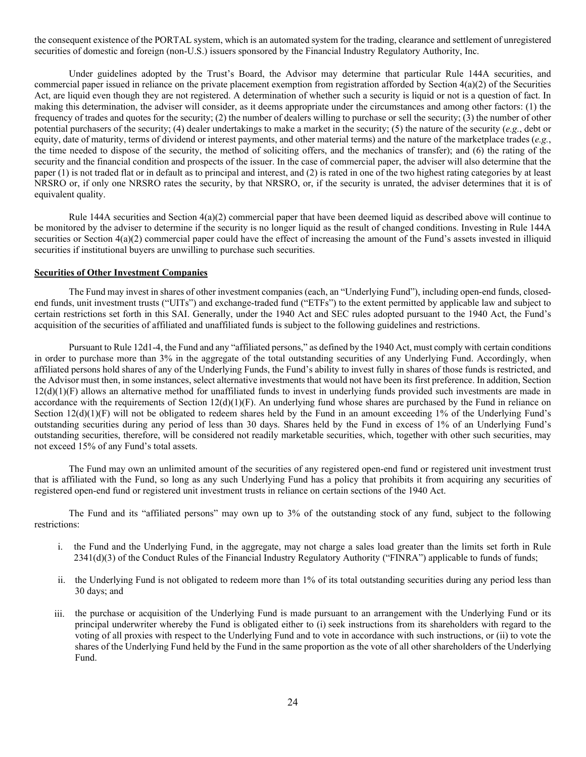the consequent existence of the PORTAL system, which is an automated system for the trading, clearance and settlement of unregistered securities of domestic and foreign (non-U.S.) issuers sponsored by the Financial Industry Regulatory Authority, Inc.

Under guidelines adopted by the Trust's Board, the Advisor may determine that particular Rule 144A securities, and commercial paper issued in reliance on the private placement exemption from registration afforded by Section 4(a)(2) of the Securities Act, are liquid even though they are not registered. A determination of whether such a security is liquid or not is a question of fact. In making this determination, the adviser will consider, as it deems appropriate under the circumstances and among other factors: (1) the frequency of trades and quotes for the security; (2) the number of dealers willing to purchase or sell the security; (3) the number of other potential purchasers of the security; (4) dealer undertakings to make a market in the security; (5) the nature of the security (*e.g.*, debt or equity, date of maturity, terms of dividend or interest payments, and other material terms) and the nature of the marketplace trades (*e.g.*, the time needed to dispose of the security, the method of soliciting offers, and the mechanics of transfer); and (6) the rating of the security and the financial condition and prospects of the issuer. In the case of commercial paper, the adviser will also determine that the paper (1) is not traded flat or in default as to principal and interest, and (2) is rated in one of the two highest rating categories by at least NRSRO or, if only one NRSRO rates the security, by that NRSRO, or, if the security is unrated, the adviser determines that it is of equivalent quality.

Rule 144A securities and Section 4(a)(2) commercial paper that have been deemed liquid as described above will continue to be monitored by the adviser to determine if the security is no longer liquid as the result of changed conditions. Investing in Rule 144A securities or Section 4(a)(2) commercial paper could have the effect of increasing the amount of the Fund's assets invested in illiquid securities if institutional buyers are unwilling to purchase such securities.

### **Securities of Other Investment Companies**

The Fund may invest in shares of other investment companies (each, an "Underlying Fund"), including open-end funds, closedend funds, unit investment trusts ("UITs") and exchange-traded fund ("ETFs") to the extent permitted by applicable law and subject to certain restrictions set forth in this SAI. Generally, under the 1940 Act and SEC rules adopted pursuant to the 1940 Act, the Fund's acquisition of the securities of affiliated and unaffiliated funds is subject to the following guidelines and restrictions.

Pursuant to Rule 12d1-4, the Fund and any "affiliated persons," as defined by the 1940 Act, must comply with certain conditions in order to purchase more than 3% in the aggregate of the total outstanding securities of any Underlying Fund. Accordingly, when affiliated persons hold shares of any of the Underlying Funds, the Fund's ability to invest fully in shares of those funds is restricted, and the Advisor must then, in some instances, select alternative investments that would not have been its first preference. In addition, Section  $12(d)(1)(F)$  allows an alternative method for unaffiliated funds to invest in underlying funds provided such investments are made in accordance with the requirements of Section  $12(d)(1)(F)$ . An underlying fund whose shares are purchased by the Fund in reliance on Section  $12(d)(1)(F)$  will not be obligated to redeem shares held by the Fund in an amount exceeding 1% of the Underlying Fund's outstanding securities during any period of less than 30 days. Shares held by the Fund in excess of 1% of an Underlying Fund's outstanding securities, therefore, will be considered not readily marketable securities, which, together with other such securities, may not exceed 15% of any Fund's total assets.

The Fund may own an unlimited amount of the securities of any registered open-end fund or registered unit investment trust that is affiliated with the Fund, so long as any such Underlying Fund has a policy that prohibits it from acquiring any securities of registered open-end fund or registered unit investment trusts in reliance on certain sections of the 1940 Act.

The Fund and its "affiliated persons" may own up to 3% of the outstanding stock of any fund, subject to the following restrictions:

- i. the Fund and the Underlying Fund, in the aggregate, may not charge a sales load greater than the limits set forth in Rule 2341(d)(3) of the Conduct Rules of the Financial Industry Regulatory Authority ("FINRA") applicable to funds of funds;
- ii. the Underlying Fund is not obligated to redeem more than 1% of its total outstanding securities during any period less than 30 days; and
- iii. the purchase or acquisition of the Underlying Fund is made pursuant to an arrangement with the Underlying Fund or its principal underwriter whereby the Fund is obligated either to (i) seek instructions from its shareholders with regard to the voting of all proxies with respect to the Underlying Fund and to vote in accordance with such instructions, or (ii) to vote the shares of the Underlying Fund held by the Fund in the same proportion as the vote of all other shareholders of the Underlying Fund.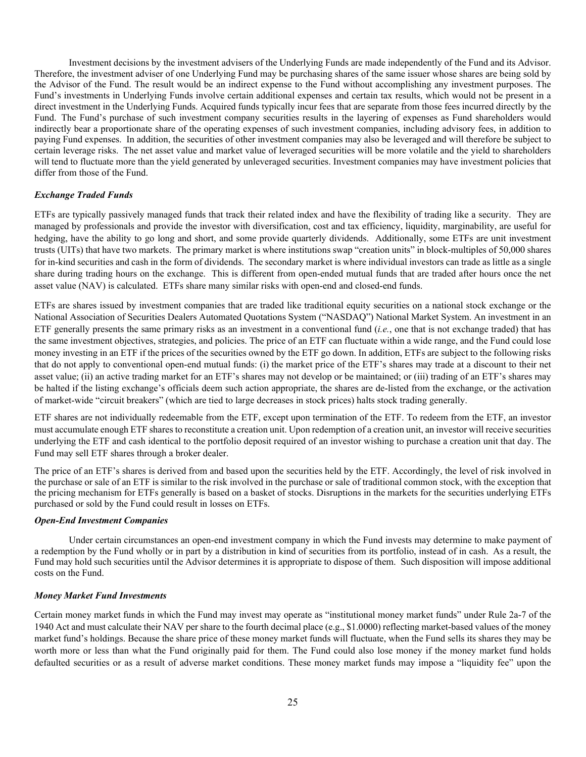Investment decisions by the investment advisers of the Underlying Funds are made independently of the Fund and its Advisor. Therefore, the investment adviser of one Underlying Fund may be purchasing shares of the same issuer whose shares are being sold by the Advisor of the Fund. The result would be an indirect expense to the Fund without accomplishing any investment purposes. The Fund's investments in Underlying Funds involve certain additional expenses and certain tax results, which would not be present in a direct investment in the Underlying Funds. Acquired funds typically incur fees that are separate from those fees incurred directly by the Fund. The Fund's purchase of such investment company securities results in the layering of expenses as Fund shareholders would indirectly bear a proportionate share of the operating expenses of such investment companies, including advisory fees, in addition to paying Fund expenses. In addition, the securities of other investment companies may also be leveraged and will therefore be subject to certain leverage risks. The net asset value and market value of leveraged securities will be more volatile and the yield to shareholders will tend to fluctuate more than the yield generated by unleveraged securities. Investment companies may have investment policies that differ from those of the Fund.

# *Exchange Traded Funds*

ETFs are typically passively managed funds that track their related index and have the flexibility of trading like a security. They are managed by professionals and provide the investor with diversification, cost and tax efficiency, liquidity, marginability, are useful for hedging, have the ability to go long and short, and some provide quarterly dividends. Additionally, some ETFs are unit investment trusts (UITs) that have two markets. The primary market is where institutions swap "creation units" in block-multiples of 50,000 shares for in-kind securities and cash in the form of dividends. The secondary market is where individual investors can trade as little as a single share during trading hours on the exchange. This is different from open-ended mutual funds that are traded after hours once the net asset value (NAV) is calculated. ETFs share many similar risks with open-end and closed-end funds.

ETFs are shares issued by investment companies that are traded like traditional equity securities on a national stock exchange or the National Association of Securities Dealers Automated Quotations System ("NASDAQ") National Market System. An investment in an ETF generally presents the same primary risks as an investment in a conventional fund (*i.e.*, one that is not exchange traded) that has the same investment objectives, strategies, and policies. The price of an ETF can fluctuate within a wide range, and the Fund could lose money investing in an ETF if the prices of the securities owned by the ETF go down. In addition, ETFs are subject to the following risks that do not apply to conventional open-end mutual funds: (i) the market price of the ETF's shares may trade at a discount to their net asset value; (ii) an active trading market for an ETF's shares may not develop or be maintained; or (iii) trading of an ETF's shares may be halted if the listing exchange's officials deem such action appropriate, the shares are de-listed from the exchange, or the activation of market-wide "circuit breakers" (which are tied to large decreases in stock prices) halts stock trading generally.

ETF shares are not individually redeemable from the ETF, except upon termination of the ETF. To redeem from the ETF, an investor must accumulate enough ETF shares to reconstitute a creation unit. Upon redemption of a creation unit, an investor will receive securities underlying the ETF and cash identical to the portfolio deposit required of an investor wishing to purchase a creation unit that day. The Fund may sell ETF shares through a broker dealer.

The price of an ETF's shares is derived from and based upon the securities held by the ETF. Accordingly, the level of risk involved in the purchase or sale of an ETF is similar to the risk involved in the purchase or sale of traditional common stock, with the exception that the pricing mechanism for ETFs generally is based on a basket of stocks. Disruptions in the markets for the securities underlying ETFs purchased or sold by the Fund could result in losses on ETFs.

# *Open-End Investment Companies*

Under certain circumstances an open-end investment company in which the Fund invests may determine to make payment of a redemption by the Fund wholly or in part by a distribution in kind of securities from its portfolio, instead of in cash. As a result, the Fund may hold such securities until the Advisor determines it is appropriate to dispose of them. Such disposition will impose additional costs on the Fund.

#### *Money Market Fund Investments*

Certain money market funds in which the Fund may invest may operate as "institutional money market funds" under Rule 2a-7 of the 1940 Act and must calculate their NAV per share to the fourth decimal place (e.g., \$1.0000) reflecting market-based values of the money market fund's holdings. Because the share price of these money market funds will fluctuate, when the Fund sells its shares they may be worth more or less than what the Fund originally paid for them. The Fund could also lose money if the money market fund holds defaulted securities or as a result of adverse market conditions. These money market funds may impose a "liquidity fee" upon the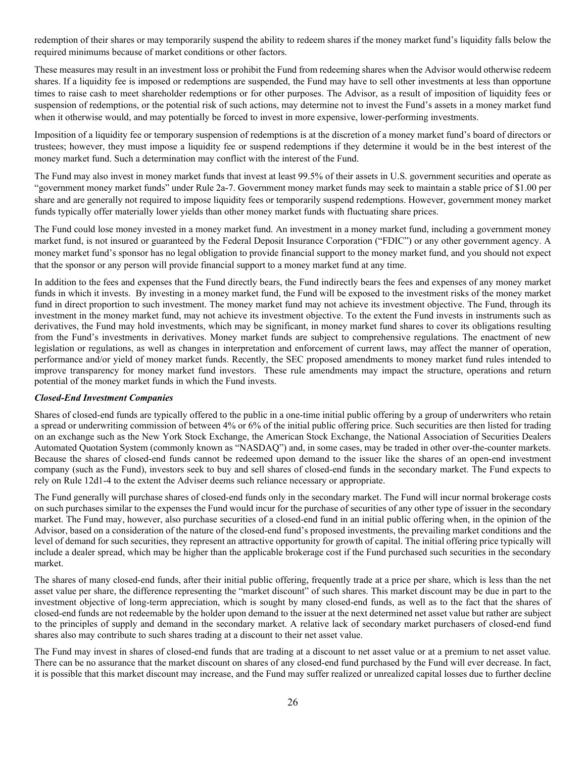redemption of their shares or may temporarily suspend the ability to redeem shares if the money market fund's liquidity falls below the required minimums because of market conditions or other factors.

These measures may result in an investment loss or prohibit the Fund from redeeming shares when the Advisor would otherwise redeem shares. If a liquidity fee is imposed or redemptions are suspended, the Fund may have to sell other investments at less than opportune times to raise cash to meet shareholder redemptions or for other purposes. The Advisor, as a result of imposition of liquidity fees or suspension of redemptions, or the potential risk of such actions, may determine not to invest the Fund's assets in a money market fund when it otherwise would, and may potentially be forced to invest in more expensive, lower-performing investments.

Imposition of a liquidity fee or temporary suspension of redemptions is at the discretion of a money market fund's board of directors or trustees; however, they must impose a liquidity fee or suspend redemptions if they determine it would be in the best interest of the money market fund. Such a determination may conflict with the interest of the Fund.

The Fund may also invest in money market funds that invest at least 99.5% of their assets in U.S. government securities and operate as "government money market funds" under Rule 2a-7. Government money market funds may seek to maintain a stable price of \$1.00 per share and are generally not required to impose liquidity fees or temporarily suspend redemptions. However, government money market funds typically offer materially lower yields than other money market funds with fluctuating share prices.

The Fund could lose money invested in a money market fund. An investment in a money market fund, including a government money market fund, is not insured or guaranteed by the Federal Deposit Insurance Corporation ("FDIC") or any other government agency. A money market fund's sponsor has no legal obligation to provide financial support to the money market fund, and you should not expect that the sponsor or any person will provide financial support to a money market fund at any time.

In addition to the fees and expenses that the Fund directly bears, the Fund indirectly bears the fees and expenses of any money market funds in which it invests. By investing in a money market fund, the Fund will be exposed to the investment risks of the money market fund in direct proportion to such investment. The money market fund may not achieve its investment objective. The Fund, through its investment in the money market fund, may not achieve its investment objective. To the extent the Fund invests in instruments such as derivatives, the Fund may hold investments, which may be significant, in money market fund shares to cover its obligations resulting from the Fund's investments in derivatives. Money market funds are subject to comprehensive regulations. The enactment of new legislation or regulations, as well as changes in interpretation and enforcement of current laws, may affect the manner of operation, performance and/or yield of money market funds. Recently, the SEC proposed amendments to money market fund rules intended to improve transparency for money market fund investors. These rule amendments may impact the structure, operations and return potential of the money market funds in which the Fund invests.

# *Closed-End Investment Companies*

Shares of closed-end funds are typically offered to the public in a one-time initial public offering by a group of underwriters who retain a spread or underwriting commission of between 4% or 6% of the initial public offering price. Such securities are then listed for trading on an exchange such as the New York Stock Exchange, the American Stock Exchange, the National Association of Securities Dealers Automated Quotation System (commonly known as "NASDAQ") and, in some cases, may be traded in other over-the-counter markets. Because the shares of closed-end funds cannot be redeemed upon demand to the issuer like the shares of an open-end investment company (such as the Fund), investors seek to buy and sell shares of closed-end funds in the secondary market. The Fund expects to rely on Rule 12d1-4 to the extent the Adviser deems such reliance necessary or appropriate.

The Fund generally will purchase shares of closed-end funds only in the secondary market. The Fund will incur normal brokerage costs on such purchases similar to the expenses the Fund would incur for the purchase of securities of any other type of issuer in the secondary market. The Fund may, however, also purchase securities of a closed-end fund in an initial public offering when, in the opinion of the Advisor, based on a consideration of the nature of the closed-end fund's proposed investments, the prevailing market conditions and the level of demand for such securities, they represent an attractive opportunity for growth of capital. The initial offering price typically will include a dealer spread, which may be higher than the applicable brokerage cost if the Fund purchased such securities in the secondary market.

The shares of many closed-end funds, after their initial public offering, frequently trade at a price per share, which is less than the net asset value per share, the difference representing the "market discount" of such shares. This market discount may be due in part to the investment objective of long-term appreciation, which is sought by many closed-end funds, as well as to the fact that the shares of closed-end funds are not redeemable by the holder upon demand to the issuer at the next determined net asset value but rather are subject to the principles of supply and demand in the secondary market. A relative lack of secondary market purchasers of closed-end fund shares also may contribute to such shares trading at a discount to their net asset value.

The Fund may invest in shares of closed-end funds that are trading at a discount to net asset value or at a premium to net asset value. There can be no assurance that the market discount on shares of any closed-end fund purchased by the Fund will ever decrease. In fact, it is possible that this market discount may increase, and the Fund may suffer realized or unrealized capital losses due to further decline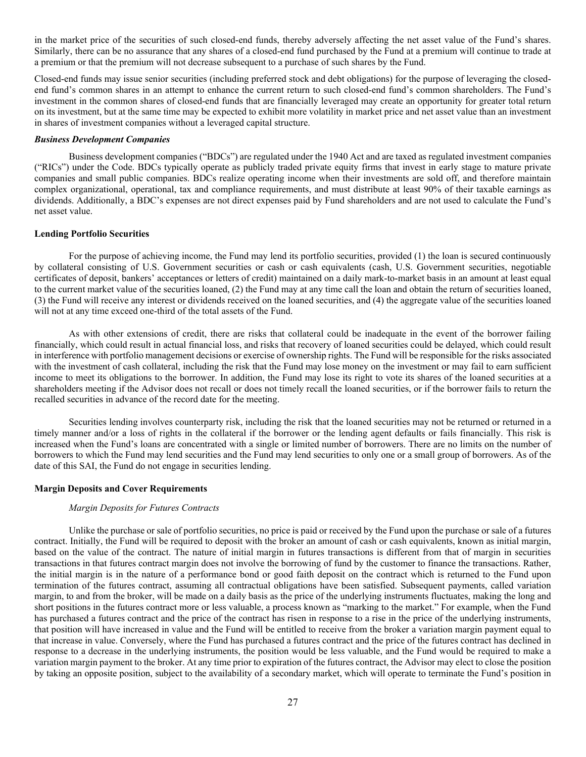in the market price of the securities of such closed-end funds, thereby adversely affecting the net asset value of the Fund's shares. Similarly, there can be no assurance that any shares of a closed-end fund purchased by the Fund at a premium will continue to trade at a premium or that the premium will not decrease subsequent to a purchase of such shares by the Fund.

Closed-end funds may issue senior securities (including preferred stock and debt obligations) for the purpose of leveraging the closedend fund's common shares in an attempt to enhance the current return to such closed-end fund's common shareholders. The Fund's investment in the common shares of closed-end funds that are financially leveraged may create an opportunity for greater total return on its investment, but at the same time may be expected to exhibit more volatility in market price and net asset value than an investment in shares of investment companies without a leveraged capital structure.

#### *Business Development Companies*

Business development companies ("BDCs") are regulated under the 1940 Act and are taxed as regulated investment companies ("RICs") under the Code. BDCs typically operate as publicly traded private equity firms that invest in early stage to mature private companies and small public companies. BDCs realize operating income when their investments are sold off, and therefore maintain complex organizational, operational, tax and compliance requirements, and must distribute at least 90% of their taxable earnings as dividends. Additionally, a BDC's expenses are not direct expenses paid by Fund shareholders and are not used to calculate the Fund's net asset value.

#### **Lending Portfolio Securities**

For the purpose of achieving income, the Fund may lend its portfolio securities, provided (1) the loan is secured continuously by collateral consisting of U.S. Government securities or cash or cash equivalents (cash, U.S. Government securities, negotiable certificates of deposit, bankers' acceptances or letters of credit) maintained on a daily mark-to-market basis in an amount at least equal to the current market value of the securities loaned, (2) the Fund may at any time call the loan and obtain the return of securities loaned, (3) the Fund will receive any interest or dividends received on the loaned securities, and (4) the aggregate value of the securities loaned will not at any time exceed one-third of the total assets of the Fund.

As with other extensions of credit, there are risks that collateral could be inadequate in the event of the borrower failing financially, which could result in actual financial loss, and risks that recovery of loaned securities could be delayed, which could result in interference with portfolio management decisions or exercise of ownership rights. The Fund will be responsible for the risks associated with the investment of cash collateral, including the risk that the Fund may lose money on the investment or may fail to earn sufficient income to meet its obligations to the borrower. In addition, the Fund may lose its right to vote its shares of the loaned securities at a shareholders meeting if the Advisor does not recall or does not timely recall the loaned securities, or if the borrower fails to return the recalled securities in advance of the record date for the meeting.

Securities lending involves counterparty risk, including the risk that the loaned securities may not be returned or returned in a timely manner and/or a loss of rights in the collateral if the borrower or the lending agent defaults or fails financially. This risk is increased when the Fund's loans are concentrated with a single or limited number of borrowers. There are no limits on the number of borrowers to which the Fund may lend securities and the Fund may lend securities to only one or a small group of borrowers. As of the date of this SAI, the Fund do not engage in securities lending.

#### **Margin Deposits and Cover Requirements**

#### *Margin Deposits for Futures Contracts*

Unlike the purchase or sale of portfolio securities, no price is paid or received by the Fund upon the purchase or sale of a futures contract. Initially, the Fund will be required to deposit with the broker an amount of cash or cash equivalents, known as initial margin, based on the value of the contract. The nature of initial margin in futures transactions is different from that of margin in securities transactions in that futures contract margin does not involve the borrowing of fund by the customer to finance the transactions. Rather, the initial margin is in the nature of a performance bond or good faith deposit on the contract which is returned to the Fund upon termination of the futures contract, assuming all contractual obligations have been satisfied. Subsequent payments, called variation margin, to and from the broker, will be made on a daily basis as the price of the underlying instruments fluctuates, making the long and short positions in the futures contract more or less valuable, a process known as "marking to the market." For example, when the Fund has purchased a futures contract and the price of the contract has risen in response to a rise in the price of the underlying instruments, that position will have increased in value and the Fund will be entitled to receive from the broker a variation margin payment equal to that increase in value. Conversely, where the Fund has purchased a futures contract and the price of the futures contract has declined in response to a decrease in the underlying instruments, the position would be less valuable, and the Fund would be required to make a variation margin payment to the broker. At any time prior to expiration of the futures contract, the Advisor may elect to close the position by taking an opposite position, subject to the availability of a secondary market, which will operate to terminate the Fund's position in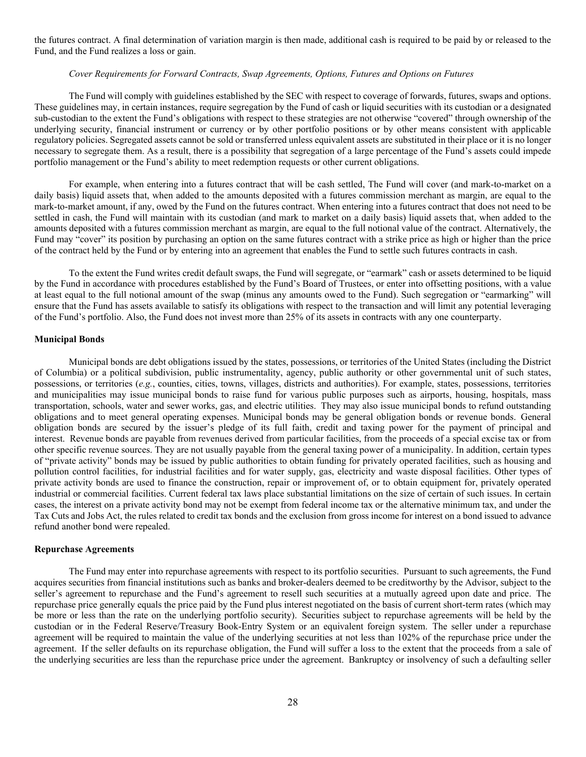the futures contract. A final determination of variation margin is then made, additional cash is required to be paid by or released to the Fund, and the Fund realizes a loss or gain.

# *Cover Requirements for Forward Contracts, Swap Agreements, Options, Futures and Options on Futures*

The Fund will comply with guidelines established by the SEC with respect to coverage of forwards, futures, swaps and options. These guidelines may, in certain instances, require segregation by the Fund of cash or liquid securities with its custodian or a designated sub-custodian to the extent the Fund's obligations with respect to these strategies are not otherwise "covered" through ownership of the underlying security, financial instrument or currency or by other portfolio positions or by other means consistent with applicable regulatory policies. Segregated assets cannot be sold or transferred unless equivalent assets are substituted in their place or it is no longer necessary to segregate them. As a result, there is a possibility that segregation of a large percentage of the Fund's assets could impede portfolio management or the Fund's ability to meet redemption requests or other current obligations.

For example, when entering into a futures contract that will be cash settled, The Fund will cover (and mark-to-market on a daily basis) liquid assets that, when added to the amounts deposited with a futures commission merchant as margin, are equal to the mark-to-market amount, if any, owed by the Fund on the futures contract. When entering into a futures contract that does not need to be settled in cash, the Fund will maintain with its custodian (and mark to market on a daily basis) liquid assets that, when added to the amounts deposited with a futures commission merchant as margin, are equal to the full notional value of the contract. Alternatively, the Fund may "cover" its position by purchasing an option on the same futures contract with a strike price as high or higher than the price of the contract held by the Fund or by entering into an agreement that enables the Fund to settle such futures contracts in cash.

To the extent the Fund writes credit default swaps, the Fund will segregate, or "earmark" cash or assets determined to be liquid by the Fund in accordance with procedures established by the Fund's Board of Trustees, or enter into offsetting positions, with a value at least equal to the full notional amount of the swap (minus any amounts owed to the Fund). Such segregation or "earmarking" will ensure that the Fund has assets available to satisfy its obligations with respect to the transaction and will limit any potential leveraging of the Fund's portfolio. Also, the Fund does not invest more than 25% of its assets in contracts with any one counterparty.

#### **Municipal Bonds**

Municipal bonds are debt obligations issued by the states, possessions, or territories of the United States (including the District of Columbia) or a political subdivision, public instrumentality, agency, public authority or other governmental unit of such states, possessions, or territories (*e.g.*, counties, cities, towns, villages, districts and authorities). For example, states, possessions, territories and municipalities may issue municipal bonds to raise fund for various public purposes such as airports, housing, hospitals, mass transportation, schools, water and sewer works, gas, and electric utilities. They may also issue municipal bonds to refund outstanding obligations and to meet general operating expenses. Municipal bonds may be general obligation bonds or revenue bonds. General obligation bonds are secured by the issuer's pledge of its full faith, credit and taxing power for the payment of principal and interest. Revenue bonds are payable from revenues derived from particular facilities, from the proceeds of a special excise tax or from other specific revenue sources. They are not usually payable from the general taxing power of a municipality. In addition, certain types of "private activity" bonds may be issued by public authorities to obtain funding for privately operated facilities, such as housing and pollution control facilities, for industrial facilities and for water supply, gas, electricity and waste disposal facilities. Other types of private activity bonds are used to finance the construction, repair or improvement of, or to obtain equipment for, privately operated industrial or commercial facilities. Current federal tax laws place substantial limitations on the size of certain of such issues. In certain cases, the interest on a private activity bond may not be exempt from federal income tax or the alternative minimum tax, and under the Tax Cuts and Jobs Act, the rules related to credit tax bonds and the exclusion from gross income for interest on a bond issued to advance refund another bond were repealed.

#### **Repurchase Agreements**

The Fund may enter into repurchase agreements with respect to its portfolio securities. Pursuant to such agreements, the Fund acquires securities from financial institutions such as banks and broker-dealers deemed to be creditworthy by the Advisor, subject to the seller's agreement to repurchase and the Fund's agreement to resell such securities at a mutually agreed upon date and price. The repurchase price generally equals the price paid by the Fund plus interest negotiated on the basis of current short-term rates (which may be more or less than the rate on the underlying portfolio security). Securities subject to repurchase agreements will be held by the custodian or in the Federal Reserve/Treasury Book-Entry System or an equivalent foreign system. The seller under a repurchase agreement will be required to maintain the value of the underlying securities at not less than 102% of the repurchase price under the agreement. If the seller defaults on its repurchase obligation, the Fund will suffer a loss to the extent that the proceeds from a sale of the underlying securities are less than the repurchase price under the agreement. Bankruptcy or insolvency of such a defaulting seller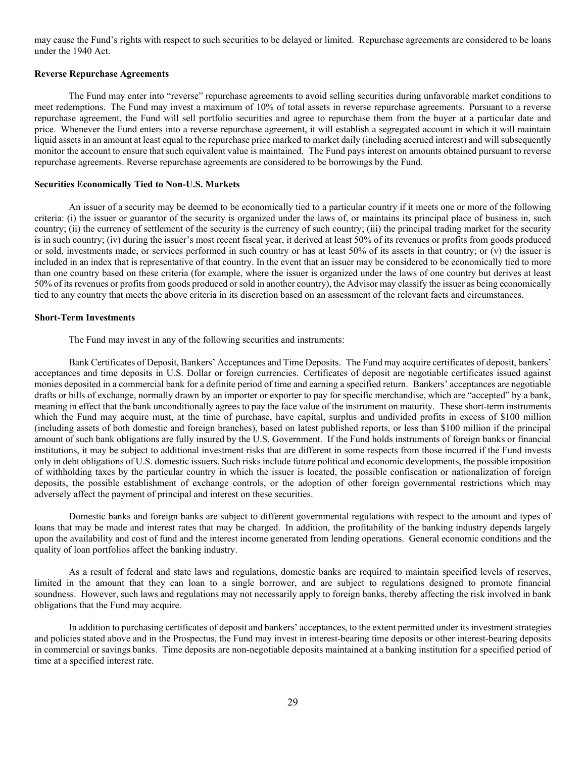may cause the Fund's rights with respect to such securities to be delayed or limited. Repurchase agreements are considered to be loans under the 1940 Act.

# **Reverse Repurchase Agreements**

The Fund may enter into "reverse" repurchase agreements to avoid selling securities during unfavorable market conditions to meet redemptions. The Fund may invest a maximum of 10% of total assets in reverse repurchase agreements. Pursuant to a reverse repurchase agreement, the Fund will sell portfolio securities and agree to repurchase them from the buyer at a particular date and price. Whenever the Fund enters into a reverse repurchase agreement, it will establish a segregated account in which it will maintain liquid assets in an amount at least equal to the repurchase price marked to market daily (including accrued interest) and will subsequently monitor the account to ensure that such equivalent value is maintained. The Fund pays interest on amounts obtained pursuant to reverse repurchase agreements. Reverse repurchase agreements are considered to be borrowings by the Fund.

### **Securities Economically Tied to Non-U.S. Markets**

An issuer of a security may be deemed to be economically tied to a particular country if it meets one or more of the following criteria: (i) the issuer or guarantor of the security is organized under the laws of, or maintains its principal place of business in, such country; (ii) the currency of settlement of the security is the currency of such country; (iii) the principal trading market for the security is in such country; (iv) during the issuer's most recent fiscal year, it derived at least 50% of its revenues or profits from goods produced or sold, investments made, or services performed in such country or has at least 50% of its assets in that country; or (v) the issuer is included in an index that is representative of that country. In the event that an issuer may be considered to be economically tied to more than one country based on these criteria (for example, where the issuer is organized under the laws of one country but derives at least 50% of its revenues or profits from goods produced or sold in another country), the Advisor may classify the issuer as being economically tied to any country that meets the above criteria in its discretion based on an assessment of the relevant facts and circumstances.

#### **Short-Term Investments**

The Fund may invest in any of the following securities and instruments:

Bank Certificates of Deposit, Bankers' Acceptances and Time Deposits.The Fund may acquire certificates of deposit, bankers' acceptances and time deposits in U.S. Dollar or foreign currencies. Certificates of deposit are negotiable certificates issued against monies deposited in a commercial bank for a definite period of time and earning a specified return. Bankers' acceptances are negotiable drafts or bills of exchange, normally drawn by an importer or exporter to pay for specific merchandise, which are "accepted" by a bank, meaning in effect that the bank unconditionally agrees to pay the face value of the instrument on maturity. These short-term instruments which the Fund may acquire must, at the time of purchase, have capital, surplus and undivided profits in excess of \$100 million (including assets of both domestic and foreign branches), based on latest published reports, or less than \$100 million if the principal amount of such bank obligations are fully insured by the U.S. Government. If the Fund holds instruments of foreign banks or financial institutions, it may be subject to additional investment risks that are different in some respects from those incurred if the Fund invests only in debt obligations of U.S. domestic issuers. Such risks include future political and economic developments, the possible imposition of withholding taxes by the particular country in which the issuer is located, the possible confiscation or nationalization of foreign deposits, the possible establishment of exchange controls, or the adoption of other foreign governmental restrictions which may adversely affect the payment of principal and interest on these securities.

Domestic banks and foreign banks are subject to different governmental regulations with respect to the amount and types of loans that may be made and interest rates that may be charged. In addition, the profitability of the banking industry depends largely upon the availability and cost of fund and the interest income generated from lending operations. General economic conditions and the quality of loan portfolios affect the banking industry.

As a result of federal and state laws and regulations, domestic banks are required to maintain specified levels of reserves, limited in the amount that they can loan to a single borrower, and are subject to regulations designed to promote financial soundness. However, such laws and regulations may not necessarily apply to foreign banks, thereby affecting the risk involved in bank obligations that the Fund may acquire.

In addition to purchasing certificates of deposit and bankers' acceptances, to the extent permitted under its investment strategies and policies stated above and in the Prospectus, the Fund may invest in interest-bearing time deposits or other interest-bearing deposits in commercial or savings banks. Time deposits are non-negotiable deposits maintained at a banking institution for a specified period of time at a specified interest rate.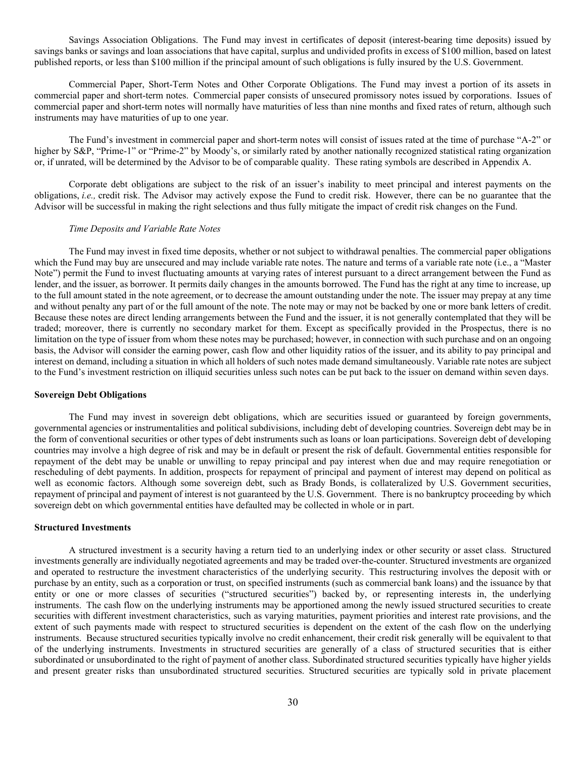Savings Association Obligations. The Fund may invest in certificates of deposit (interest-bearing time deposits) issued by savings banks or savings and loan associations that have capital, surplus and undivided profits in excess of \$100 million, based on latest published reports, or less than \$100 million if the principal amount of such obligations is fully insured by the U.S. Government.

Commercial Paper, Short-Term Notes and Other Corporate Obligations. The Fund may invest a portion of its assets in commercial paper and short-term notes. Commercial paper consists of unsecured promissory notes issued by corporations. Issues of commercial paper and short-term notes will normally have maturities of less than nine months and fixed rates of return, although such instruments may have maturities of up to one year.

The Fund's investment in commercial paper and short-term notes will consist of issues rated at the time of purchase "A-2" or higher by S&P, "Prime-1" or "Prime-2" by Moody's, or similarly rated by another nationally recognized statistical rating organization or, if unrated, will be determined by the Advisor to be of comparable quality. These rating symbols are described in Appendix A.

Corporate debt obligations are subject to the risk of an issuer's inability to meet principal and interest payments on the obligations, *i.e.,* credit risk. The Advisor may actively expose the Fund to credit risk. However, there can be no guarantee that the Advisor will be successful in making the right selections and thus fully mitigate the impact of credit risk changes on the Fund.

#### *Time Deposits and Variable Rate Notes*

The Fund may invest in fixed time deposits, whether or not subject to withdrawal penalties. The commercial paper obligations which the Fund may buy are unsecured and may include variable rate notes. The nature and terms of a variable rate note (i.e., a "Master Note") permit the Fund to invest fluctuating amounts at varying rates of interest pursuant to a direct arrangement between the Fund as lender, and the issuer, as borrower. It permits daily changes in the amounts borrowed. The Fund has the right at any time to increase, up to the full amount stated in the note agreement, or to decrease the amount outstanding under the note. The issuer may prepay at any time and without penalty any part of or the full amount of the note. The note may or may not be backed by one or more bank letters of credit. Because these notes are direct lending arrangements between the Fund and the issuer, it is not generally contemplated that they will be traded; moreover, there is currently no secondary market for them. Except as specifically provided in the Prospectus, there is no limitation on the type of issuer from whom these notes may be purchased; however, in connection with such purchase and on an ongoing basis, the Advisor will consider the earning power, cash flow and other liquidity ratios of the issuer, and its ability to pay principal and interest on demand, including a situation in which all holders of such notes made demand simultaneously. Variable rate notes are subject to the Fund's investment restriction on illiquid securities unless such notes can be put back to the issuer on demand within seven days.

### **Sovereign Debt Obligations**

The Fund may invest in sovereign debt obligations, which are securities issued or guaranteed by foreign governments, governmental agencies or instrumentalities and political subdivisions, including debt of developing countries. Sovereign debt may be in the form of conventional securities or other types of debt instruments such as loans or loan participations. Sovereign debt of developing countries may involve a high degree of risk and may be in default or present the risk of default. Governmental entities responsible for repayment of the debt may be unable or unwilling to repay principal and pay interest when due and may require renegotiation or rescheduling of debt payments. In addition, prospects for repayment of principal and payment of interest may depend on political as well as economic factors. Although some sovereign debt, such as Brady Bonds, is collateralized by U.S. Government securities, repayment of principal and payment of interest is not guaranteed by the U.S. Government. There is no bankruptcy proceeding by which sovereign debt on which governmental entities have defaulted may be collected in whole or in part.

#### **Structured Investments**

A structured investment is a security having a return tied to an underlying index or other security or asset class. Structured investments generally are individually negotiated agreements and may be traded over-the-counter. Structured investments are organized and operated to restructure the investment characteristics of the underlying security. This restructuring involves the deposit with or purchase by an entity, such as a corporation or trust, on specified instruments (such as commercial bank loans) and the issuance by that entity or one or more classes of securities ("structured securities") backed by, or representing interests in, the underlying instruments. The cash flow on the underlying instruments may be apportioned among the newly issued structured securities to create securities with different investment characteristics, such as varying maturities, payment priorities and interest rate provisions, and the extent of such payments made with respect to structured securities is dependent on the extent of the cash flow on the underlying instruments. Because structured securities typically involve no credit enhancement, their credit risk generally will be equivalent to that of the underlying instruments. Investments in structured securities are generally of a class of structured securities that is either subordinated or unsubordinated to the right of payment of another class. Subordinated structured securities typically have higher yields and present greater risks than unsubordinated structured securities. Structured securities are typically sold in private placement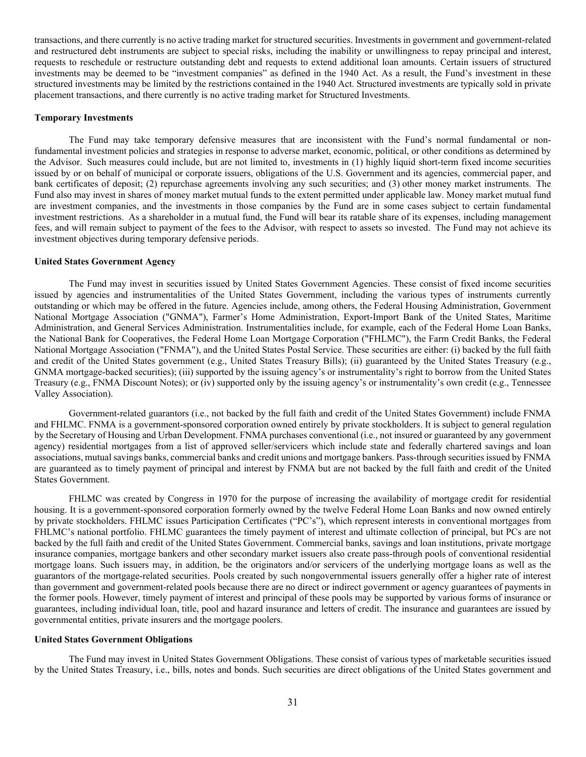transactions, and there currently is no active trading market for structured securities. Investments in government and government-related and restructured debt instruments are subject to special risks, including the inability or unwillingness to repay principal and interest, requests to reschedule or restructure outstanding debt and requests to extend additional loan amounts. Certain issuers of structured investments may be deemed to be "investment companies" as defined in the 1940 Act. As a result, the Fund's investment in these structured investments may be limited by the restrictions contained in the 1940 Act. Structured investments are typically sold in private placement transactions, and there currently is no active trading market for Structured Investments.

## **Temporary Investments**

The Fund may take temporary defensive measures that are inconsistent with the Fund's normal fundamental or nonfundamental investment policies and strategies in response to adverse market, economic, political, or other conditions as determined by the Advisor. Such measures could include, but are not limited to, investments in (1) highly liquid short-term fixed income securities issued by or on behalf of municipal or corporate issuers, obligations of the U.S. Government and its agencies, commercial paper, and bank certificates of deposit; (2) repurchase agreements involving any such securities; and (3) other money market instruments. The Fund also may invest in shares of money market mutual funds to the extent permitted under applicable law. Money market mutual fund are investment companies, and the investments in those companies by the Fund are in some cases subject to certain fundamental investment restrictions. As a shareholder in a mutual fund, the Fund will bear its ratable share of its expenses, including management fees, and will remain subject to payment of the fees to the Advisor, with respect to assets so invested. The Fund may not achieve its investment objectives during temporary defensive periods.

#### **United States Government Agency**

The Fund may invest in securities issued by United States Government Agencies. These consist of fixed income securities issued by agencies and instrumentalities of the United States Government, including the various types of instruments currently outstanding or which may be offered in the future. Agencies include, among others, the Federal Housing Administration, Government National Mortgage Association ("GNMA"), Farmer's Home Administration, Export-Import Bank of the United States, Maritime Administration, and General Services Administration. Instrumentalities include, for example, each of the Federal Home Loan Banks, the National Bank for Cooperatives, the Federal Home Loan Mortgage Corporation ("FHLMC"), the Farm Credit Banks, the Federal National Mortgage Association ("FNMA"), and the United States Postal Service. These securities are either: (i) backed by the full faith and credit of the United States government (e.g., United States Treasury Bills); (ii) guaranteed by the United States Treasury (e.g., GNMA mortgage-backed securities); (iii) supported by the issuing agency's or instrumentality's right to borrow from the United States Treasury (e.g., FNMA Discount Notes); or (iv) supported only by the issuing agency's or instrumentality's own credit (e.g., Tennessee Valley Association).

Government-related guarantors (i.e., not backed by the full faith and credit of the United States Government) include FNMA and FHLMC. FNMA is a government-sponsored corporation owned entirely by private stockholders. It is subject to general regulation by the Secretary of Housing and Urban Development. FNMA purchases conventional (i.e., not insured or guaranteed by any government agency) residential mortgages from a list of approved seller/servicers which include state and federally chartered savings and loan associations, mutual savings banks, commercial banks and credit unions and mortgage bankers. Pass-through securities issued by FNMA are guaranteed as to timely payment of principal and interest by FNMA but are not backed by the full faith and credit of the United States Government.

FHLMC was created by Congress in 1970 for the purpose of increasing the availability of mortgage credit for residential housing. It is a government-sponsored corporation formerly owned by the twelve Federal Home Loan Banks and now owned entirely by private stockholders. FHLMC issues Participation Certificates ("PC's"), which represent interests in conventional mortgages from FHLMC's national portfolio. FHLMC guarantees the timely payment of interest and ultimate collection of principal, but PCs are not backed by the full faith and credit of the United States Government. Commercial banks, savings and loan institutions, private mortgage insurance companies, mortgage bankers and other secondary market issuers also create pass-through pools of conventional residential mortgage loans. Such issuers may, in addition, be the originators and/or servicers of the underlying mortgage loans as well as the guarantors of the mortgage-related securities. Pools created by such nongovernmental issuers generally offer a higher rate of interest than government and government-related pools because there are no direct or indirect government or agency guarantees of payments in the former pools. However, timely payment of interest and principal of these pools may be supported by various forms of insurance or guarantees, including individual loan, title, pool and hazard insurance and letters of credit. The insurance and guarantees are issued by governmental entities, private insurers and the mortgage poolers.

#### **United States Government Obligations**

The Fund may invest in United States Government Obligations. These consist of various types of marketable securities issued by the United States Treasury, i.e., bills, notes and bonds. Such securities are direct obligations of the United States government and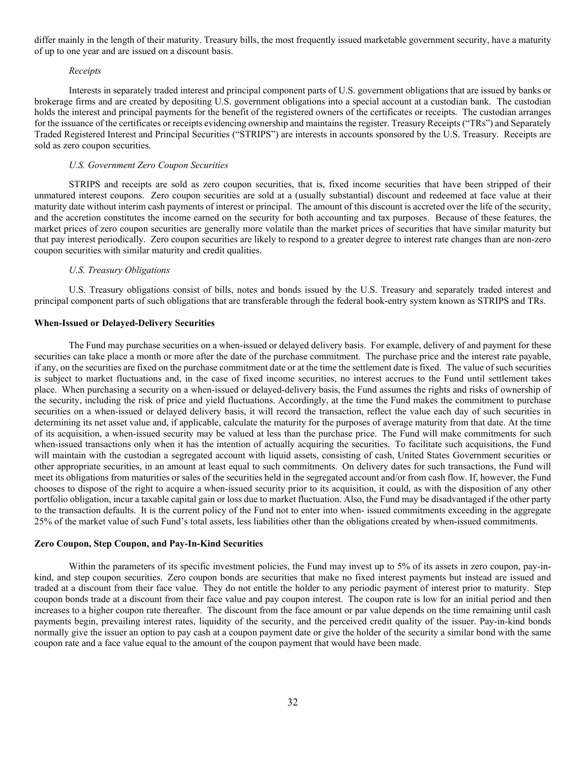differ mainly in the length of their maturity. Treasury bills, the most frequently issued marketable government security, have a maturity of up to one year and are issued on a discount basis.

### *Receipts*

Interests in separately traded interest and principal component parts of U.S. government obligations that are issued by banks or brokerage firms and are created by depositing U.S. government obligations into a special account at a custodian bank. The custodian holds the interest and principal payments for the benefit of the registered owners of the certificates or receipts. The custodian arranges for the issuance of the certificates or receipts evidencing ownership and maintains the register. Treasury Receipts ("TRs") and Separately Traded Registered Interest and Principal Securities ("STRIPS") are interests in accounts sponsored by the U.S. Treasury. Receipts are sold as zero coupon securities.

# *U.S. Government Zero Coupon Securities*

STRIPS and receipts are sold as zero coupon securities, that is, fixed income securities that have been stripped of their unmatured interest coupons. Zero coupon securities are sold at a (usually substantial) discount and redeemed at face value at their maturity date without interim cash payments of interest or principal. The amount of this discount is accreted over the life of the security, and the accretion constitutes the income earned on the security for both accounting and tax purposes. Because of these features, the market prices of zero coupon securities are generally more volatile than the market prices of securities that have similar maturity but that pay interest periodically. Zero coupon securities are likely to respond to a greater degree to interest rate changes than are non-zero coupon securities with similar maturity and credit qualities.

### *U.S. Treasury Obligations*

U.S. Treasury obligations consist of bills, notes and bonds issued by the U.S. Treasury and separately traded interest and principal component parts of such obligations that are transferable through the federal book-entry system known as STRIPS and TRs.

#### **When-Issued or Delayed-Delivery Securities**

The Fund may purchase securities on a when-issued or delayed delivery basis. For example, delivery of and payment for these securities can take place a month or more after the date of the purchase commitment. The purchase price and the interest rate payable, if any, on the securities are fixed on the purchase commitment date or at the time the settlement date is fixed. The value of such securities is subject to market fluctuations and, in the case of fixed income securities, no interest accrues to the Fund until settlement takes place. When purchasing a security on a when-issued or delayed-delivery basis, the Fund assumes the rights and risks of ownership of the security, including the risk of price and yield fluctuations. Accordingly, at the time the Fund makes the commitment to purchase securities on a when-issued or delayed delivery basis, it will record the transaction, reflect the value each day of such securities in determining its net asset value and, if applicable, calculate the maturity for the purposes of average maturity from that date. At the time of its acquisition, a when-issued security may be valued at less than the purchase price. The Fund will make commitments for such when-issued transactions only when it has the intention of actually acquiring the securities. To facilitate such acquisitions, the Fund will maintain with the custodian a segregated account with liquid assets, consisting of cash, United States Government securities or other appropriate securities, in an amount at least equal to such commitments. On delivery dates for such transactions, the Fund will meet its obligations from maturities or sales of the securities held in the segregated account and/or from cash flow. If, however, the Fund chooses to dispose of the right to acquire a when-issued security prior to its acquisition, it could, as with the disposition of any other portfolio obligation, incur a taxable capital gain or loss due to market fluctuation. Also, the Fund may be disadvantaged if the other party to the transaction defaults. It is the current policy of the Fund not to enter into when- issued commitments exceeding in the aggregate 25% of the market value of such Fund's total assets, less liabilities other than the obligations created by when-issued commitments.

#### **Zero Coupon, Step Coupon, and Pay-In-Kind Securities**

Within the parameters of its specific investment policies, the Fund may invest up to 5% of its assets in zero coupon, pay-inkind, and step coupon securities. Zero coupon bonds are securities that make no fixed interest payments but instead are issued and traded at a discount from their face value. They do not entitle the holder to any periodic payment of interest prior to maturity. Step coupon bonds trade at a discount from their face value and pay coupon interest. The coupon rate is low for an initial period and then increases to a higher coupon rate thereafter. The discount from the face amount or par value depends on the time remaining until cash payments begin, prevailing interest rates, liquidity of the security, and the perceived credit quality of the issuer. Pay-in-kind bonds normally give the issuer an option to pay cash at a coupon payment date or give the holder of the security a similar bond with the same coupon rate and a face value equal to the amount of the coupon payment that would have been made.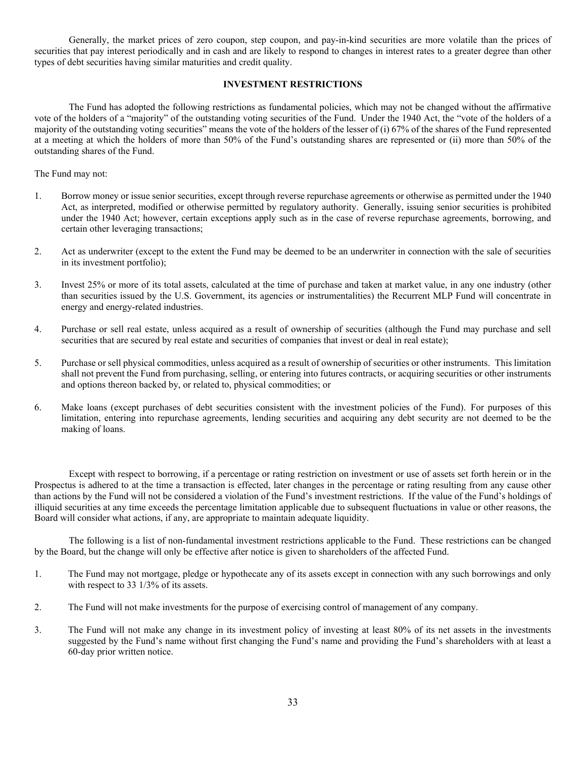Generally, the market prices of zero coupon, step coupon, and pay-in-kind securities are more volatile than the prices of securities that pay interest periodically and in cash and are likely to respond to changes in interest rates to a greater degree than other types of debt securities having similar maturities and credit quality.

# **INVESTMENT RESTRICTIONS**

The Fund has adopted the following restrictions as fundamental policies, which may not be changed without the affirmative vote of the holders of a "majority" of the outstanding voting securities of the Fund. Under the 1940 Act, the "vote of the holders of a majority of the outstanding voting securities" means the vote of the holders of the lesser of (i) 67% of the shares of the Fund represented at a meeting at which the holders of more than 50% of the Fund's outstanding shares are represented or (ii) more than 50% of the outstanding shares of the Fund.

The Fund may not:

- 1. Borrow money or issue senior securities, except through reverse repurchase agreements or otherwise as permitted under the 1940 Act, as interpreted, modified or otherwise permitted by regulatory authority. Generally, issuing senior securities is prohibited under the 1940 Act; however, certain exceptions apply such as in the case of reverse repurchase agreements, borrowing, and certain other leveraging transactions;
- 2. Act as underwriter (except to the extent the Fund may be deemed to be an underwriter in connection with the sale of securities in its investment portfolio);
- 3. Invest 25% or more of its total assets, calculated at the time of purchase and taken at market value, in any one industry (other than securities issued by the U.S. Government, its agencies or instrumentalities) the Recurrent MLP Fund will concentrate in energy and energy-related industries.
- 4. Purchase or sell real estate, unless acquired as a result of ownership of securities (although the Fund may purchase and sell securities that are secured by real estate and securities of companies that invest or deal in real estate);
- 5. Purchase or sell physical commodities, unless acquired as a result of ownership of securities or other instruments. This limitation shall not prevent the Fund from purchasing, selling, or entering into futures contracts, or acquiring securities or other instruments and options thereon backed by, or related to, physical commodities; or
- 6. Make loans (except purchases of debt securities consistent with the investment policies of the Fund). For purposes of this limitation, entering into repurchase agreements, lending securities and acquiring any debt security are not deemed to be the making of loans.

Except with respect to borrowing, if a percentage or rating restriction on investment or use of assets set forth herein or in the Prospectus is adhered to at the time a transaction is effected, later changes in the percentage or rating resulting from any cause other than actions by the Fund will not be considered a violation of the Fund's investment restrictions. If the value of the Fund's holdings of illiquid securities at any time exceeds the percentage limitation applicable due to subsequent fluctuations in value or other reasons, the Board will consider what actions, if any, are appropriate to maintain adequate liquidity.

The following is a list of non-fundamental investment restrictions applicable to the Fund. These restrictions can be changed by the Board, but the change will only be effective after notice is given to shareholders of the affected Fund.

- 1. The Fund may not mortgage, pledge or hypothecate any of its assets except in connection with any such borrowings and only with respect to 33 1/3% of its assets.
- 2. The Fund will not make investments for the purpose of exercising control of management of any company.
- 3. The Fund will not make any change in its investment policy of investing at least 80% of its net assets in the investments suggested by the Fund's name without first changing the Fund's name and providing the Fund's shareholders with at least a 60-day prior written notice.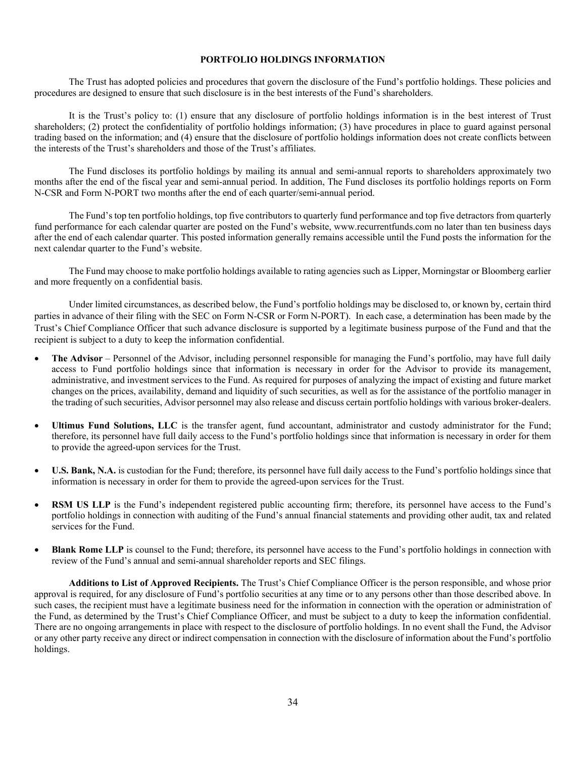#### **PORTFOLIO HOLDINGS INFORMATION**

The Trust has adopted policies and procedures that govern the disclosure of the Fund's portfolio holdings. These policies and procedures are designed to ensure that such disclosure is in the best interests of the Fund's shareholders.

It is the Trust's policy to: (1) ensure that any disclosure of portfolio holdings information is in the best interest of Trust shareholders; (2) protect the confidentiality of portfolio holdings information; (3) have procedures in place to guard against personal trading based on the information; and (4) ensure that the disclosure of portfolio holdings information does not create conflicts between the interests of the Trust's shareholders and those of the Trust's affiliates.

The Fund discloses its portfolio holdings by mailing its annual and semi-annual reports to shareholders approximately two months after the end of the fiscal year and semi-annual period. In addition, The Fund discloses its portfolio holdings reports on Form N-CSR and Form N-PORT two months after the end of each quarter/semi-annual period.

The Fund's top ten portfolio holdings, top five contributors to quarterly fund performance and top five detractors from quarterly fund performance for each calendar quarter are posted on the Fund's website, www.recurrentfunds.com no later than ten business days after the end of each calendar quarter. This posted information generally remains accessible until the Fund posts the information for the next calendar quarter to the Fund's website.

The Fund may choose to make portfolio holdings available to rating agencies such as Lipper, Morningstar or Bloomberg earlier and more frequently on a confidential basis.

Under limited circumstances, as described below, the Fund's portfolio holdings may be disclosed to, or known by, certain third parties in advance of their filing with the SEC on Form N-CSR or Form N-PORT). In each case, a determination has been made by the Trust's Chief Compliance Officer that such advance disclosure is supported by a legitimate business purpose of the Fund and that the recipient is subject to a duty to keep the information confidential.

- **The Advisor** Personnel of the Advisor, including personnel responsible for managing the Fund's portfolio, may have full daily access to Fund portfolio holdings since that information is necessary in order for the Advisor to provide its management, administrative, and investment services to the Fund. As required for purposes of analyzing the impact of existing and future market changes on the prices, availability, demand and liquidity of such securities, as well as for the assistance of the portfolio manager in the trading of such securities, Advisor personnel may also release and discuss certain portfolio holdings with various broker-dealers.
- **Ultimus Fund Solutions, LLC** is the transfer agent, fund accountant, administrator and custody administrator for the Fund; therefore, its personnel have full daily access to the Fund's portfolio holdings since that information is necessary in order for them to provide the agreed-upon services for the Trust.
- **U.S. Bank, N.A.** is custodian for the Fund; therefore, its personnel have full daily access to the Fund's portfolio holdings since that information is necessary in order for them to provide the agreed-upon services for the Trust.
- **RSM US LLP** is the Fund's independent registered public accounting firm; therefore, its personnel have access to the Fund's portfolio holdings in connection with auditing of the Fund's annual financial statements and providing other audit, tax and related services for the Fund.
- **Blank Rome LLP** is counsel to the Fund; therefore, its personnel have access to the Fund's portfolio holdings in connection with review of the Fund's annual and semi-annual shareholder reports and SEC filings.

**Additions to List of Approved Recipients.** The Trust's Chief Compliance Officer is the person responsible, and whose prior approval is required, for any disclosure of Fund's portfolio securities at any time or to any persons other than those described above. In such cases, the recipient must have a legitimate business need for the information in connection with the operation or administration of the Fund, as determined by the Trust's Chief Compliance Officer, and must be subject to a duty to keep the information confidential. There are no ongoing arrangements in place with respect to the disclosure of portfolio holdings. In no event shall the Fund, the Advisor or any other party receive any direct or indirect compensation in connection with the disclosure of information about the Fund's portfolio holdings.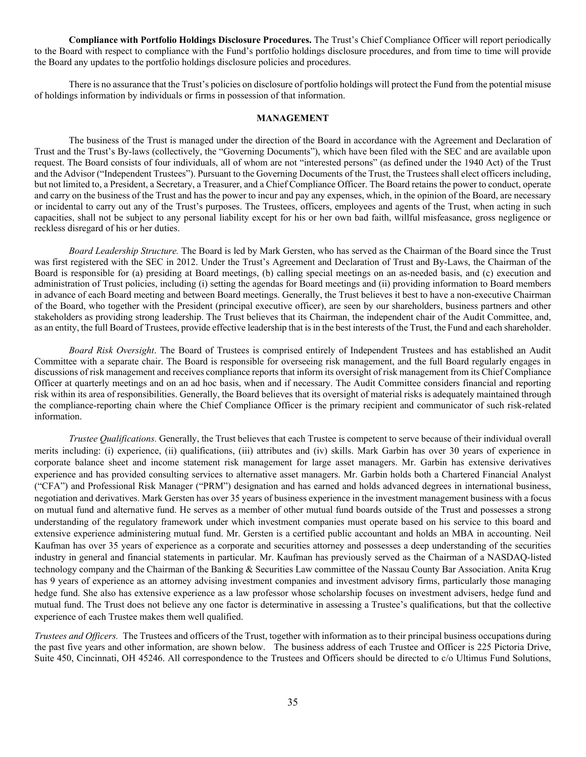**Compliance with Portfolio Holdings Disclosure Procedures.** The Trust's Chief Compliance Officer will report periodically to the Board with respect to compliance with the Fund's portfolio holdings disclosure procedures, and from time to time will provide the Board any updates to the portfolio holdings disclosure policies and procedures.

There is no assurance that the Trust's policies on disclosure of portfolio holdings will protect the Fund from the potential misuse of holdings information by individuals or firms in possession of that information.

### **MANAGEMENT**

The business of the Trust is managed under the direction of the Board in accordance with the Agreement and Declaration of Trust and the Trust's By-laws (collectively, the "Governing Documents"), which have been filed with the SEC and are available upon request. The Board consists of four individuals, all of whom are not "interested persons" (as defined under the 1940 Act) of the Trust and the Advisor ("Independent Trustees"). Pursuant to the Governing Documents of the Trust, the Trustees shall elect officers including, but not limited to, a President, a Secretary, a Treasurer, and a Chief Compliance Officer. The Board retains the power to conduct, operate and carry on the business of the Trust and has the power to incur and pay any expenses, which, in the opinion of the Board, are necessary or incidental to carry out any of the Trust's purposes. The Trustees, officers, employees and agents of the Trust, when acting in such capacities, shall not be subject to any personal liability except for his or her own bad faith, willful misfeasance, gross negligence or reckless disregard of his or her duties.

*Board Leadership Structure.* The Board is led by Mark Gersten, who has served as the Chairman of the Board since the Trust was first registered with the SEC in 2012. Under the Trust's Agreement and Declaration of Trust and By-Laws, the Chairman of the Board is responsible for (a) presiding at Board meetings, (b) calling special meetings on an as-needed basis, and (c) execution and administration of Trust policies, including (i) setting the agendas for Board meetings and (ii) providing information to Board members in advance of each Board meeting and between Board meetings. Generally, the Trust believes it best to have a non-executive Chairman of the Board, who together with the President (principal executive officer), are seen by our shareholders, business partners and other stakeholders as providing strong leadership. The Trust believes that its Chairman, the independent chair of the Audit Committee, and, as an entity, the full Board of Trustees, provide effective leadership that is in the best interests of the Trust, the Fund and each shareholder.

*Board Risk Oversight*. The Board of Trustees is comprised entirely of Independent Trustees and has established an Audit Committee with a separate chair. The Board is responsible for overseeing risk management, and the full Board regularly engages in discussions of risk management and receives compliance reports that inform its oversight of risk management from its Chief Compliance Officer at quarterly meetings and on an ad hoc basis, when and if necessary. The Audit Committee considers financial and reporting risk within its area of responsibilities. Generally, the Board believes that its oversight of material risks is adequately maintained through the compliance-reporting chain where the Chief Compliance Officer is the primary recipient and communicator of such risk-related information.

*Trustee Qualifications.* Generally, the Trust believes that each Trustee is competent to serve because of their individual overall merits including: (i) experience, (ii) qualifications, (iii) attributes and (iv) skills. Mark Garbin has over 30 years of experience in corporate balance sheet and income statement risk management for large asset managers. Mr. Garbin has extensive derivatives experience and has provided consulting services to alternative asset managers. Mr. Garbin holds both a Chartered Financial Analyst ("CFA") and Professional Risk Manager ("PRM") designation and has earned and holds advanced degrees in international business, negotiation and derivatives. Mark Gersten has over 35 years of business experience in the investment management business with a focus on mutual fund and alternative fund. He serves as a member of other mutual fund boards outside of the Trust and possesses a strong understanding of the regulatory framework under which investment companies must operate based on his service to this board and extensive experience administering mutual fund. Mr. Gersten is a certified public accountant and holds an MBA in accounting. Neil Kaufman has over 35 years of experience as a corporate and securities attorney and possesses a deep understanding of the securities industry in general and financial statements in particular. Mr. Kaufman has previously served as the Chairman of a NASDAQ-listed technology company and the Chairman of the Banking & Securities Law committee of the Nassau County Bar Association. Anita Krug has 9 years of experience as an attorney advising investment companies and investment advisory firms, particularly those managing hedge fund. She also has extensive experience as a law professor whose scholarship focuses on investment advisers, hedge fund and mutual fund. The Trust does not believe any one factor is determinative in assessing a Trustee's qualifications, but that the collective experience of each Trustee makes them well qualified.

*Trustees and Officers.* The Trustees and officers of the Trust, together with information as to their principal business occupations during the past five years and other information, are shown below. The business address of each Trustee and Officer is 225 Pictoria Drive, Suite 450, Cincinnati, OH 45246. All correspondence to the Trustees and Officers should be directed to c/o Ultimus Fund Solutions,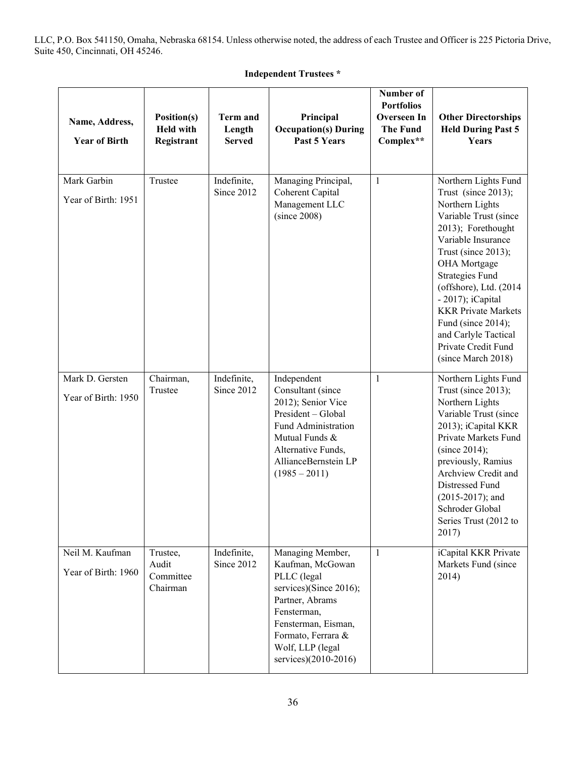LLC, P.O. Box 541150, Omaha, Nebraska 68154. Unless otherwise noted, the address of each Trustee and Officer is 225 Pictoria Drive, Suite 450, Cincinnati, OH 45246.

# **Independent Trustees \***

| Name, Address,<br><b>Year of Birth</b> | Position(s)<br><b>Held with</b><br>Registrant | <b>Term and</b><br>Length<br><b>Served</b> | Principal<br><b>Occupation(s) During</b><br>Past 5 Years                                                                                                                                                 | Number of<br><b>Portfolios</b><br><b>Overseen In</b><br><b>The Fund</b><br>Complex** | <b>Other Directorships</b><br><b>Held During Past 5</b><br>Years                                                                                                                                                                                                                                                                                                             |
|----------------------------------------|-----------------------------------------------|--------------------------------------------|----------------------------------------------------------------------------------------------------------------------------------------------------------------------------------------------------------|--------------------------------------------------------------------------------------|------------------------------------------------------------------------------------------------------------------------------------------------------------------------------------------------------------------------------------------------------------------------------------------------------------------------------------------------------------------------------|
| Mark Garbin<br>Year of Birth: 1951     | Trustee                                       | Indefinite,<br>Since 2012                  | Managing Principal,<br>Coherent Capital<br>Management LLC<br>(since 2008)                                                                                                                                | $\mathbf{1}$                                                                         | Northern Lights Fund<br>Trust (since 2013);<br>Northern Lights<br>Variable Trust (since<br>2013); Forethought<br>Variable Insurance<br>Trust (since 2013);<br>OHA Mortgage<br><b>Strategies Fund</b><br>(offshore), Ltd. (2014<br>- 2017); iCapital<br><b>KKR</b> Private Markets<br>Fund (since 2014);<br>and Carlyle Tactical<br>Private Credit Fund<br>(since March 2018) |
| Mark D. Gersten<br>Year of Birth: 1950 | Chairman,<br>Trustee                          | Indefinite,<br>Since 2012                  | Independent<br>Consultant (since<br>2012); Senior Vice<br>President - Global<br>Fund Administration<br>Mutual Funds &<br>Alternative Funds,<br>AllianceBernstein LP<br>$(1985 - 2011)$                   | $\mathbf{1}$                                                                         | Northern Lights Fund<br>Trust (since 2013);<br>Northern Lights<br>Variable Trust (since<br>2013); iCapital KKR<br>Private Markets Fund<br>(since 2014);<br>previously, Ramius<br>Archview Credit and<br>Distressed Fund<br>$(2015-2017)$ ; and<br>Schroder Global<br>Series Trust (2012 to<br>2017)                                                                          |
| Neil M. Kaufman<br>Year of Birth: 1960 | Trustee,<br>Audit<br>Committee<br>Chairman    | Indefinite,<br>Since 2012                  | Managing Member,<br>Kaufman, McGowan<br>PLLC (legal<br>services)(Since 2016);<br>Partner, Abrams<br>Fensterman,<br>Fensterman, Eisman,<br>Formato, Ferrara &<br>Wolf, LLP (legal<br>services)(2010-2016) | $\mathbf{1}$                                                                         | iCapital KKR Private<br>Markets Fund (since<br>2014)                                                                                                                                                                                                                                                                                                                         |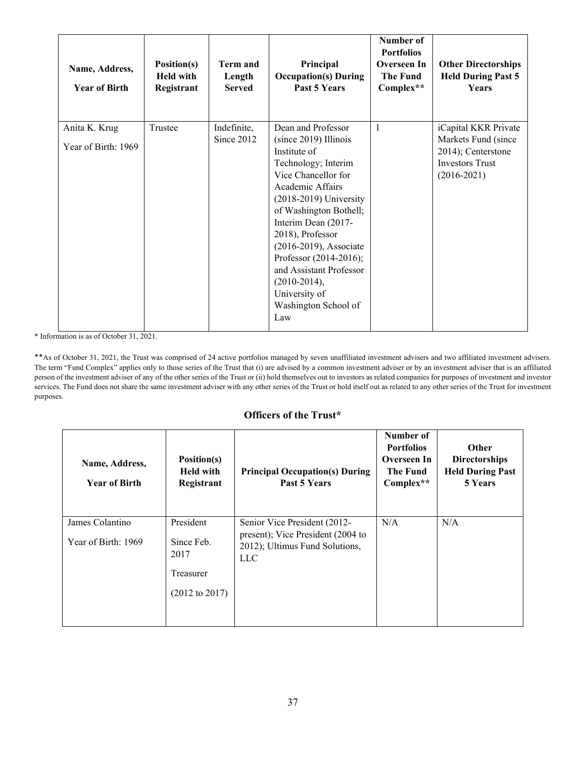| Name, Address,<br><b>Year of Birth</b> | Position(s)<br><b>Held with</b><br>Registrant | Term and<br>Length<br><b>Served</b> | Principal<br><b>Occupation(s) During</b><br>Past 5 Years                                                                                                                                                                                                                                                                         | Number of<br><b>Portfolios</b><br>Overseen In<br><b>The Fund</b><br>Complex** | <b>Other Directorships</b><br><b>Held During Past 5</b><br><b>Years</b> |
|----------------------------------------|-----------------------------------------------|-------------------------------------|----------------------------------------------------------------------------------------------------------------------------------------------------------------------------------------------------------------------------------------------------------------------------------------------------------------------------------|-------------------------------------------------------------------------------|-------------------------------------------------------------------------|
| Anita K. Krug                          | Trustee                                       | Indefinite,<br>Since $2012$         | Dean and Professor<br>(since 2019) Illinois                                                                                                                                                                                                                                                                                      | 1                                                                             | iCapital KKR Private<br>Markets Fund (since                             |
| Year of Birth: 1969                    |                                               |                                     | Institute of<br>Technology; Interim<br>Vice Chancellor for<br>Academic Affairs<br>$(2018-2019)$ University<br>of Washington Bothell;<br>Interim Dean (2017-<br>2018), Professor<br>(2016-2019), Associate<br>Professor (2014-2016);<br>and Assistant Professor<br>$(2010-2014),$<br>University of<br>Washington School of<br>Law |                                                                               | 2014); Centerstone<br><b>Investors Trust</b><br>$(2016 - 2021)$         |

\* Information is as of October 31, 2021.

\*\*As of October 31, 2021, the Trust was comprised of 24 active portfolios managed by seven unaffiliated investment advisers and two affiliated investment advisers. The term "Fund Complex" applies only to those series of the Trust that (i) are advised by a common investment adviser or by an investment adviser that is an affiliated person of the investment adviser of any of the other series of the Trust or (ii) hold themselves out to investors as related companies for purposes of investment and investor services. The Fund does not share the same investment adviser with any other series of the Trust or hold itself out as related to any other series of the Trust for investment purposes.

# **Officers of the Trust\***

| Name, Address,<br><b>Year of Birth</b> | Position(s)<br><b>Held with</b><br>Registrant                             | <b>Principal Occupation(s) During</b><br>Past 5 Years                                                             | Number of<br><b>Portfolios</b><br>Overseen In<br><b>The Fund</b><br>Complex** | <b>Other</b><br><b>Directorships</b><br><b>Held During Past</b><br><b>5 Years</b> |
|----------------------------------------|---------------------------------------------------------------------------|-------------------------------------------------------------------------------------------------------------------|-------------------------------------------------------------------------------|-----------------------------------------------------------------------------------|
| James Colantino<br>Year of Birth: 1969 | President<br>Since Feb.<br>2017<br>Treasurer<br>$(2012 \text{ to } 2017)$ | Senior Vice President (2012-<br>present); Vice President (2004 to<br>2012); Ultimus Fund Solutions,<br><b>LLC</b> | N/A                                                                           | N/A                                                                               |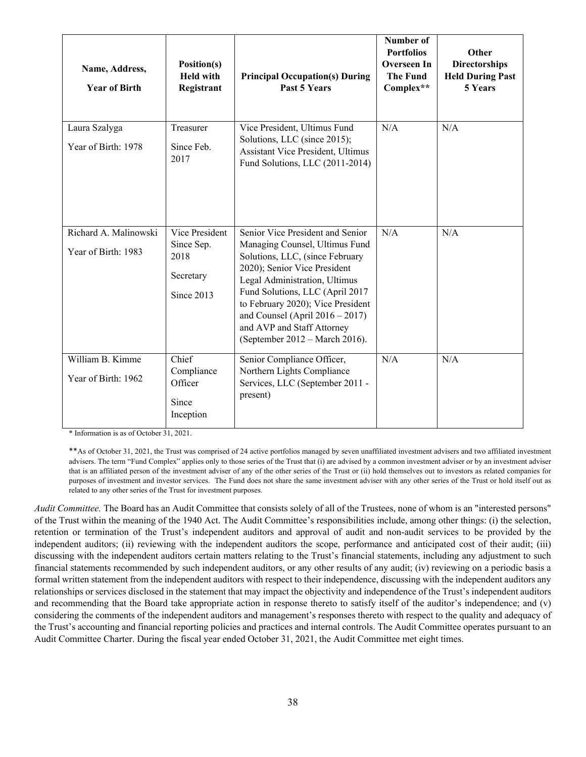| Name, Address,<br><b>Year of Birth</b>       | Position(s)<br><b>Held with</b><br>Registrant                   | <b>Principal Occupation(s) During</b><br>Past 5 Years                                                                                                                                                                                                                                                                                                | Number of<br><b>Portfolios</b><br>Overseen In<br><b>The Fund</b><br>Complex** | Other<br><b>Directorships</b><br><b>Held During Past</b><br>5 Years |
|----------------------------------------------|-----------------------------------------------------------------|------------------------------------------------------------------------------------------------------------------------------------------------------------------------------------------------------------------------------------------------------------------------------------------------------------------------------------------------------|-------------------------------------------------------------------------------|---------------------------------------------------------------------|
| Laura Szalyga<br>Year of Birth: 1978         | Treasurer<br>Since Feb.<br>2017                                 | Vice President, Ultimus Fund<br>Solutions, LLC (since 2015);<br><b>Assistant Vice President, Ultimus</b><br>Fund Solutions, LLC (2011-2014)                                                                                                                                                                                                          | N/A                                                                           | N/A                                                                 |
| Richard A. Malinowski<br>Year of Birth: 1983 | Vice President<br>Since Sep.<br>2018<br>Secretary<br>Since 2013 | Senior Vice President and Senior<br>Managing Counsel, Ultimus Fund<br>Solutions, LLC, (since February<br>2020); Senior Vice President<br>Legal Administration, Ultimus<br>Fund Solutions, LLC (April 2017<br>to February 2020); Vice President<br>and Counsel (April $2016 - 2017$ )<br>and AVP and Staff Attorney<br>(September 2012 – March 2016). | N/A                                                                           | N/A                                                                 |
| William B. Kimme<br>Year of Birth: 1962      | Chief<br>Compliance<br>Officer<br>Since<br>Inception            | Senior Compliance Officer,<br>Northern Lights Compliance<br>Services, LLC (September 2011 -<br>present)                                                                                                                                                                                                                                              | N/A                                                                           | N/A                                                                 |

\* Information is as of October 31, 2021.

\*\*As of October 31, 2021, the Trust was comprised of 24 active portfolios managed by seven unaffiliated investment advisers and two affiliated investment advisers. The term "Fund Complex" applies only to those series of the Trust that (i) are advised by a common investment adviser or by an investment adviser that is an affiliated person of the investment adviser of any of the other series of the Trust or (ii) hold themselves out to investors as related companies for purposes of investment and investor services. The Fund does not share the same investment adviser with any other series of the Trust or hold itself out as related to any other series of the Trust for investment purposes.

*Audit Committee.* The Board has an Audit Committee that consists solely of all of the Trustees, none of whom is an "interested persons" of the Trust within the meaning of the 1940 Act. The Audit Committee's responsibilities include, among other things: (i) the selection, retention or termination of the Trust's independent auditors and approval of audit and non-audit services to be provided by the independent auditors; (ii) reviewing with the independent auditors the scope, performance and anticipated cost of their audit; (iii) discussing with the independent auditors certain matters relating to the Trust's financial statements, including any adjustment to such financial statements recommended by such independent auditors, or any other results of any audit; (iv) reviewing on a periodic basis a formal written statement from the independent auditors with respect to their independence, discussing with the independent auditors any relationships or services disclosed in the statement that may impact the objectivity and independence of the Trust's independent auditors and recommending that the Board take appropriate action in response thereto to satisfy itself of the auditor's independence; and (v) considering the comments of the independent auditors and management's responses thereto with respect to the quality and adequacy of the Trust's accounting and financial reporting policies and practices and internal controls. The Audit Committee operates pursuant to an Audit Committee Charter. During the fiscal year ended October 31, 2021, the Audit Committee met eight times.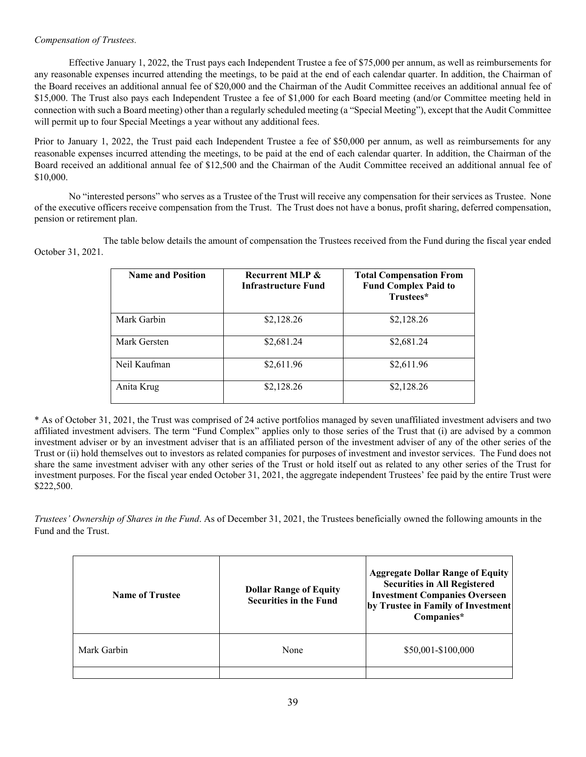# *Compensation of Trustees.*

Effective January 1, 2022, the Trust pays each Independent Trustee a fee of \$75,000 per annum, as well as reimbursements for any reasonable expenses incurred attending the meetings, to be paid at the end of each calendar quarter. In addition, the Chairman of the Board receives an additional annual fee of \$20,000 and the Chairman of the Audit Committee receives an additional annual fee of \$15,000. The Trust also pays each Independent Trustee a fee of \$1,000 for each Board meeting (and/or Committee meeting held in connection with such a Board meeting) other than a regularly scheduled meeting (a "Special Meeting"), except that the Audit Committee will permit up to four Special Meetings a year without any additional fees.

Prior to January 1, 2022, the Trust paid each Independent Trustee a fee of \$50,000 per annum, as well as reimbursements for any reasonable expenses incurred attending the meetings, to be paid at the end of each calendar quarter. In addition, the Chairman of the Board received an additional annual fee of \$12,500 and the Chairman of the Audit Committee received an additional annual fee of \$10,000.

No "interested persons" who serves as a Trustee of the Trust will receive any compensation for their services as Trustee. None of the executive officers receive compensation from the Trust. The Trust does not have a bonus, profit sharing, deferred compensation, pension or retirement plan.

The table below details the amount of compensation the Trustees received from the Fund during the fiscal year ended October 31, 2021.

| <b>Name and Position</b> | Recurrent MLP &<br><b>Infrastructure Fund</b> | <b>Total Compensation From</b><br><b>Fund Complex Paid to</b><br>Trustees* |
|--------------------------|-----------------------------------------------|----------------------------------------------------------------------------|
| Mark Garbin              | \$2,128.26                                    | \$2,128.26                                                                 |
| Mark Gersten             | \$2,681.24                                    | \$2,681.24                                                                 |
| Neil Kaufman             | \$2,611.96                                    | \$2,611.96                                                                 |
| Anita Krug               | \$2,128.26                                    | \$2,128.26                                                                 |

\* As of October 31, 2021, the Trust was comprised of 24 active portfolios managed by seven unaffiliated investment advisers and two affiliated investment advisers. The term "Fund Complex" applies only to those series of the Trust that (i) are advised by a common investment adviser or by an investment adviser that is an affiliated person of the investment adviser of any of the other series of the Trust or (ii) hold themselves out to investors as related companies for purposes of investment and investor services. The Fund does not share the same investment adviser with any other series of the Trust or hold itself out as related to any other series of the Trust for investment purposes. For the fiscal year ended October 31, 2021, the aggregate independent Trustees' fee paid by the entire Trust were \$222,500.

*Trustees' Ownership of Shares in the Fund*. As of December 31, 2021, the Trustees beneficially owned the following amounts in the Fund and the Trust.

| <b>Name of Trustee</b> | <b>Dollar Range of Equity</b><br><b>Securities in the Fund</b> | <b>Aggregate Dollar Range of Equity</b><br><b>Securities in All Registered</b><br><b>Investment Companies Overseen</b><br>by Trustee in Family of Investment<br>Companies* |
|------------------------|----------------------------------------------------------------|----------------------------------------------------------------------------------------------------------------------------------------------------------------------------|
| Mark Garbin            | None                                                           | \$50,001-\$100,000                                                                                                                                                         |
|                        |                                                                |                                                                                                                                                                            |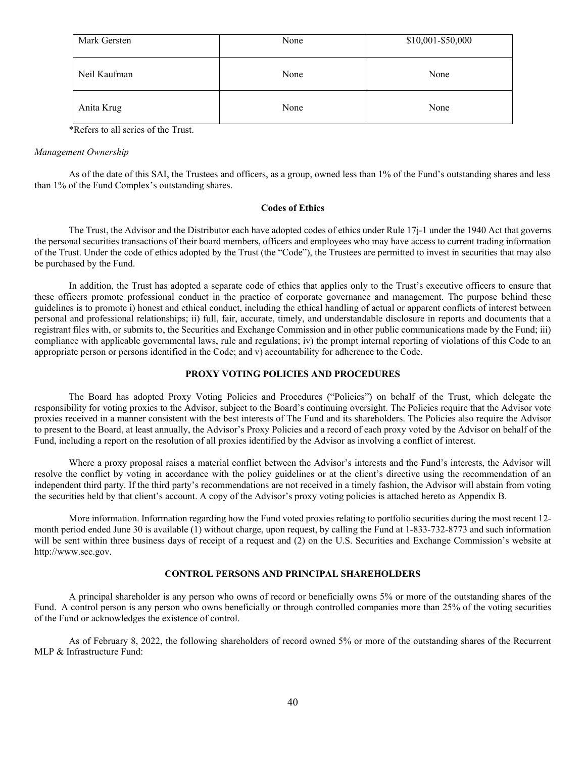| Mark Gersten | None | \$10,001-\$50,000 |
|--------------|------|-------------------|
| Neil Kaufman | None | None              |
| Anita Krug   | None | None              |

\*Refers to all series of the Trust.

# *Management Ownership*

As of the date of this SAI, the Trustees and officers, as a group, owned less than 1% of the Fund's outstanding shares and less than 1% of the Fund Complex's outstanding shares.

# **Codes of Ethics**

The Trust, the Advisor and the Distributor each have adopted codes of ethics under Rule 17j-1 under the 1940 Act that governs the personal securities transactions of their board members, officers and employees who may have access to current trading information of the Trust. Under the code of ethics adopted by the Trust (the "Code"), the Trustees are permitted to invest in securities that may also be purchased by the Fund.

In addition, the Trust has adopted a separate code of ethics that applies only to the Trust's executive officers to ensure that these officers promote professional conduct in the practice of corporate governance and management. The purpose behind these guidelines is to promote i) honest and ethical conduct, including the ethical handling of actual or apparent conflicts of interest between personal and professional relationships; ii) full, fair, accurate, timely, and understandable disclosure in reports and documents that a registrant files with, or submits to, the Securities and Exchange Commission and in other public communications made by the Fund; iii) compliance with applicable governmental laws, rule and regulations; iv) the prompt internal reporting of violations of this Code to an appropriate person or persons identified in the Code; and v) accountability for adherence to the Code.

# **PROXY VOTING POLICIES AND PROCEDURES**

The Board has adopted Proxy Voting Policies and Procedures ("Policies") on behalf of the Trust, which delegate the responsibility for voting proxies to the Advisor, subject to the Board's continuing oversight. The Policies require that the Advisor vote proxies received in a manner consistent with the best interests of The Fund and its shareholders. The Policies also require the Advisor to present to the Board, at least annually, the Advisor's Proxy Policies and a record of each proxy voted by the Advisor on behalf of the Fund, including a report on the resolution of all proxies identified by the Advisor as involving a conflict of interest.

Where a proxy proposal raises a material conflict between the Advisor's interests and the Fund's interests, the Advisor will resolve the conflict by voting in accordance with the policy guidelines or at the client's directive using the recommendation of an independent third party. If the third party's recommendations are not received in a timely fashion, the Advisor will abstain from voting the securities held by that client's account. A copy of the Advisor's proxy voting policies is attached hereto as Appendix B.

More information. Information regarding how the Fund voted proxies relating to portfolio securities during the most recent 12 month period ended June 30 is available (1) without charge, upon request, by calling the Fund at 1-833-732-8773 and such information will be sent within three business days of receipt of a request and (2) on the U.S. Securities and Exchange Commission's website at http://www.sec.gov.

### **CONTROL PERSONS AND PRINCIPAL SHAREHOLDERS**

A principal shareholder is any person who owns of record or beneficially owns 5% or more of the outstanding shares of the Fund. A control person is any person who owns beneficially or through controlled companies more than 25% of the voting securities of the Fund or acknowledges the existence of control.

As of February 8, 2022, the following shareholders of record owned 5% or more of the outstanding shares of the Recurrent MLP & Infrastructure Fund: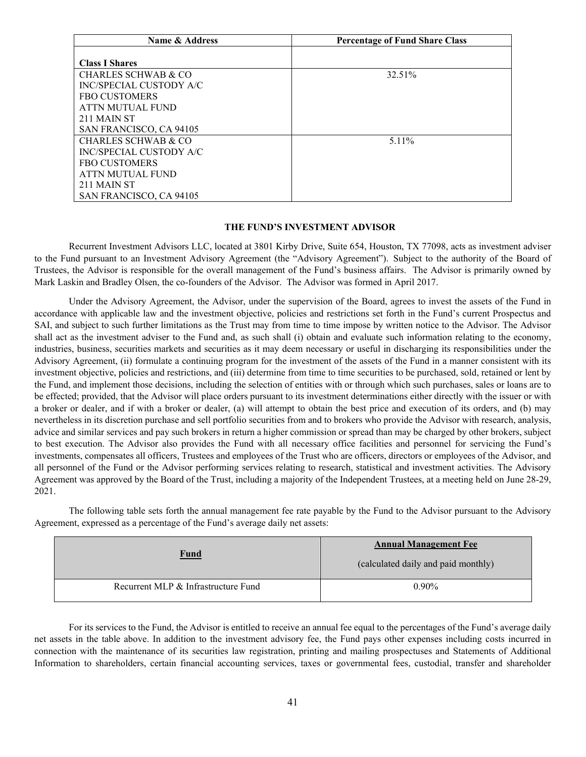| Name & Address          | <b>Percentage of Fund Share Class</b> |
|-------------------------|---------------------------------------|
|                         |                                       |
| <b>Class I Shares</b>   |                                       |
| CHARLES SCHWAB & CO     | 32.51%                                |
| INC/SPECIAL CUSTODY A/C |                                       |
| <b>FBO CUSTOMERS</b>    |                                       |
| ATTN MUTUAL FUND        |                                       |
| 211 MAIN ST             |                                       |
| SAN FRANCISCO, CA 94105 |                                       |
| CHARLES SCHWAB & CO     | $5.11\%$                              |
| INC/SPECIAL CUSTODY A/C |                                       |
| <b>FBO CUSTOMERS</b>    |                                       |
| ATTN MUTUAL FUND        |                                       |
| 211 MAIN ST             |                                       |
| SAN FRANCISCO, CA 94105 |                                       |

#### **THE FUND'S INVESTMENT ADVISOR**

Recurrent Investment Advisors LLC, located at 3801 Kirby Drive, Suite 654, Houston, TX 77098, acts as investment adviser to the Fund pursuant to an Investment Advisory Agreement (the "Advisory Agreement"). Subject to the authority of the Board of Trustees, the Advisor is responsible for the overall management of the Fund's business affairs. The Advisor is primarily owned by Mark Laskin and Bradley Olsen, the co-founders of the Advisor. The Advisor was formed in April 2017.

Under the Advisory Agreement, the Advisor, under the supervision of the Board, agrees to invest the assets of the Fund in accordance with applicable law and the investment objective, policies and restrictions set forth in the Fund's current Prospectus and SAI, and subject to such further limitations as the Trust may from time to time impose by written notice to the Advisor. The Advisor shall act as the investment adviser to the Fund and, as such shall (i) obtain and evaluate such information relating to the economy, industries, business, securities markets and securities as it may deem necessary or useful in discharging its responsibilities under the Advisory Agreement, (ii) formulate a continuing program for the investment of the assets of the Fund in a manner consistent with its investment objective, policies and restrictions, and (iii) determine from time to time securities to be purchased, sold, retained or lent by the Fund, and implement those decisions, including the selection of entities with or through which such purchases, sales or loans are to be effected; provided, that the Advisor will place orders pursuant to its investment determinations either directly with the issuer or with a broker or dealer, and if with a broker or dealer, (a) will attempt to obtain the best price and execution of its orders, and (b) may nevertheless in its discretion purchase and sell portfolio securities from and to brokers who provide the Advisor with research, analysis, advice and similar services and pay such brokers in return a higher commission or spread than may be charged by other brokers, subject to best execution. The Advisor also provides the Fund with all necessary office facilities and personnel for servicing the Fund's investments, compensates all officers, Trustees and employees of the Trust who are officers, directors or employees of the Advisor, and all personnel of the Fund or the Advisor performing services relating to research, statistical and investment activities. The Advisory Agreement was approved by the Board of the Trust, including a majority of the Independent Trustees, at a meeting held on June 28-29, 2021.

The following table sets forth the annual management fee rate payable by the Fund to the Advisor pursuant to the Advisory Agreement, expressed as a percentage of the Fund's average daily net assets:

| <b>Fund</b>                         | <b>Annual Management Fee</b><br>(calculated daily and paid monthly) |  |
|-------------------------------------|---------------------------------------------------------------------|--|
| Recurrent MLP & Infrastructure Fund | $0.90\%$                                                            |  |

For its services to the Fund, the Advisor is entitled to receive an annual fee equal to the percentages of the Fund's average daily net assets in the table above. In addition to the investment advisory fee, the Fund pays other expenses including costs incurred in connection with the maintenance of its securities law registration, printing and mailing prospectuses and Statements of Additional Information to shareholders, certain financial accounting services, taxes or governmental fees, custodial, transfer and shareholder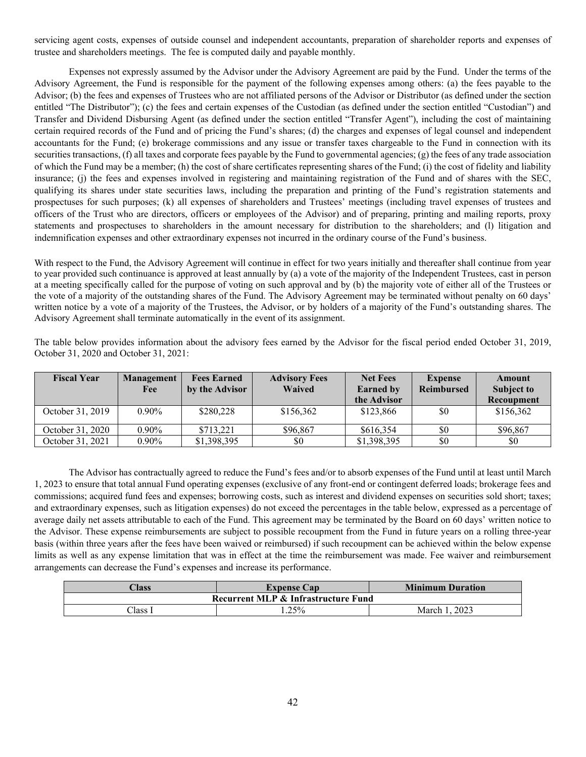servicing agent costs, expenses of outside counsel and independent accountants, preparation of shareholder reports and expenses of trustee and shareholders meetings. The fee is computed daily and payable monthly.

Expenses not expressly assumed by the Advisor under the Advisory Agreement are paid by the Fund. Under the terms of the Advisory Agreement, the Fund is responsible for the payment of the following expenses among others: (a) the fees payable to the Advisor; (b) the fees and expenses of Trustees who are not affiliated persons of the Advisor or Distributor (as defined under the section entitled "The Distributor"); (c) the fees and certain expenses of the Custodian (as defined under the section entitled "Custodian") and Transfer and Dividend Disbursing Agent (as defined under the section entitled "Transfer Agent"), including the cost of maintaining certain required records of the Fund and of pricing the Fund's shares; (d) the charges and expenses of legal counsel and independent accountants for the Fund; (e) brokerage commissions and any issue or transfer taxes chargeable to the Fund in connection with its securities transactions,  $(f)$  all taxes and corporate fees payable by the Fund to governmental agencies;  $(g)$  the fees of any trade association of which the Fund may be a member; (h) the cost of share certificates representing shares of the Fund; (i) the cost of fidelity and liability insurance; (j) the fees and expenses involved in registering and maintaining registration of the Fund and of shares with the SEC, qualifying its shares under state securities laws, including the preparation and printing of the Fund's registration statements and prospectuses for such purposes; (k) all expenses of shareholders and Trustees' meetings (including travel expenses of trustees and officers of the Trust who are directors, officers or employees of the Advisor) and of preparing, printing and mailing reports, proxy statements and prospectuses to shareholders in the amount necessary for distribution to the shareholders; and (l) litigation and indemnification expenses and other extraordinary expenses not incurred in the ordinary course of the Fund's business.

With respect to the Fund, the Advisory Agreement will continue in effect for two years initially and thereafter shall continue from year to year provided such continuance is approved at least annually by (a) a vote of the majority of the Independent Trustees, cast in person at a meeting specifically called for the purpose of voting on such approval and by (b) the majority vote of either all of the Trustees or the vote of a majority of the outstanding shares of the Fund. The Advisory Agreement may be terminated without penalty on 60 days' written notice by a vote of a majority of the Trustees, the Advisor, or by holders of a majority of the Fund's outstanding shares. The Advisory Agreement shall terminate automatically in the event of its assignment.

| The table below provides information about the advisory fees earned by the Advisor for the fiscal period ended October 31, 2019, |  |  |
|----------------------------------------------------------------------------------------------------------------------------------|--|--|
| October 31, 2020 and October 31, 2021:                                                                                           |  |  |

| <b>Fiscal Year</b> | <b>Management</b><br>Fee | <b>Fees Earned</b><br>by the Advisor | <b>Advisory Fees</b><br><b>Waived</b> | <b>Net Fees</b><br><b>Earned by</b><br>the Advisor | <b>Expense</b><br><b>Reimbursed</b> | Amount<br><b>Subject to</b><br>Recoupment |
|--------------------|--------------------------|--------------------------------------|---------------------------------------|----------------------------------------------------|-------------------------------------|-------------------------------------------|
| October 31, 2019   | $0.90\%$                 | \$280,228                            | \$156,362                             | \$123,866                                          | \$0                                 | \$156,362                                 |
| October 31, 2020   | $0.90\%$                 | \$713.221                            | \$96,867                              | \$616,354                                          | \$0                                 | \$96,867                                  |
| October 31, 2021   | $0.90\%$                 | \$1,398,395                          | \$0                                   | \$1,398,395                                        | \$0                                 | \$0                                       |

The Advisor has contractually agreed to reduce the Fund's fees and/or to absorb expenses of the Fund until at least until March 1, 2023 to ensure that total annual Fund operating expenses (exclusive of any front-end or contingent deferred loads; brokerage fees and commissions; acquired fund fees and expenses; borrowing costs, such as interest and dividend expenses on securities sold short; taxes; and extraordinary expenses, such as litigation expenses) do not exceed the percentages in the table below, expressed as a percentage of average daily net assets attributable to each of the Fund. This agreement may be terminated by the Board on 60 days' written notice to the Advisor. These expense reimbursements are subject to possible recoupment from the Fund in future years on a rolling three-year basis (within three years after the fees have been waived or reimbursed) if such recoupment can be achieved within the below expense limits as well as any expense limitation that was in effect at the time the reimbursement was made. Fee waiver and reimbursement arrangements can decrease the Fund's expenses and increase its performance.

| <b>lass</b>                         | <b>Expense Cap</b> | <b>Minimum Duration</b> |  |  |
|-------------------------------------|--------------------|-------------------------|--|--|
| Recurrent MLP & Infrastructure Fund |                    |                         |  |  |
| Class 1                             | 1.25%              | . 2023<br>March 1       |  |  |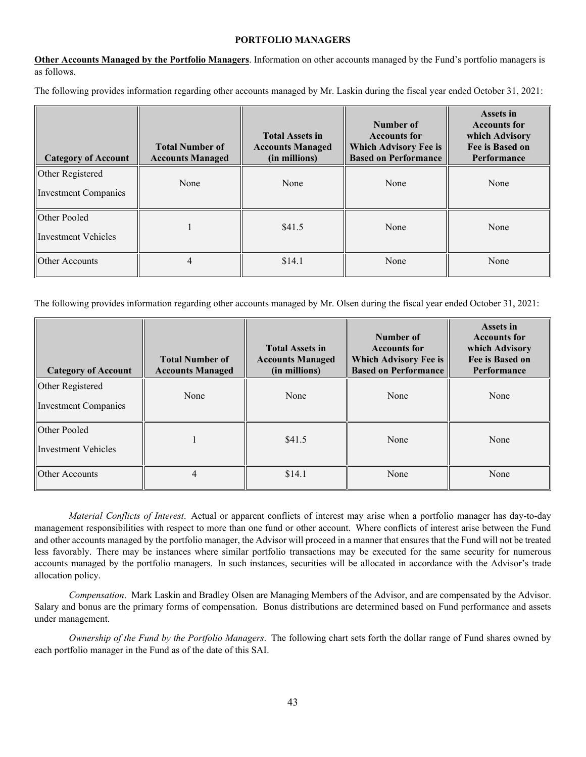### **PORTFOLIO MANAGERS**

**Other Accounts Managed by the Portfolio Managers**. Information on other accounts managed by the Fund's portfolio managers is as follows.

The following provides information regarding other accounts managed by Mr. Laskin during the fiscal year ended October 31, 2021:

| <b>Category of Account</b>               | <b>Total Number of</b><br><b>Accounts Managed</b> | <b>Total Assets in</b><br><b>Accounts Managed</b><br>(in millions) | Number of<br><b>Accounts for</b><br><b>Which Advisory Fee is</b><br><b>Based on Performance</b> | <b>Assets in</b><br><b>Accounts for</b><br>which Advisory<br>Fee is Based on<br>Performance |
|------------------------------------------|---------------------------------------------------|--------------------------------------------------------------------|-------------------------------------------------------------------------------------------------|---------------------------------------------------------------------------------------------|
| Other Registered<br>Investment Companies | None                                              | None                                                               | None                                                                                            | None                                                                                        |
| Other Pooled<br>Investment Vehicles      |                                                   | \$41.5                                                             | None                                                                                            | None                                                                                        |
| <b>Other Accounts</b>                    | 4                                                 | \$14.1                                                             | None                                                                                            | None                                                                                        |

The following provides information regarding other accounts managed by Mr. Olsen during the fiscal year ended October 31, 2021:

| <b>Category of Account</b>               | <b>Total Number of</b><br><b>Accounts Managed</b> | <b>Total Assets in</b><br><b>Accounts Managed</b><br>(in millions) | Number of<br><b>Accounts for</b><br><b>Which Advisory Fee is</b><br><b>Based on Performance</b> | <b>Assets in</b><br><b>Accounts for</b><br>which Advisory<br>Fee is Based on<br>Performance |
|------------------------------------------|---------------------------------------------------|--------------------------------------------------------------------|-------------------------------------------------------------------------------------------------|---------------------------------------------------------------------------------------------|
| Other Registered<br>Investment Companies | None                                              | None                                                               | None                                                                                            | None                                                                                        |
| Other Pooled<br>Investment Vehicles      |                                                   | \$41.5                                                             | None                                                                                            | None                                                                                        |
| <b>Other Accounts</b>                    |                                                   | \$14.1                                                             | None                                                                                            | None                                                                                        |

*Material Conflicts of Interest*. Actual or apparent conflicts of interest may arise when a portfolio manager has day-to-day management responsibilities with respect to more than one fund or other account. Where conflicts of interest arise between the Fund and other accounts managed by the portfolio manager, the Advisor will proceed in a manner that ensures that the Fund will not be treated less favorably. There may be instances where similar portfolio transactions may be executed for the same security for numerous accounts managed by the portfolio managers. In such instances, securities will be allocated in accordance with the Advisor's trade allocation policy.

*Compensation*. Mark Laskin and Bradley Olsen are Managing Members of the Advisor, and are compensated by the Advisor. Salary and bonus are the primary forms of compensation. Bonus distributions are determined based on Fund performance and assets under management.

*Ownership of the Fund by the Portfolio Managers*. The following chart sets forth the dollar range of Fund shares owned by each portfolio manager in the Fund as of the date of this SAI.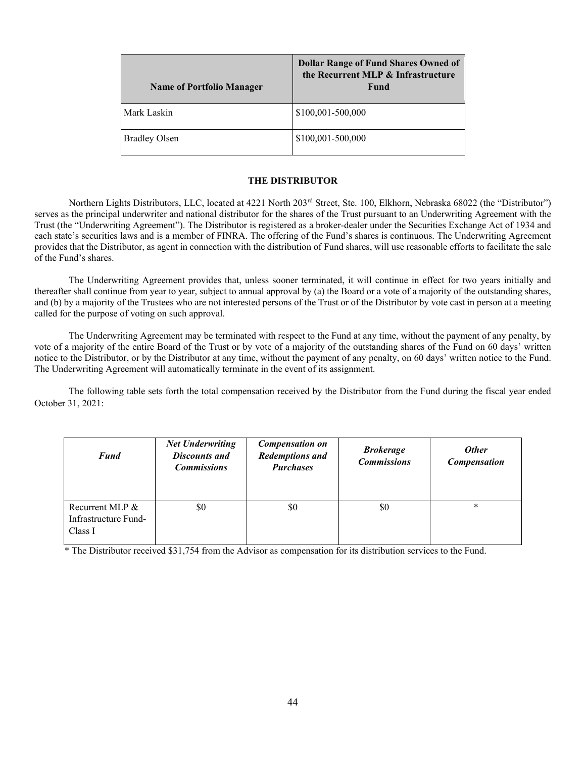| <b>Name of Portfolio Manager</b> | <b>Dollar Range of Fund Shares Owned of</b><br>the Recurrent MLP & Infrastructure<br><b>Fund</b> |
|----------------------------------|--------------------------------------------------------------------------------------------------|
| Mark Laskin                      | \$100,001-500,000                                                                                |
| <b>Bradley Olsen</b>             | \$100,001-500,000                                                                                |

# **THE DISTRIBUTOR**

Northern Lights Distributors, LLC, located at 4221 North 203rd Street, Ste. 100, Elkhorn, Nebraska 68022 (the "Distributor") serves as the principal underwriter and national distributor for the shares of the Trust pursuant to an Underwriting Agreement with the Trust (the "Underwriting Agreement"). The Distributor is registered as a broker-dealer under the Securities Exchange Act of 1934 and each state's securities laws and is a member of FINRA. The offering of the Fund's shares is continuous. The Underwriting Agreement provides that the Distributor, as agent in connection with the distribution of Fund shares, will use reasonable efforts to facilitate the sale of the Fund's shares.

The Underwriting Agreement provides that, unless sooner terminated, it will continue in effect for two years initially and thereafter shall continue from year to year, subject to annual approval by (a) the Board or a vote of a majority of the outstanding shares, and (b) by a majority of the Trustees who are not interested persons of the Trust or of the Distributor by vote cast in person at a meeting called for the purpose of voting on such approval.

The Underwriting Agreement may be terminated with respect to the Fund at any time, without the payment of any penalty, by vote of a majority of the entire Board of the Trust or by vote of a majority of the outstanding shares of the Fund on 60 days' written notice to the Distributor, or by the Distributor at any time, without the payment of any penalty, on 60 days' written notice to the Fund. The Underwriting Agreement will automatically terminate in the event of its assignment.

The following table sets forth the total compensation received by the Distributor from the Fund during the fiscal year ended October 31, 2021:

| <b>Fund</b>                                        | <b>Net Underwriting</b><br><b>Discounts and</b><br><b>Commissions</b> | <b>Compensation on</b><br><b>Redemptions and</b><br><b>Purchases</b> | <b>Brokerage</b><br><b>Commissions</b> | <b>Other</b><br><b>Compensation</b> |
|----------------------------------------------------|-----------------------------------------------------------------------|----------------------------------------------------------------------|----------------------------------------|-------------------------------------|
| Recurrent MLP &<br>Infrastructure Fund-<br>Class I | \$0                                                                   | \$0                                                                  | \$0                                    | *                                   |

\* The Distributor received \$31,754 from the Advisor as compensation for its distribution services to the Fund.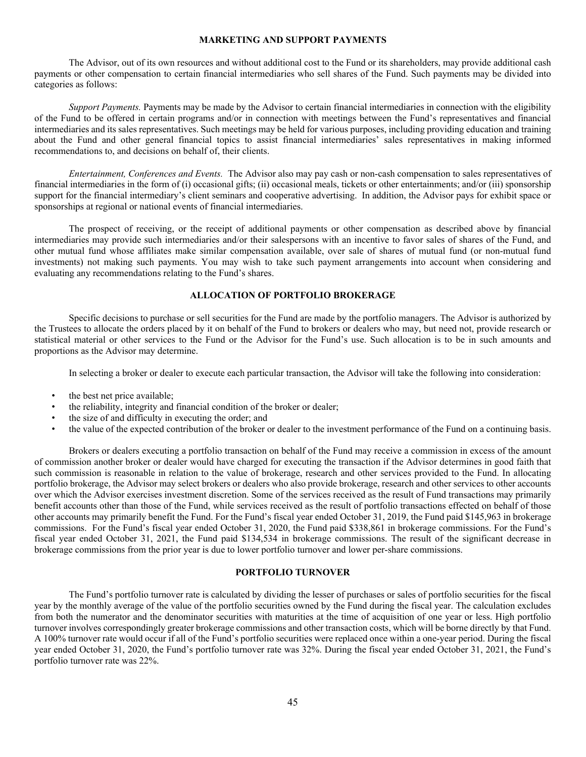#### **MARKETING AND SUPPORT PAYMENTS**

The Advisor, out of its own resources and without additional cost to the Fund or its shareholders, may provide additional cash payments or other compensation to certain financial intermediaries who sell shares of the Fund. Such payments may be divided into categories as follows:

*Support Payments.* Payments may be made by the Advisor to certain financial intermediaries in connection with the eligibility of the Fund to be offered in certain programs and/or in connection with meetings between the Fund's representatives and financial intermediaries and its sales representatives. Such meetings may be held for various purposes, including providing education and training about the Fund and other general financial topics to assist financial intermediaries' sales representatives in making informed recommendations to, and decisions on behalf of, their clients.

*Entertainment, Conferences and Events.* The Advisor also may pay cash or non-cash compensation to sales representatives of financial intermediaries in the form of (i) occasional gifts; (ii) occasional meals, tickets or other entertainments; and/or (iii) sponsorship support for the financial intermediary's client seminars and cooperative advertising. In addition, the Advisor pays for exhibit space or sponsorships at regional or national events of financial intermediaries.

The prospect of receiving, or the receipt of additional payments or other compensation as described above by financial intermediaries may provide such intermediaries and/or their salespersons with an incentive to favor sales of shares of the Fund, and other mutual fund whose affiliates make similar compensation available, over sale of shares of mutual fund (or non-mutual fund investments) not making such payments. You may wish to take such payment arrangements into account when considering and evaluating any recommendations relating to the Fund's shares.

# **ALLOCATION OF PORTFOLIO BROKERAGE**

Specific decisions to purchase or sell securities for the Fund are made by the portfolio managers. The Advisor is authorized by the Trustees to allocate the orders placed by it on behalf of the Fund to brokers or dealers who may, but need not, provide research or statistical material or other services to the Fund or the Advisor for the Fund's use. Such allocation is to be in such amounts and proportions as the Advisor may determine.

In selecting a broker or dealer to execute each particular transaction, the Advisor will take the following into consideration:

- the best net price available;
- *•* the reliability, integrity and financial condition of the broker or dealer;
- *•* the size of and difficulty in executing the order; and
- *•* the value of the expected contribution of the broker or dealer to the investment performance of the Fund on a continuing basis.

Brokers or dealers executing a portfolio transaction on behalf of the Fund may receive a commission in excess of the amount of commission another broker or dealer would have charged for executing the transaction if the Advisor determines in good faith that such commission is reasonable in relation to the value of brokerage, research and other services provided to the Fund. In allocating portfolio brokerage, the Advisor may select brokers or dealers who also provide brokerage, research and other services to other accounts over which the Advisor exercises investment discretion. Some of the services received as the result of Fund transactions may primarily benefit accounts other than those of the Fund, while services received as the result of portfolio transactions effected on behalf of those other accounts may primarily benefit the Fund. For the Fund's fiscal year ended October 31, 2019, the Fund paid \$145,963 in brokerage commissions. For the Fund's fiscal year ended October 31, 2020, the Fund paid \$338,861 in brokerage commissions. For the Fund's fiscal year ended October 31, 2021, the Fund paid \$134,534 in brokerage commissions. The result of the significant decrease in brokerage commissions from the prior year is due to lower portfolio turnover and lower per-share commissions.

# **PORTFOLIO TURNOVER**

The Fund's portfolio turnover rate is calculated by dividing the lesser of purchases or sales of portfolio securities for the fiscal year by the monthly average of the value of the portfolio securities owned by the Fund during the fiscal year. The calculation excludes from both the numerator and the denominator securities with maturities at the time of acquisition of one year or less. High portfolio turnover involves correspondingly greater brokerage commissions and other transaction costs, which will be borne directly by that Fund. A 100% turnover rate would occur if all of the Fund's portfolio securities were replaced once within a one-year period. During the fiscal year ended October 31, 2020, the Fund's portfolio turnover rate was 32%. During the fiscal year ended October 31, 2021, the Fund's portfolio turnover rate was 22%.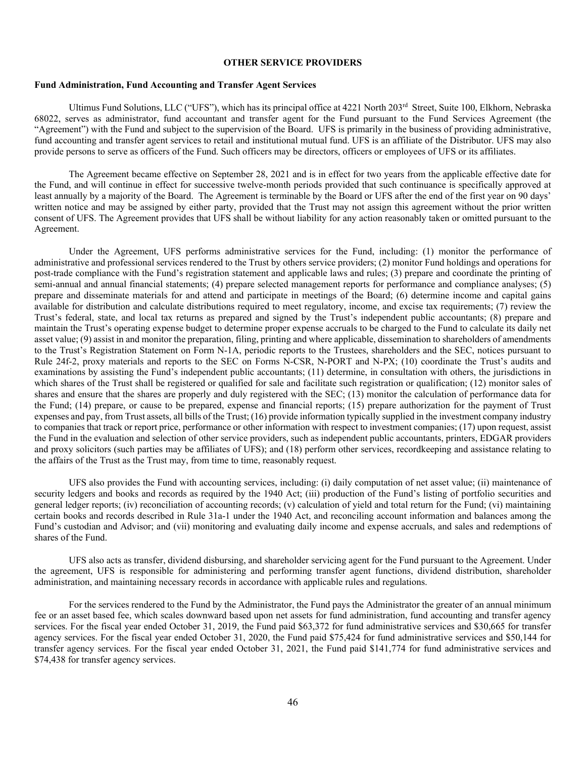#### **OTHER SERVICE PROVIDERS**

# **Fund Administration, Fund Accounting and Transfer Agent Services**

Ultimus Fund Solutions, LLC ("UFS"), which has its principal office at 4221 North 203<sup>rd</sup> Street, Suite 100, Elkhorn, Nebraska 68022, serves as administrator, fund accountant and transfer agent for the Fund pursuant to the Fund Services Agreement (the "Agreement") with the Fund and subject to the supervision of the Board. UFS is primarily in the business of providing administrative, fund accounting and transfer agent services to retail and institutional mutual fund. UFS is an affiliate of the Distributor. UFS may also provide persons to serve as officers of the Fund. Such officers may be directors, officers or employees of UFS or its affiliates.

The Agreement became effective on September 28, 2021 and is in effect for two years from the applicable effective date for the Fund, and will continue in effect for successive twelve-month periods provided that such continuance is specifically approved at least annually by a majority of the Board. The Agreement is terminable by the Board or UFS after the end of the first year on 90 days' written notice and may be assigned by either party, provided that the Trust may not assign this agreement without the prior written consent of UFS. The Agreement provides that UFS shall be without liability for any action reasonably taken or omitted pursuant to the Agreement.

Under the Agreement, UFS performs administrative services for the Fund, including: (1) monitor the performance of administrative and professional services rendered to the Trust by others service providers; (2) monitor Fund holdings and operations for post-trade compliance with the Fund's registration statement and applicable laws and rules; (3) prepare and coordinate the printing of semi-annual and annual financial statements; (4) prepare selected management reports for performance and compliance analyses; (5) prepare and disseminate materials for and attend and participate in meetings of the Board; (6) determine income and capital gains available for distribution and calculate distributions required to meet regulatory, income, and excise tax requirements; (7) review the Trust's federal, state, and local tax returns as prepared and signed by the Trust's independent public accountants; (8) prepare and maintain the Trust's operating expense budget to determine proper expense accruals to be charged to the Fund to calculate its daily net asset value; (9) assist in and monitor the preparation, filing, printing and where applicable, dissemination to shareholders of amendments to the Trust's Registration Statement on Form N-1A, periodic reports to the Trustees, shareholders and the SEC, notices pursuant to Rule 24f-2, proxy materials and reports to the SEC on Forms N-CSR, N-PORT and N-PX; (10) coordinate the Trust's audits and examinations by assisting the Fund's independent public accountants; (11) determine, in consultation with others, the jurisdictions in which shares of the Trust shall be registered or qualified for sale and facilitate such registration or qualification; (12) monitor sales of shares and ensure that the shares are properly and duly registered with the SEC; (13) monitor the calculation of performance data for the Fund; (14) prepare, or cause to be prepared, expense and financial reports; (15) prepare authorization for the payment of Trust expenses and pay, from Trust assets, all bills of the Trust; (16) provide information typically supplied in the investment company industry to companies that track or report price, performance or other information with respect to investment companies; (17) upon request, assist the Fund in the evaluation and selection of other service providers, such as independent public accountants, printers, EDGAR providers and proxy solicitors (such parties may be affiliates of UFS); and (18) perform other services, recordkeeping and assistance relating to the affairs of the Trust as the Trust may, from time to time, reasonably request.

UFS also provides the Fund with accounting services, including: (i) daily computation of net asset value; (ii) maintenance of security ledgers and books and records as required by the 1940 Act; (iii) production of the Fund's listing of portfolio securities and general ledger reports; (iv) reconciliation of accounting records; (v) calculation of yield and total return for the Fund; (vi) maintaining certain books and records described in Rule 31a-1 under the 1940 Act, and reconciling account information and balances among the Fund's custodian and Advisor; and (vii) monitoring and evaluating daily income and expense accruals, and sales and redemptions of shares of the Fund.

UFS also acts as transfer, dividend disbursing, and shareholder servicing agent for the Fund pursuant to the Agreement. Under the agreement, UFS is responsible for administering and performing transfer agent functions, dividend distribution, shareholder administration, and maintaining necessary records in accordance with applicable rules and regulations.

For the services rendered to the Fund by the Administrator, the Fund pays the Administrator the greater of an annual minimum fee or an asset based fee, which scales downward based upon net assets for fund administration, fund accounting and transfer agency services. For the fiscal year ended October 31, 2019, the Fund paid \$63,372 for fund administrative services and \$30,665 for transfer agency services. For the fiscal year ended October 31, 2020, the Fund paid \$75,424 for fund administrative services and \$50,144 for transfer agency services. For the fiscal year ended October 31, 2021, the Fund paid \$141,774 for fund administrative services and \$74,438 for transfer agency services.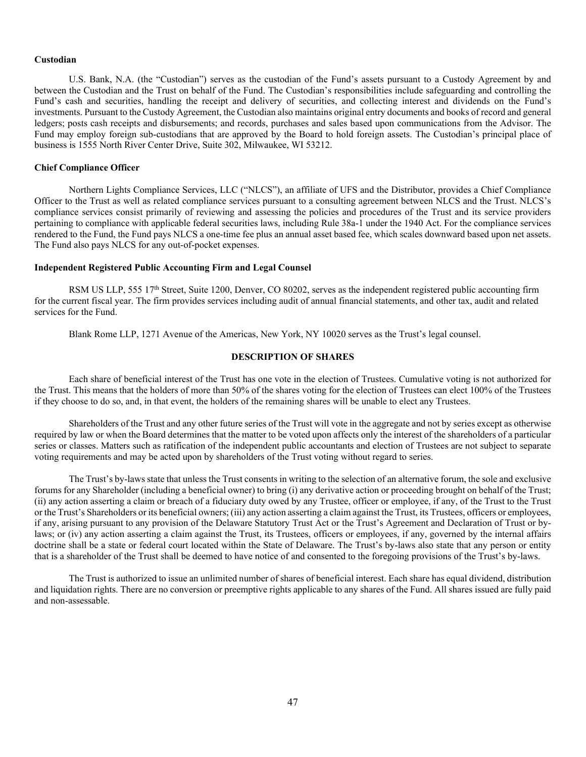#### **Custodian**

U.S. Bank, N.A. (the "Custodian") serves as the custodian of the Fund's assets pursuant to a Custody Agreement by and between the Custodian and the Trust on behalf of the Fund. The Custodian's responsibilities include safeguarding and controlling the Fund's cash and securities, handling the receipt and delivery of securities, and collecting interest and dividends on the Fund's investments. Pursuant to the Custody Agreement, the Custodian also maintains original entry documents and books of record and general ledgers; posts cash receipts and disbursements; and records, purchases and sales based upon communications from the Advisor. The Fund may employ foreign sub-custodians that are approved by the Board to hold foreign assets. The Custodian's principal place of business is 1555 North River Center Drive, Suite 302, Milwaukee, WI 53212.

### **Chief Compliance Officer**

Northern Lights Compliance Services, LLC ("NLCS"), an affiliate of UFS and the Distributor, provides a Chief Compliance Officer to the Trust as well as related compliance services pursuant to a consulting agreement between NLCS and the Trust. NLCS's compliance services consist primarily of reviewing and assessing the policies and procedures of the Trust and its service providers pertaining to compliance with applicable federal securities laws, including Rule 38a-1 under the 1940 Act. For the compliance services rendered to the Fund, the Fund pays NLCS a one-time fee plus an annual asset based fee, which scales downward based upon net assets. The Fund also pays NLCS for any out-of-pocket expenses.

# **Independent Registered Public Accounting Firm and Legal Counsel**

RSM US LLP, 555 17<sup>th</sup> Street, Suite 1200, Denver, CO 80202, serves as the independent registered public accounting firm for the current fiscal year. The firm provides services including audit of annual financial statements, and other tax, audit and related services for the Fund.

Blank Rome LLP, 1271 Avenue of the Americas, New York, NY 10020 serves as the Trust's legal counsel.

# **DESCRIPTION OF SHARES**

Each share of beneficial interest of the Trust has one vote in the election of Trustees. Cumulative voting is not authorized for the Trust. This means that the holders of more than 50% of the shares voting for the election of Trustees can elect 100% of the Trustees if they choose to do so, and, in that event, the holders of the remaining shares will be unable to elect any Trustees.

Shareholders of the Trust and any other future series of the Trust will vote in the aggregate and not by series except as otherwise required by law or when the Board determines that the matter to be voted upon affects only the interest of the shareholders of a particular series or classes. Matters such as ratification of the independent public accountants and election of Trustees are not subject to separate voting requirements and may be acted upon by shareholders of the Trust voting without regard to series.

The Trust's by-laws state that unless the Trust consents in writing to the selection of an alternative forum, the sole and exclusive forums for any Shareholder (including a beneficial owner) to bring (i) any derivative action or proceeding brought on behalf of the Trust; (ii) any action asserting a claim or breach of a fiduciary duty owed by any Trustee, officer or employee, if any, of the Trust to the Trust or the Trust's Shareholders or its beneficial owners; (iii) any action asserting a claim against the Trust, its Trustees, officers or employees, if any, arising pursuant to any provision of the Delaware Statutory Trust Act or the Trust's Agreement and Declaration of Trust or bylaws; or (iv) any action asserting a claim against the Trust, its Trustees, officers or employees, if any, governed by the internal affairs doctrine shall be a state or federal court located within the State of Delaware. The Trust's by-laws also state that any person or entity that is a shareholder of the Trust shall be deemed to have notice of and consented to the foregoing provisions of the Trust's by-laws.

The Trust is authorized to issue an unlimited number of shares of beneficial interest. Each share has equal dividend, distribution and liquidation rights. There are no conversion or preemptive rights applicable to any shares of the Fund. All shares issued are fully paid and non-assessable.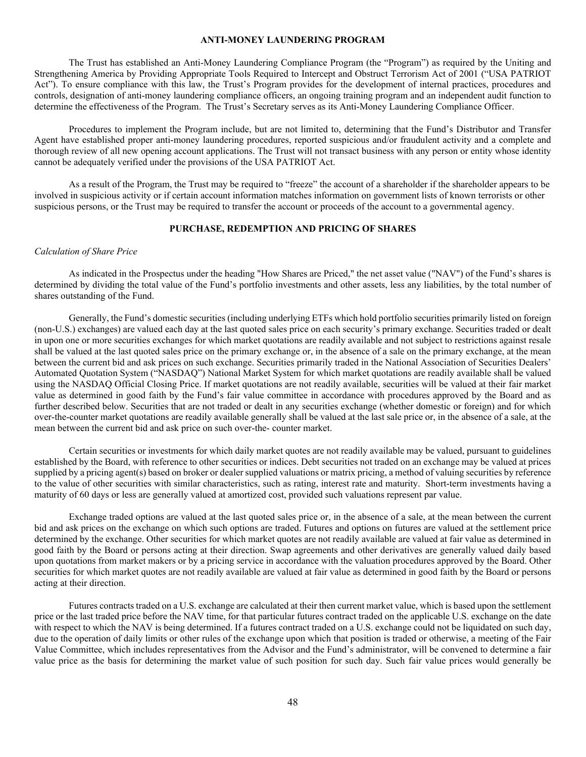#### **ANTI-MONEY LAUNDERING PROGRAM**

The Trust has established an Anti-Money Laundering Compliance Program (the "Program") as required by the Uniting and Strengthening America by Providing Appropriate Tools Required to Intercept and Obstruct Terrorism Act of 2001 ("USA PATRIOT Act"). To ensure compliance with this law, the Trust's Program provides for the development of internal practices, procedures and controls, designation of anti-money laundering compliance officers, an ongoing training program and an independent audit function to determine the effectiveness of the Program. The Trust's Secretary serves as its Anti-Money Laundering Compliance Officer.

Procedures to implement the Program include, but are not limited to, determining that the Fund's Distributor and Transfer Agent have established proper anti-money laundering procedures, reported suspicious and/or fraudulent activity and a complete and thorough review of all new opening account applications. The Trust will not transact business with any person or entity whose identity cannot be adequately verified under the provisions of the USA PATRIOT Act.

As a result of the Program, the Trust may be required to "freeze" the account of a shareholder if the shareholder appears to be involved in suspicious activity or if certain account information matches information on government lists of known terrorists or other suspicious persons, or the Trust may be required to transfer the account or proceeds of the account to a governmental agency.

# **PURCHASE, REDEMPTION AND PRICING OF SHARES**

#### *Calculation of Share Price*

As indicated in the Prospectus under the heading "How Shares are Priced," the net asset value ("NAV") of the Fund's shares is determined by dividing the total value of the Fund's portfolio investments and other assets, less any liabilities, by the total number of shares outstanding of the Fund.

Generally, the Fund's domestic securities (including underlying ETFs which hold portfolio securities primarily listed on foreign (non-U.S.) exchanges) are valued each day at the last quoted sales price on each security's primary exchange. Securities traded or dealt in upon one or more securities exchanges for which market quotations are readily available and not subject to restrictions against resale shall be valued at the last quoted sales price on the primary exchange or, in the absence of a sale on the primary exchange, at the mean between the current bid and ask prices on such exchange. Securities primarily traded in the National Association of Securities Dealers' Automated Quotation System ("NASDAQ") National Market System for which market quotations are readily available shall be valued using the NASDAQ Official Closing Price. If market quotations are not readily available, securities will be valued at their fair market value as determined in good faith by the Fund's fair value committee in accordance with procedures approved by the Board and as further described below. Securities that are not traded or dealt in any securities exchange (whether domestic or foreign) and for which over-the-counter market quotations are readily available generally shall be valued at the last sale price or, in the absence of a sale, at the mean between the current bid and ask price on such over-the- counter market.

Certain securities or investments for which daily market quotes are not readily available may be valued, pursuant to guidelines established by the Board, with reference to other securities or indices. Debt securities not traded on an exchange may be valued at prices supplied by a pricing agent(s) based on broker or dealer supplied valuations or matrix pricing, a method of valuing securities by reference to the value of other securities with similar characteristics, such as rating, interest rate and maturity. Short-term investments having a maturity of 60 days or less are generally valued at amortized cost, provided such valuations represent par value.

Exchange traded options are valued at the last quoted sales price or, in the absence of a sale, at the mean between the current bid and ask prices on the exchange on which such options are traded. Futures and options on futures are valued at the settlement price determined by the exchange. Other securities for which market quotes are not readily available are valued at fair value as determined in good faith by the Board or persons acting at their direction. Swap agreements and other derivatives are generally valued daily based upon quotations from market makers or by a pricing service in accordance with the valuation procedures approved by the Board. Other securities for which market quotes are not readily available are valued at fair value as determined in good faith by the Board or persons acting at their direction.

Futures contracts traded on a U.S. exchange are calculated at their then current market value, which is based upon the settlement price or the last traded price before the NAV time, for that particular futures contract traded on the applicable U.S. exchange on the date with respect to which the NAV is being determined. If a futures contract traded on a U.S. exchange could not be liquidated on such day, due to the operation of daily limits or other rules of the exchange upon which that position is traded or otherwise, a meeting of the Fair Value Committee, which includes representatives from the Advisor and the Fund's administrator, will be convened to determine a fair value price as the basis for determining the market value of such position for such day. Such fair value prices would generally be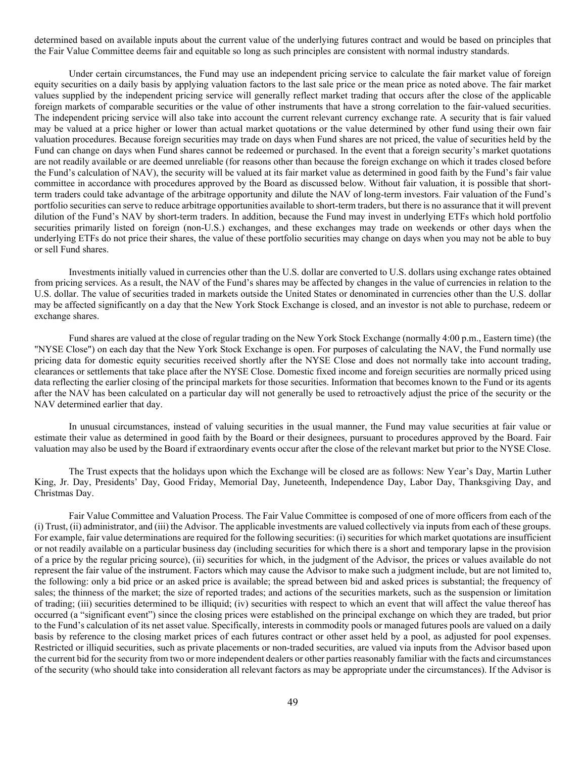determined based on available inputs about the current value of the underlying futures contract and would be based on principles that the Fair Value Committee deems fair and equitable so long as such principles are consistent with normal industry standards.

Under certain circumstances, the Fund may use an independent pricing service to calculate the fair market value of foreign equity securities on a daily basis by applying valuation factors to the last sale price or the mean price as noted above. The fair market values supplied by the independent pricing service will generally reflect market trading that occurs after the close of the applicable foreign markets of comparable securities or the value of other instruments that have a strong correlation to the fair-valued securities. The independent pricing service will also take into account the current relevant currency exchange rate. A security that is fair valued may be valued at a price higher or lower than actual market quotations or the value determined by other fund using their own fair valuation procedures. Because foreign securities may trade on days when Fund shares are not priced, the value of securities held by the Fund can change on days when Fund shares cannot be redeemed or purchased. In the event that a foreign security's market quotations are not readily available or are deemed unreliable (for reasons other than because the foreign exchange on which it trades closed before the Fund's calculation of NAV), the security will be valued at its fair market value as determined in good faith by the Fund's fair value committee in accordance with procedures approved by the Board as discussed below. Without fair valuation, it is possible that shortterm traders could take advantage of the arbitrage opportunity and dilute the NAV of long-term investors. Fair valuation of the Fund's portfolio securities can serve to reduce arbitrage opportunities available to short-term traders, but there is no assurance that it will prevent dilution of the Fund's NAV by short-term traders. In addition, because the Fund may invest in underlying ETFs which hold portfolio securities primarily listed on foreign (non-U.S.) exchanges, and these exchanges may trade on weekends or other days when the underlying ETFs do not price their shares, the value of these portfolio securities may change on days when you may not be able to buy or sell Fund shares.

Investments initially valued in currencies other than the U.S. dollar are converted to U.S. dollars using exchange rates obtained from pricing services. As a result, the NAV of the Fund's shares may be affected by changes in the value of currencies in relation to the U.S. dollar. The value of securities traded in markets outside the United States or denominated in currencies other than the U.S. dollar may be affected significantly on a day that the New York Stock Exchange is closed, and an investor is not able to purchase, redeem or exchange shares.

Fund shares are valued at the close of regular trading on the New York Stock Exchange (normally 4:00 p.m., Eastern time) (the "NYSE Close") on each day that the New York Stock Exchange is open. For purposes of calculating the NAV, the Fund normally use pricing data for domestic equity securities received shortly after the NYSE Close and does not normally take into account trading, clearances or settlements that take place after the NYSE Close. Domestic fixed income and foreign securities are normally priced using data reflecting the earlier closing of the principal markets for those securities. Information that becomes known to the Fund or its agents after the NAV has been calculated on a particular day will not generally be used to retroactively adjust the price of the security or the NAV determined earlier that day.

In unusual circumstances, instead of valuing securities in the usual manner, the Fund may value securities at fair value or estimate their value as determined in good faith by the Board or their designees, pursuant to procedures approved by the Board. Fair valuation may also be used by the Board if extraordinary events occur after the close of the relevant market but prior to the NYSE Close.

The Trust expects that the holidays upon which the Exchange will be closed are as follows: New Year's Day, Martin Luther King, Jr. Day, Presidents' Day, Good Friday, Memorial Day, Juneteenth, Independence Day, Labor Day, Thanksgiving Day, and Christmas Day.

Fair Value Committee and Valuation Process. The Fair Value Committee is composed of one of more officers from each of the (i) Trust, (ii) administrator, and (iii) the Advisor. The applicable investments are valued collectively via inputs from each of these groups. For example, fair value determinations are required for the following securities: (i) securities for which market quotations are insufficient or not readily available on a particular business day (including securities for which there is a short and temporary lapse in the provision of a price by the regular pricing source), (ii) securities for which, in the judgment of the Advisor, the prices or values available do not represent the fair value of the instrument. Factors which may cause the Advisor to make such a judgment include, but are not limited to, the following: only a bid price or an asked price is available; the spread between bid and asked prices is substantial; the frequency of sales; the thinness of the market; the size of reported trades; and actions of the securities markets, such as the suspension or limitation of trading; (iii) securities determined to be illiquid; (iv) securities with respect to which an event that will affect the value thereof has occurred (a "significant event") since the closing prices were established on the principal exchange on which they are traded, but prior to the Fund's calculation of its net asset value. Specifically, interests in commodity pools or managed futures pools are valued on a daily basis by reference to the closing market prices of each futures contract or other asset held by a pool, as adjusted for pool expenses. Restricted or illiquid securities, such as private placements or non-traded securities, are valued via inputs from the Advisor based upon the current bid for the security from two or more independent dealers or other parties reasonably familiar with the facts and circumstances of the security (who should take into consideration all relevant factors as may be appropriate under the circumstances). If the Advisor is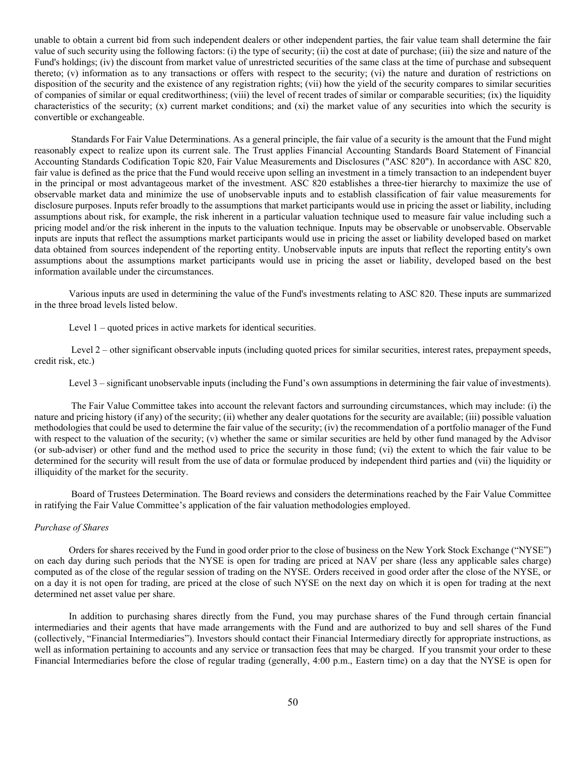unable to obtain a current bid from such independent dealers or other independent parties, the fair value team shall determine the fair value of such security using the following factors: (i) the type of security; (ii) the cost at date of purchase; (iii) the size and nature of the Fund's holdings; (iv) the discount from market value of unrestricted securities of the same class at the time of purchase and subsequent thereto; (v) information as to any transactions or offers with respect to the security; (vi) the nature and duration of restrictions on disposition of the security and the existence of any registration rights; (vii) how the yield of the security compares to similar securities of companies of similar or equal creditworthiness; (viii) the level of recent trades of similar or comparable securities; (ix) the liquidity characteristics of the security; (x) current market conditions; and (xi) the market value of any securities into which the security is convertible or exchangeable.

Standards For Fair Value Determinations. As a general principle, the fair value of a security is the amount that the Fund might reasonably expect to realize upon its current sale. The Trust applies Financial Accounting Standards Board Statement of Financial Accounting Standards Codification Topic 820, Fair Value Measurements and Disclosures ("ASC 820"). In accordance with ASC 820, fair value is defined as the price that the Fund would receive upon selling an investment in a timely transaction to an independent buyer in the principal or most advantageous market of the investment. ASC 820 establishes a three-tier hierarchy to maximize the use of observable market data and minimize the use of unobservable inputs and to establish classification of fair value measurements for disclosure purposes. Inputs refer broadly to the assumptions that market participants would use in pricing the asset or liability, including assumptions about risk, for example, the risk inherent in a particular valuation technique used to measure fair value including such a pricing model and/or the risk inherent in the inputs to the valuation technique. Inputs may be observable or unobservable. Observable inputs are inputs that reflect the assumptions market participants would use in pricing the asset or liability developed based on market data obtained from sources independent of the reporting entity. Unobservable inputs are inputs that reflect the reporting entity's own assumptions about the assumptions market participants would use in pricing the asset or liability, developed based on the best information available under the circumstances.

Various inputs are used in determining the value of the Fund's investments relating to ASC 820. These inputs are summarized in the three broad levels listed below.

Level 1 – quoted prices in active markets for identical securities.

Level 2 – other significant observable inputs (including quoted prices for similar securities, interest rates, prepayment speeds, credit risk, etc.)

Level 3 – significant unobservable inputs (including the Fund's own assumptions in determining the fair value of investments).

The Fair Value Committee takes into account the relevant factors and surrounding circumstances, which may include: (i) the nature and pricing history (if any) of the security; (ii) whether any dealer quotations for the security are available; (iii) possible valuation methodologies that could be used to determine the fair value of the security; (iv) the recommendation of a portfolio manager of the Fund with respect to the valuation of the security; (v) whether the same or similar securities are held by other fund managed by the Advisor (or sub-adviser) or other fund and the method used to price the security in those fund; (vi) the extent to which the fair value to be determined for the security will result from the use of data or formulae produced by independent third parties and (vii) the liquidity or illiquidity of the market for the security.

Board of Trustees Determination. The Board reviews and considers the determinations reached by the Fair Value Committee in ratifying the Fair Value Committee's application of the fair valuation methodologies employed.

#### *Purchase of Shares*

Orders for shares received by the Fund in good order prior to the close of business on the New York Stock Exchange ("NYSE") on each day during such periods that the NYSE is open for trading are priced at NAV per share (less any applicable sales charge) computed as of the close of the regular session of trading on the NYSE. Orders received in good order after the close of the NYSE, or on a day it is not open for trading, are priced at the close of such NYSE on the next day on which it is open for trading at the next determined net asset value per share.

In addition to purchasing shares directly from the Fund, you may purchase shares of the Fund through certain financial intermediaries and their agents that have made arrangements with the Fund and are authorized to buy and sell shares of the Fund (collectively, "Financial Intermediaries"). Investors should contact their Financial Intermediary directly for appropriate instructions, as well as information pertaining to accounts and any service or transaction fees that may be charged. If you transmit your order to these Financial Intermediaries before the close of regular trading (generally, 4:00 p.m., Eastern time) on a day that the NYSE is open for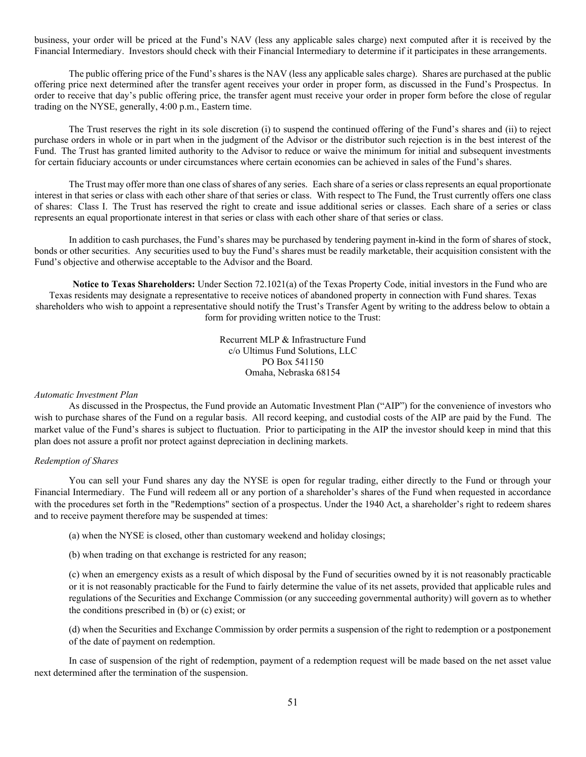business, your order will be priced at the Fund's NAV (less any applicable sales charge) next computed after it is received by the Financial Intermediary. Investors should check with their Financial Intermediary to determine if it participates in these arrangements.

The public offering price of the Fund's shares is the NAV (less any applicable sales charge). Shares are purchased at the public offering price next determined after the transfer agent receives your order in proper form, as discussed in the Fund's Prospectus. In order to receive that day's public offering price, the transfer agent must receive your order in proper form before the close of regular trading on the NYSE, generally, 4:00 p.m., Eastern time.

The Trust reserves the right in its sole discretion (i) to suspend the continued offering of the Fund's shares and (ii) to reject purchase orders in whole or in part when in the judgment of the Advisor or the distributor such rejection is in the best interest of the Fund. The Trust has granted limited authority to the Advisor to reduce or waive the minimum for initial and subsequent investments for certain fiduciary accounts or under circumstances where certain economies can be achieved in sales of the Fund's shares.

The Trust may offer more than one class of shares of any series. Each share of a series or class represents an equal proportionate interest in that series or class with each other share of that series or class. With respect to The Fund, the Trust currently offers one class of shares: Class I. The Trust has reserved the right to create and issue additional series or classes. Each share of a series or class represents an equal proportionate interest in that series or class with each other share of that series or class.

In addition to cash purchases, the Fund's shares may be purchased by tendering payment in-kind in the form of shares of stock, bonds or other securities. Any securities used to buy the Fund's shares must be readily marketable, their acquisition consistent with the Fund's objective and otherwise acceptable to the Advisor and the Board.

**Notice to Texas Shareholders:** Under Section 72.1021(a) of the Texas Property Code, initial investors in the Fund who are Texas residents may designate a representative to receive notices of abandoned property in connection with Fund shares. Texas shareholders who wish to appoint a representative should notify the Trust's Transfer Agent by writing to the address below to obtain a form for providing written notice to the Trust:

> Recurrent MLP & Infrastructure Fund c/o Ultimus Fund Solutions, LLC PO Box 541150 Omaha, Nebraska 68154

### *Automatic Investment Plan*

As discussed in the Prospectus, the Fund provide an Automatic Investment Plan ("AIP") for the convenience of investors who wish to purchase shares of the Fund on a regular basis. All record keeping, and custodial costs of the AIP are paid by the Fund. The market value of the Fund's shares is subject to fluctuation. Prior to participating in the AIP the investor should keep in mind that this plan does not assure a profit nor protect against depreciation in declining markets.

#### *Redemption of Shares*

You can sell your Fund shares any day the NYSE is open for regular trading, either directly to the Fund or through your Financial Intermediary. The Fund will redeem all or any portion of a shareholder's shares of the Fund when requested in accordance with the procedures set forth in the "Redemptions" section of a prospectus. Under the 1940 Act, a shareholder's right to redeem shares and to receive payment therefore may be suspended at times:

(a) when the NYSE is closed, other than customary weekend and holiday closings;

(b) when trading on that exchange is restricted for any reason;

(c) when an emergency exists as a result of which disposal by the Fund of securities owned by it is not reasonably practicable or it is not reasonably practicable for the Fund to fairly determine the value of its net assets, provided that applicable rules and regulations of the Securities and Exchange Commission (or any succeeding governmental authority) will govern as to whether the conditions prescribed in (b) or (c) exist; or

(d) when the Securities and Exchange Commission by order permits a suspension of the right to redemption or a postponement of the date of payment on redemption.

In case of suspension of the right of redemption, payment of a redemption request will be made based on the net asset value next determined after the termination of the suspension.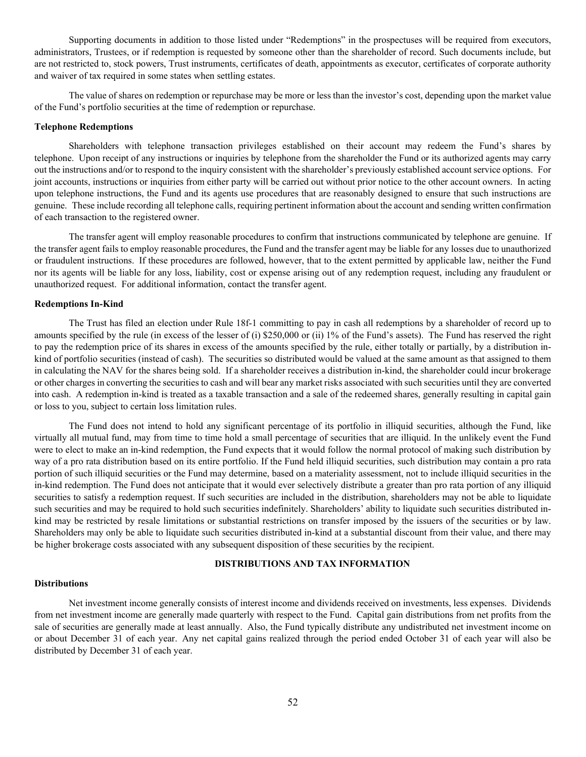Supporting documents in addition to those listed under "Redemptions" in the prospectuses will be required from executors, administrators, Trustees, or if redemption is requested by someone other than the shareholder of record. Such documents include, but are not restricted to, stock powers, Trust instruments, certificates of death, appointments as executor, certificates of corporate authority and waiver of tax required in some states when settling estates.

The value of shares on redemption or repurchase may be more or less than the investor's cost, depending upon the market value of the Fund's portfolio securities at the time of redemption or repurchase.

# **Telephone Redemptions**

Shareholders with telephone transaction privileges established on their account may redeem the Fund's shares by telephone. Upon receipt of any instructions or inquiries by telephone from the shareholder the Fund or its authorized agents may carry out the instructions and/or to respond to the inquiry consistent with the shareholder's previously established account service options. For joint accounts, instructions or inquiries from either party will be carried out without prior notice to the other account owners. In acting upon telephone instructions, the Fund and its agents use procedures that are reasonably designed to ensure that such instructions are genuine. These include recording all telephone calls, requiring pertinent information about the account and sending written confirmation of each transaction to the registered owner.

The transfer agent will employ reasonable procedures to confirm that instructions communicated by telephone are genuine. If the transfer agent fails to employ reasonable procedures, the Fund and the transfer agent may be liable for any losses due to unauthorized or fraudulent instructions. If these procedures are followed, however, that to the extent permitted by applicable law, neither the Fund nor its agents will be liable for any loss, liability, cost or expense arising out of any redemption request, including any fraudulent or unauthorized request. For additional information, contact the transfer agent.

#### **Redemptions In-Kind**

The Trust has filed an election under Rule 18f-1 committing to pay in cash all redemptions by a shareholder of record up to amounts specified by the rule (in excess of the lesser of (i) \$250,000 or (ii) 1% of the Fund's assets). The Fund has reserved the right to pay the redemption price of its shares in excess of the amounts specified by the rule, either totally or partially, by a distribution inkind of portfolio securities (instead of cash). The securities so distributed would be valued at the same amount as that assigned to them in calculating the NAV for the shares being sold. If a shareholder receives a distribution in-kind, the shareholder could incur brokerage or other charges in converting the securities to cash and will bear any market risks associated with such securities until they are converted into cash. A redemption in-kind is treated as a taxable transaction and a sale of the redeemed shares, generally resulting in capital gain or loss to you, subject to certain loss limitation rules.

The Fund does not intend to hold any significant percentage of its portfolio in illiquid securities, although the Fund, like virtually all mutual fund, may from time to time hold a small percentage of securities that are illiquid. In the unlikely event the Fund were to elect to make an in-kind redemption, the Fund expects that it would follow the normal protocol of making such distribution by way of a pro rata distribution based on its entire portfolio. If the Fund held illiquid securities, such distribution may contain a pro rata portion of such illiquid securities or the Fund may determine, based on a materiality assessment, not to include illiquid securities in the in-kind redemption. The Fund does not anticipate that it would ever selectively distribute a greater than pro rata portion of any illiquid securities to satisfy a redemption request. If such securities are included in the distribution, shareholders may not be able to liquidate such securities and may be required to hold such securities indefinitely. Shareholders' ability to liquidate such securities distributed inkind may be restricted by resale limitations or substantial restrictions on transfer imposed by the issuers of the securities or by law. Shareholders may only be able to liquidate such securities distributed in-kind at a substantial discount from their value, and there may be higher brokerage costs associated with any subsequent disposition of these securities by the recipient.

### **DISTRIBUTIONS AND TAX INFORMATION**

### **Distributions**

Net investment income generally consists of interest income and dividends received on investments, less expenses. Dividends from net investment income are generally made quarterly with respect to the Fund. Capital gain distributions from net profits from the sale of securities are generally made at least annually. Also, the Fund typically distribute any undistributed net investment income on or about December 31 of each year. Any net capital gains realized through the period ended October 31 of each year will also be distributed by December 31 of each year.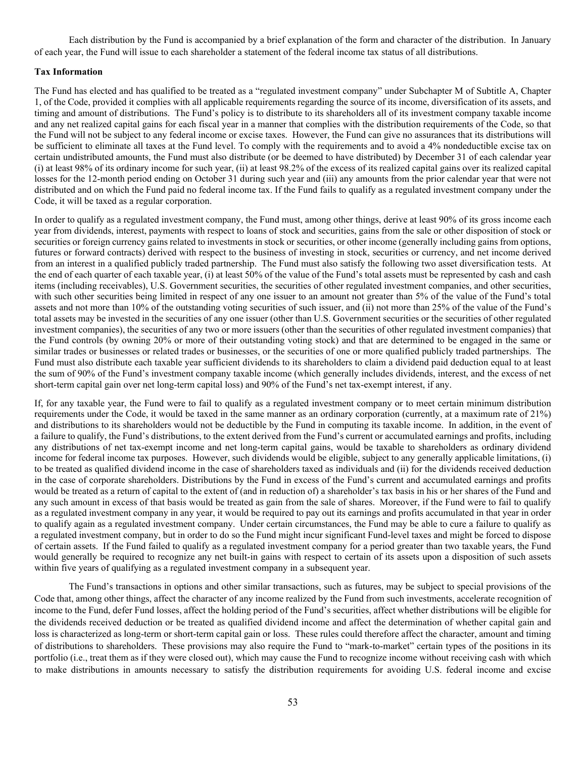Each distribution by the Fund is accompanied by a brief explanation of the form and character of the distribution. In January of each year, the Fund will issue to each shareholder a statement of the federal income tax status of all distributions.

# **Tax Information**

The Fund has elected and has qualified to be treated as a "regulated investment company" under Subchapter M of Subtitle A, Chapter 1, of the Code, provided it complies with all applicable requirements regarding the source of its income, diversification of its assets, and timing and amount of distributions. The Fund's policy is to distribute to its shareholders all of its investment company taxable income and any net realized capital gains for each fiscal year in a manner that complies with the distribution requirements of the Code, so that the Fund will not be subject to any federal income or excise taxes. However, the Fund can give no assurances that its distributions will be sufficient to eliminate all taxes at the Fund level. To comply with the requirements and to avoid a 4% nondeductible excise tax on certain undistributed amounts, the Fund must also distribute (or be deemed to have distributed) by December 31 of each calendar year (i) at least 98% of its ordinary income for such year, (ii) at least 98.2% of the excess of its realized capital gains over its realized capital losses for the 12-month period ending on October 31 during such year and (iii) any amounts from the prior calendar year that were not distributed and on which the Fund paid no federal income tax. If the Fund fails to qualify as a regulated investment company under the Code, it will be taxed as a regular corporation.

In order to qualify as a regulated investment company, the Fund must, among other things, derive at least 90% of its gross income each year from dividends, interest, payments with respect to loans of stock and securities, gains from the sale or other disposition of stock or securities or foreign currency gains related to investments in stock or securities, or other income (generally including gains from options, futures or forward contracts) derived with respect to the business of investing in stock, securities or currency, and net income derived from an interest in a qualified publicly traded partnership. The Fund must also satisfy the following two asset diversification tests. At the end of each quarter of each taxable year, (i) at least 50% of the value of the Fund's total assets must be represented by cash and cash items (including receivables), U.S. Government securities, the securities of other regulated investment companies, and other securities, with such other securities being limited in respect of any one issuer to an amount not greater than 5% of the value of the Fund's total assets and not more than 10% of the outstanding voting securities of such issuer, and (ii) not more than 25% of the value of the Fund's total assets may be invested in the securities of any one issuer (other than U.S. Government securities or the securities of other regulated investment companies), the securities of any two or more issuers (other than the securities of other regulated investment companies) that the Fund controls (by owning 20% or more of their outstanding voting stock) and that are determined to be engaged in the same or similar trades or businesses or related trades or businesses, or the securities of one or more qualified publicly traded partnerships. The Fund must also distribute each taxable year sufficient dividends to its shareholders to claim a dividend paid deduction equal to at least the sum of 90% of the Fund's investment company taxable income (which generally includes dividends, interest, and the excess of net short-term capital gain over net long-term capital loss) and 90% of the Fund's net tax-exempt interest, if any.

If, for any taxable year, the Fund were to fail to qualify as a regulated investment company or to meet certain minimum distribution requirements under the Code, it would be taxed in the same manner as an ordinary corporation (currently, at a maximum rate of 21%) and distributions to its shareholders would not be deductible by the Fund in computing its taxable income. In addition, in the event of a failure to qualify, the Fund's distributions, to the extent derived from the Fund's current or accumulated earnings and profits, including any distributions of net tax-exempt income and net long-term capital gains, would be taxable to shareholders as ordinary dividend income for federal income tax purposes. However, such dividends would be eligible, subject to any generally applicable limitations, (i) to be treated as qualified dividend income in the case of shareholders taxed as individuals and (ii) for the dividends received deduction in the case of corporate shareholders. Distributions by the Fund in excess of the Fund's current and accumulated earnings and profits would be treated as a return of capital to the extent of (and in reduction of) a shareholder's tax basis in his or her shares of the Fund and any such amount in excess of that basis would be treated as gain from the sale of shares. Moreover, if the Fund were to fail to qualify as a regulated investment company in any year, it would be required to pay out its earnings and profits accumulated in that year in order to qualify again as a regulated investment company. Under certain circumstances, the Fund may be able to cure a failure to qualify as a regulated investment company, but in order to do so the Fund might incur significant Fund-level taxes and might be forced to dispose of certain assets. If the Fund failed to qualify as a regulated investment company for a period greater than two taxable years, the Fund would generally be required to recognize any net built-in gains with respect to certain of its assets upon a disposition of such assets within five years of qualifying as a regulated investment company in a subsequent year.

The Fund's transactions in options and other similar transactions, such as futures, may be subject to special provisions of the Code that, among other things, affect the character of any income realized by the Fund from such investments, accelerate recognition of income to the Fund, defer Fund losses, affect the holding period of the Fund's securities, affect whether distributions will be eligible for the dividends received deduction or be treated as qualified dividend income and affect the determination of whether capital gain and loss is characterized as long-term or short-term capital gain or loss. These rules could therefore affect the character, amount and timing of distributions to shareholders. These provisions may also require the Fund to "mark-to-market" certain types of the positions in its portfolio (i.e., treat them as if they were closed out), which may cause the Fund to recognize income without receiving cash with which to make distributions in amounts necessary to satisfy the distribution requirements for avoiding U.S. federal income and excise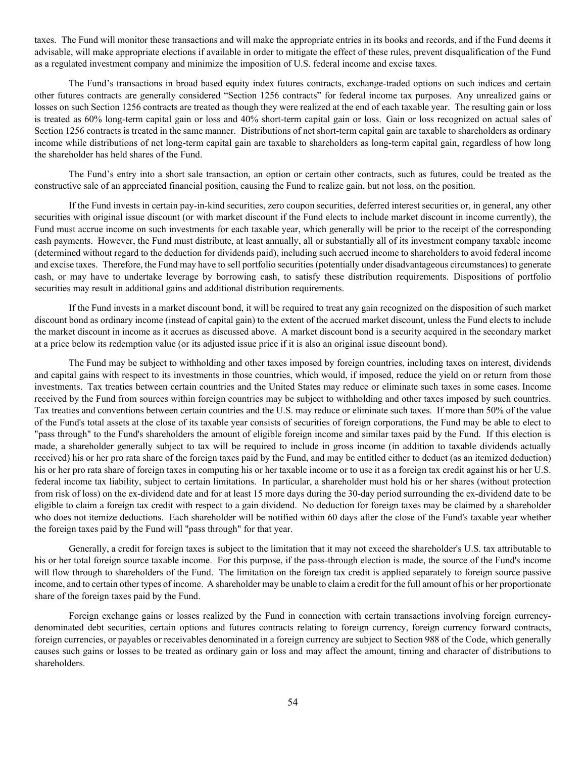taxes. The Fund will monitor these transactions and will make the appropriate entries in its books and records, and if the Fund deems it advisable, will make appropriate elections if available in order to mitigate the effect of these rules, prevent disqualification of the Fund as a regulated investment company and minimize the imposition of U.S. federal income and excise taxes.

The Fund's transactions in broad based equity index futures contracts, exchange-traded options on such indices and certain other futures contracts are generally considered "Section 1256 contracts" for federal income tax purposes. Any unrealized gains or losses on such Section 1256 contracts are treated as though they were realized at the end of each taxable year. The resulting gain or loss is treated as 60% long-term capital gain or loss and 40% short-term capital gain or loss. Gain or loss recognized on actual sales of Section 1256 contracts is treated in the same manner. Distributions of net short-term capital gain are taxable to shareholders as ordinary income while distributions of net long-term capital gain are taxable to shareholders as long-term capital gain, regardless of how long the shareholder has held shares of the Fund.

The Fund's entry into a short sale transaction, an option or certain other contracts, such as futures, could be treated as the constructive sale of an appreciated financial position, causing the Fund to realize gain, but not loss, on the position.

If the Fund invests in certain pay-in-kind securities, zero coupon securities, deferred interest securities or, in general, any other securities with original issue discount (or with market discount if the Fund elects to include market discount in income currently), the Fund must accrue income on such investments for each taxable year, which generally will be prior to the receipt of the corresponding cash payments. However, the Fund must distribute, at least annually, all or substantially all of its investment company taxable income (determined without regard to the deduction for dividends paid), including such accrued income to shareholders to avoid federal income and excise taxes. Therefore, the Fund may have to sell portfolio securities (potentially under disadvantageous circumstances) to generate cash, or may have to undertake leverage by borrowing cash, to satisfy these distribution requirements. Dispositions of portfolio securities may result in additional gains and additional distribution requirements.

If the Fund invests in a market discount bond, it will be required to treat any gain recognized on the disposition of such market discount bond as ordinary income (instead of capital gain) to the extent of the accrued market discount, unless the Fund elects to include the market discount in income as it accrues as discussed above. A market discount bond is a security acquired in the secondary market at a price below its redemption value (or its adjusted issue price if it is also an original issue discount bond).

The Fund may be subject to withholding and other taxes imposed by foreign countries, including taxes on interest, dividends and capital gains with respect to its investments in those countries, which would, if imposed, reduce the yield on or return from those investments. Tax treaties between certain countries and the United States may reduce or eliminate such taxes in some cases. Income received by the Fund from sources within foreign countries may be subject to withholding and other taxes imposed by such countries. Tax treaties and conventions between certain countries and the U.S. may reduce or eliminate such taxes. If more than 50% of the value of the Fund's total assets at the close of its taxable year consists of securities of foreign corporations, the Fund may be able to elect to "pass through" to the Fund's shareholders the amount of eligible foreign income and similar taxes paid by the Fund. If this election is made, a shareholder generally subject to tax will be required to include in gross income (in addition to taxable dividends actually received) his or her pro rata share of the foreign taxes paid by the Fund, and may be entitled either to deduct (as an itemized deduction) his or her pro rata share of foreign taxes in computing his or her taxable income or to use it as a foreign tax credit against his or her U.S. federal income tax liability, subject to certain limitations. In particular, a shareholder must hold his or her shares (without protection from risk of loss) on the ex-dividend date and for at least 15 more days during the 30-day period surrounding the ex-dividend date to be eligible to claim a foreign tax credit with respect to a gain dividend. No deduction for foreign taxes may be claimed by a shareholder who does not itemize deductions. Each shareholder will be notified within 60 days after the close of the Fund's taxable year whether the foreign taxes paid by the Fund will "pass through" for that year.

Generally, a credit for foreign taxes is subject to the limitation that it may not exceed the shareholder's U.S. tax attributable to his or her total foreign source taxable income. For this purpose, if the pass-through election is made, the source of the Fund's income will flow through to shareholders of the Fund. The limitation on the foreign tax credit is applied separately to foreign source passive income, and to certain other types of income. A shareholder may be unable to claim a credit for the full amount of his or her proportionate share of the foreign taxes paid by the Fund.

Foreign exchange gains or losses realized by the Fund in connection with certain transactions involving foreign currencydenominated debt securities, certain options and futures contracts relating to foreign currency, foreign currency forward contracts, foreign currencies, or payables or receivables denominated in a foreign currency are subject to Section 988 of the Code, which generally causes such gains or losses to be treated as ordinary gain or loss and may affect the amount, timing and character of distributions to shareholders.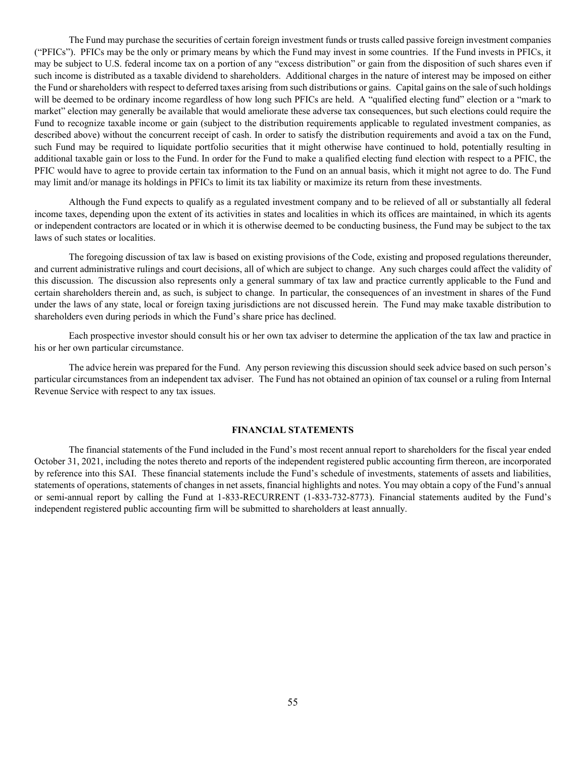The Fund may purchase the securities of certain foreign investment funds or trusts called passive foreign investment companies ("PFICs"). PFICs may be the only or primary means by which the Fund may invest in some countries. If the Fund invests in PFICs, it may be subject to U.S. federal income tax on a portion of any "excess distribution" or gain from the disposition of such shares even if such income is distributed as a taxable dividend to shareholders. Additional charges in the nature of interest may be imposed on either the Fund or shareholders with respect to deferred taxes arising from such distributions or gains. Capital gains on the sale of such holdings will be deemed to be ordinary income regardless of how long such PFICs are held. A "qualified electing fund" election or a "mark to market" election may generally be available that would ameliorate these adverse tax consequences, but such elections could require the Fund to recognize taxable income or gain (subject to the distribution requirements applicable to regulated investment companies, as described above) without the concurrent receipt of cash. In order to satisfy the distribution requirements and avoid a tax on the Fund, such Fund may be required to liquidate portfolio securities that it might otherwise have continued to hold, potentially resulting in additional taxable gain or loss to the Fund. In order for the Fund to make a qualified electing fund election with respect to a PFIC, the PFIC would have to agree to provide certain tax information to the Fund on an annual basis, which it might not agree to do. The Fund may limit and/or manage its holdings in PFICs to limit its tax liability or maximize its return from these investments.

Although the Fund expects to qualify as a regulated investment company and to be relieved of all or substantially all federal income taxes, depending upon the extent of its activities in states and localities in which its offices are maintained, in which its agents or independent contractors are located or in which it is otherwise deemed to be conducting business, the Fund may be subject to the tax laws of such states or localities.

The foregoing discussion of tax law is based on existing provisions of the Code, existing and proposed regulations thereunder, and current administrative rulings and court decisions, all of which are subject to change. Any such charges could affect the validity of this discussion. The discussion also represents only a general summary of tax law and practice currently applicable to the Fund and certain shareholders therein and, as such, is subject to change. In particular, the consequences of an investment in shares of the Fund under the laws of any state, local or foreign taxing jurisdictions are not discussed herein. The Fund may make taxable distribution to shareholders even during periods in which the Fund's share price has declined.

Each prospective investor should consult his or her own tax adviser to determine the application of the tax law and practice in his or her own particular circumstance.

The advice herein was prepared for the Fund. Any person reviewing this discussion should seek advice based on such person's particular circumstances from an independent tax adviser. The Fund has not obtained an opinion of tax counsel or a ruling from Internal Revenue Service with respect to any tax issues.

# **FINANCIAL STATEMENTS**

The financial statements of the Fund included in the Fund's most recent annual report to shareholders for the fiscal year ended October 31, 2021, including the notes thereto and reports of the independent registered public accounting firm thereon, are incorporated by reference into this SAI. These financial statements include the Fund's schedule of investments, statements of assets and liabilities, statements of operations, statements of changes in net assets, financial highlights and notes. You may obtain a copy of the Fund's annual or semi-annual report by calling the Fund at 1-833-RECURRENT (1-833-732-8773). Financial statements audited by the Fund's independent registered public accounting firm will be submitted to shareholders at least annually.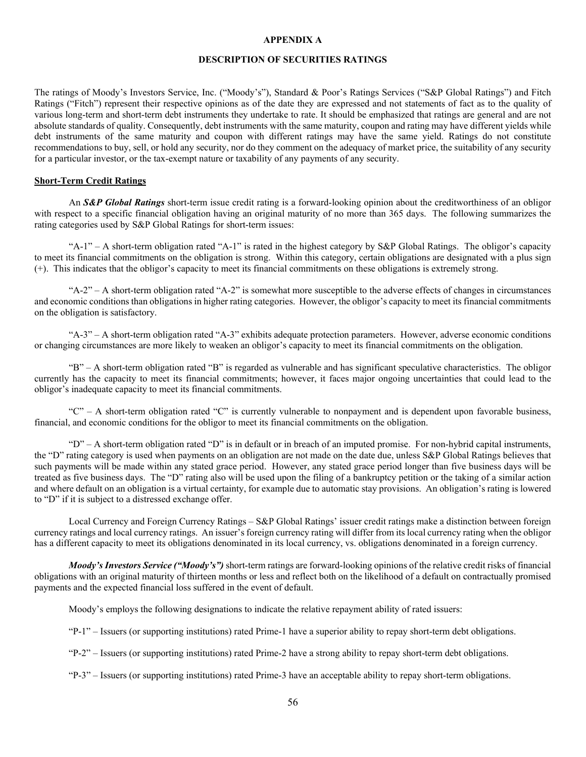### **APPENDIX A**

# **DESCRIPTION OF SECURITIES RATINGS**

The ratings of Moody's Investors Service, Inc. ("Moody's"), Standard & Poor's Ratings Services ("S&P Global Ratings") and Fitch Ratings ("Fitch") represent their respective opinions as of the date they are expressed and not statements of fact as to the quality of various long-term and short-term debt instruments they undertake to rate. It should be emphasized that ratings are general and are not absolute standards of quality. Consequently, debt instruments with the same maturity, coupon and rating may have different yields while debt instruments of the same maturity and coupon with different ratings may have the same yield. Ratings do not constitute recommendations to buy, sell, or hold any security, nor do they comment on the adequacy of market price, the suitability of any security for a particular investor, or the tax-exempt nature or taxability of any payments of any security.

# **Short-Term Credit Ratings**

An *S&P Global Ratings* short-term issue credit rating is a forward-looking opinion about the creditworthiness of an obligor with respect to a specific financial obligation having an original maturity of no more than 365 days. The following summarizes the rating categories used by S&P Global Ratings for short-term issues:

"A-1" – A short-term obligation rated "A-1" is rated in the highest category by S&P Global Ratings. The obligor's capacity to meet its financial commitments on the obligation is strong. Within this category, certain obligations are designated with a plus sign (+). This indicates that the obligor's capacity to meet its financial commitments on these obligations is extremely strong.

"A-2" – A short-term obligation rated "A-2" is somewhat more susceptible to the adverse effects of changes in circumstances and economic conditions than obligations in higher rating categories. However, the obligor's capacity to meet its financial commitments on the obligation is satisfactory.

"A-3" – A short-term obligation rated "A-3" exhibits adequate protection parameters. However, adverse economic conditions or changing circumstances are more likely to weaken an obligor's capacity to meet its financial commitments on the obligation.

"B" – A short-term obligation rated "B" is regarded as vulnerable and has significant speculative characteristics. The obligor currently has the capacity to meet its financial commitments; however, it faces major ongoing uncertainties that could lead to the obligor's inadequate capacity to meet its financial commitments.

" $C$ " – A short-term obligation rated " $C$ " is currently vulnerable to nonpayment and is dependent upon favorable business, financial, and economic conditions for the obligor to meet its financial commitments on the obligation.

" $D$ " – A short-term obligation rated "D" is in default or in breach of an imputed promise. For non-hybrid capital instruments, the "D" rating category is used when payments on an obligation are not made on the date due, unless S&P Global Ratings believes that such payments will be made within any stated grace period. However, any stated grace period longer than five business days will be treated as five business days. The "D" rating also will be used upon the filing of a bankruptcy petition or the taking of a similar action and where default on an obligation is a virtual certainty, for example due to automatic stay provisions. An obligation's rating is lowered to "D" if it is subject to a distressed exchange offer.

Local Currency and Foreign Currency Ratings – S&P Global Ratings' issuer credit ratings make a distinction between foreign currency ratings and local currency ratings. An issuer's foreign currency rating will differ from its local currency rating when the obligor has a different capacity to meet its obligations denominated in its local currency, vs. obligations denominated in a foreign currency.

*Moody's Investors Service ("Moody's")* short-term ratings are forward-looking opinions of the relative credit risks of financial obligations with an original maturity of thirteen months or less and reflect both on the likelihood of a default on contractually promised payments and the expected financial loss suffered in the event of default.

Moody's employs the following designations to indicate the relative repayment ability of rated issuers:

"P-1" – Issuers (or supporting institutions) rated Prime-1 have a superior ability to repay short-term debt obligations.

"P-2" – Issuers (or supporting institutions) rated Prime-2 have a strong ability to repay short-term debt obligations.

"P-3" – Issuers (or supporting institutions) rated Prime-3 have an acceptable ability to repay short-term obligations.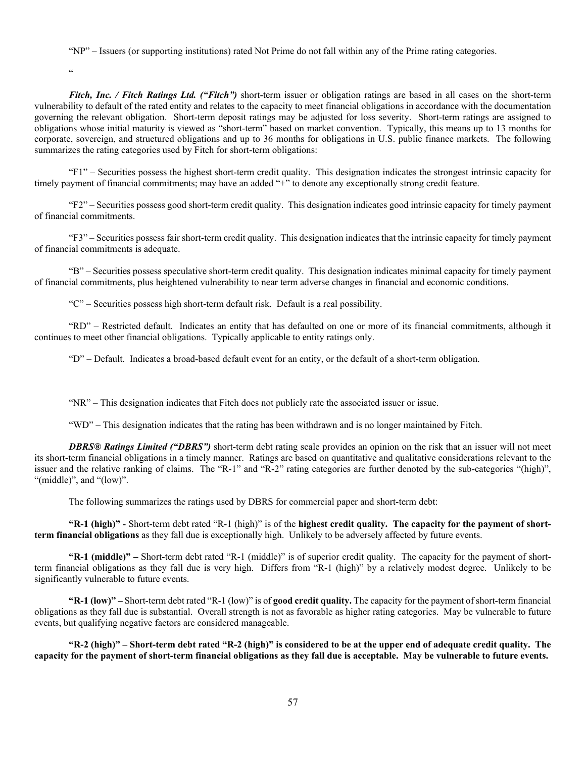"NP" – Issuers (or supporting institutions) rated Not Prime do not fall within any of the Prime rating categories.

 $\epsilon$ 

*Fitch, Inc. / Fitch Ratings Ltd.* ("*Fitch"*) short-term issuer or obligation ratings are based in all cases on the short-term vulnerability to default of the rated entity and relates to the capacity to meet financial obligations in accordance with the documentation governing the relevant obligation. Short-term deposit ratings may be adjusted for loss severity. Short-term ratings are assigned to obligations whose initial maturity is viewed as "short-term" based on market convention. Typically, this means up to 13 months for corporate, sovereign, and structured obligations and up to 36 months for obligations in U.S. public finance markets. The following summarizes the rating categories used by Fitch for short-term obligations:

"F1" – Securities possess the highest short-term credit quality. This designation indicates the strongest intrinsic capacity for timely payment of financial commitments; may have an added "+" to denote any exceptionally strong credit feature.

"F2" – Securities possess good short-term credit quality. This designation indicates good intrinsic capacity for timely payment of financial commitments.

"F3" – Securities possess fair short-term credit quality. This designation indicates that the intrinsic capacity for timely payment of financial commitments is adequate.

"B" – Securities possess speculative short-term credit quality. This designation indicates minimal capacity for timely payment of financial commitments, plus heightened vulnerability to near term adverse changes in financial and economic conditions.

"C" – Securities possess high short-term default risk. Default is a real possibility.

"RD" – Restricted default. Indicates an entity that has defaulted on one or more of its financial commitments, although it continues to meet other financial obligations. Typically applicable to entity ratings only.

"D" – Default. Indicates a broad-based default event for an entity, or the default of a short-term obligation.

"NR" – This designation indicates that Fitch does not publicly rate the associated issuer or issue.

"WD" – This designation indicates that the rating has been withdrawn and is no longer maintained by Fitch.

*DBRS® Ratings Limited ("DBRS")* short-term debt rating scale provides an opinion on the risk that an issuer will not meet its short-term financial obligations in a timely manner. Ratings are based on quantitative and qualitative considerations relevant to the issuer and the relative ranking of claims. The "R-1" and "R-2" rating categories are further denoted by the sub-categories "(high)", "(middle)", and "(low)".

The following summarizes the ratings used by DBRS for commercial paper and short-term debt:

**"R-1 (high)"** - Short-term debt rated "R-1 (high)" is of the **highest credit quality. The capacity for the payment of shortterm financial obligations** as they fall due is exceptionally high. Unlikely to be adversely affected by future events.

**"R-1 (middle)" –** Short-term debt rated "R-1 (middle)" is of superior credit quality. The capacity for the payment of shortterm financial obligations as they fall due is very high. Differs from "R-1 (high)" by a relatively modest degree. Unlikely to be significantly vulnerable to future events.

**"R-1 (low)" –** Short-term debt rated "R-1 (low)" is of **good credit quality.** The capacity for the payment of short-term financial obligations as they fall due is substantial. Overall strength is not as favorable as higher rating categories. May be vulnerable to future events, but qualifying negative factors are considered manageable.

**"R-2 (high)" – Short-term debt rated "R-2 (high)" is considered to be at the upper end of adequate credit quality. The capacity for the payment of short-term financial obligations as they fall due is acceptable. May be vulnerable to future events.**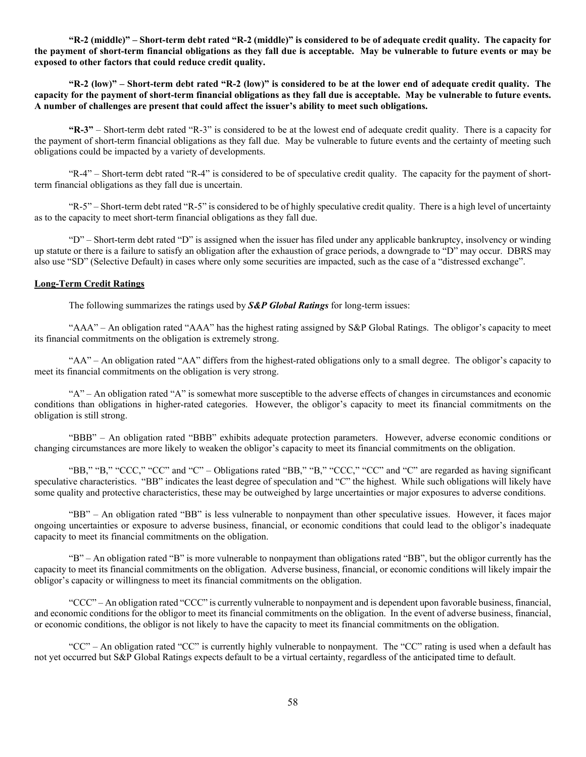**"R-2 (middle)" – Short-term debt rated "R-2 (middle)" is considered to be of adequate credit quality. The capacity for the payment of short-term financial obligations as they fall due is acceptable. May be vulnerable to future events or may be exposed to other factors that could reduce credit quality.**

**"R-2 (low)" – Short-term debt rated "R-2 (low)" is considered to be at the lower end of adequate credit quality. The capacity for the payment of short-term financial obligations as they fall due is acceptable. May be vulnerable to future events. A number of challenges are present that could affect the issuer's ability to meet such obligations.**

**"R-3"** – Short-term debt rated "R-3" is considered to be at the lowest end of adequate credit quality. There is a capacity for the payment of short-term financial obligations as they fall due. May be vulnerable to future events and the certainty of meeting such obligations could be impacted by a variety of developments.

"R-4" – Short-term debt rated "R-4" is considered to be of speculative credit quality. The capacity for the payment of shortterm financial obligations as they fall due is uncertain.

"R-5" – Short-term debt rated "R-5" is considered to be of highly speculative credit quality. There is a high level of uncertainty as to the capacity to meet short-term financial obligations as they fall due.

"D" – Short-term debt rated "D" is assigned when the issuer has filed under any applicable bankruptcy, insolvency or winding up statute or there is a failure to satisfy an obligation after the exhaustion of grace periods, a downgrade to "D" may occur. DBRS may also use "SD" (Selective Default) in cases where only some securities are impacted, such as the case of a "distressed exchange".

# **Long-Term Credit Ratings**

The following summarizes the ratings used by *S&P Global Ratings* for long-term issues:

"AAA" – An obligation rated "AAA" has the highest rating assigned by S&P Global Ratings. The obligor's capacity to meet its financial commitments on the obligation is extremely strong.

"AA" – An obligation rated "AA" differs from the highest-rated obligations only to a small degree. The obligor's capacity to meet its financial commitments on the obligation is very strong.

"A" – An obligation rated "A" is somewhat more susceptible to the adverse effects of changes in circumstances and economic conditions than obligations in higher-rated categories. However, the obligor's capacity to meet its financial commitments on the obligation is still strong.

"BBB" – An obligation rated "BBB" exhibits adequate protection parameters. However, adverse economic conditions or changing circumstances are more likely to weaken the obligor's capacity to meet its financial commitments on the obligation.

"BB," "B," "CCC," "CC" and "C" – Obligations rated "BB," "B," "CCC," "CC" and "C" are regarded as having significant speculative characteristics. "BB" indicates the least degree of speculation and "C" the highest. While such obligations will likely have some quality and protective characteristics, these may be outweighed by large uncertainties or major exposures to adverse conditions.

"BB" – An obligation rated "BB" is less vulnerable to nonpayment than other speculative issues. However, it faces major ongoing uncertainties or exposure to adverse business, financial, or economic conditions that could lead to the obligor's inadequate capacity to meet its financial commitments on the obligation.

"B" – An obligation rated "B" is more vulnerable to nonpayment than obligations rated "BB", but the obligor currently has the capacity to meet its financial commitments on the obligation. Adverse business, financial, or economic conditions will likely impair the obligor's capacity or willingness to meet its financial commitments on the obligation.

"CCC" – An obligation rated "CCC" is currently vulnerable to nonpayment and is dependent upon favorable business, financial, and economic conditions for the obligor to meet its financial commitments on the obligation. In the event of adverse business, financial, or economic conditions, the obligor is not likely to have the capacity to meet its financial commitments on the obligation.

"CC" – An obligation rated "CC" is currently highly vulnerable to nonpayment. The "CC" rating is used when a default has not yet occurred but S&P Global Ratings expects default to be a virtual certainty, regardless of the anticipated time to default.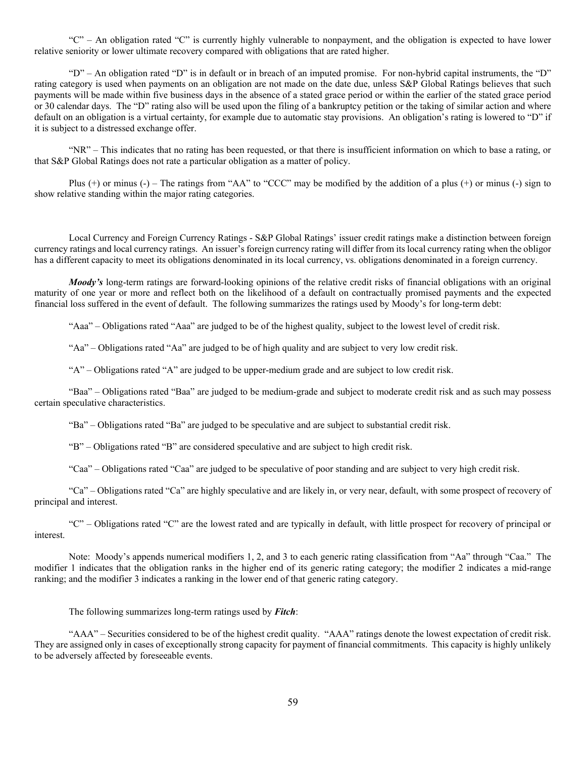" $C$ " – An obligation rated " $C$ " is currently highly vulnerable to nonpayment, and the obligation is expected to have lower relative seniority or lower ultimate recovery compared with obligations that are rated higher.

"D" – An obligation rated "D" is in default or in breach of an imputed promise. For non-hybrid capital instruments, the "D" rating category is used when payments on an obligation are not made on the date due, unless S&P Global Ratings believes that such payments will be made within five business days in the absence of a stated grace period or within the earlier of the stated grace period or 30 calendar days. The "D" rating also will be used upon the filing of a bankruptcy petition or the taking of similar action and where default on an obligation is a virtual certainty, for example due to automatic stay provisions. An obligation's rating is lowered to "D" if it is subject to a distressed exchange offer.

"NR" – This indicates that no rating has been requested, or that there is insufficient information on which to base a rating, or that S&P Global Ratings does not rate a particular obligation as a matter of policy.

Plus  $(+)$  or minus  $(-)$  – The ratings from "AA" to "CCC" may be modified by the addition of a plus  $(+)$  or minus  $(-)$  sign to show relative standing within the major rating categories.

Local Currency and Foreign Currency Ratings - S&P Global Ratings' issuer credit ratings make a distinction between foreign currency ratings and local currency ratings. An issuer's foreign currency rating will differ from its local currency rating when the obligor has a different capacity to meet its obligations denominated in its local currency, vs. obligations denominated in a foreign currency.

*Moody's* long-term ratings are forward-looking opinions of the relative credit risks of financial obligations with an original maturity of one year or more and reflect both on the likelihood of a default on contractually promised payments and the expected financial loss suffered in the event of default. The following summarizes the ratings used by Moody's for long-term debt:

"Aaa" – Obligations rated "Aaa" are judged to be of the highest quality, subject to the lowest level of credit risk.

"Aa" – Obligations rated "Aa" are judged to be of high quality and are subject to very low credit risk.

"A" – Obligations rated "A" are judged to be upper-medium grade and are subject to low credit risk.

"Baa" – Obligations rated "Baa" are judged to be medium-grade and subject to moderate credit risk and as such may possess certain speculative characteristics.

"Ba" – Obligations rated "Ba" are judged to be speculative and are subject to substantial credit risk.

"B" – Obligations rated "B" are considered speculative and are subject to high credit risk.

"Caa" – Obligations rated "Caa" are judged to be speculative of poor standing and are subject to very high credit risk.

"Ca" – Obligations rated "Ca" are highly speculative and are likely in, or very near, default, with some prospect of recovery of principal and interest.

"C" – Obligations rated "C" are the lowest rated and are typically in default, with little prospect for recovery of principal or interest.

Note: Moody's appends numerical modifiers 1, 2, and 3 to each generic rating classification from "Aa" through "Caa." The modifier 1 indicates that the obligation ranks in the higher end of its generic rating category; the modifier 2 indicates a mid-range ranking; and the modifier 3 indicates a ranking in the lower end of that generic rating category.

The following summarizes long-term ratings used by *Fitch*:

"AAA" – Securities considered to be of the highest credit quality. "AAA" ratings denote the lowest expectation of credit risk. They are assigned only in cases of exceptionally strong capacity for payment of financial commitments. This capacity is highly unlikely to be adversely affected by foreseeable events.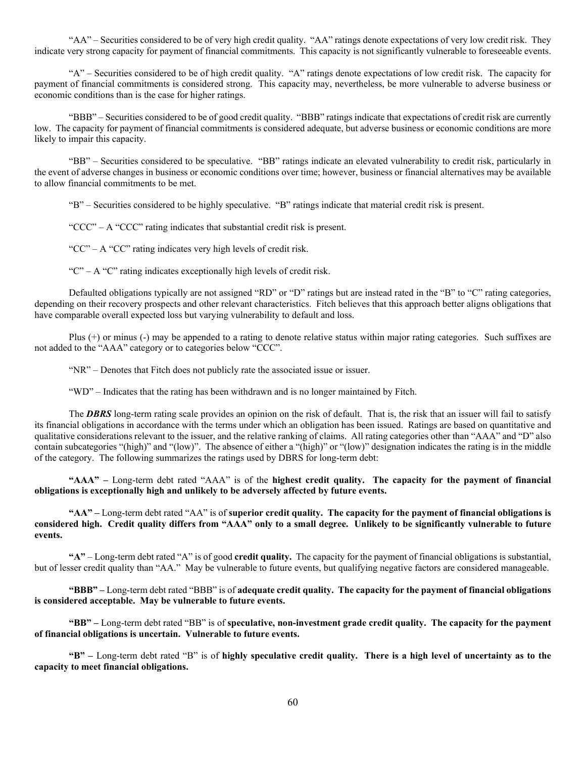"AA" – Securities considered to be of very high credit quality. "AA" ratings denote expectations of very low credit risk. They indicate very strong capacity for payment of financial commitments. This capacity is not significantly vulnerable to foreseeable events.

"A" – Securities considered to be of high credit quality. "A" ratings denote expectations of low credit risk. The capacity for payment of financial commitments is considered strong. This capacity may, nevertheless, be more vulnerable to adverse business or economic conditions than is the case for higher ratings.

"BBB" – Securities considered to be of good credit quality. "BBB" ratings indicate that expectations of credit risk are currently low. The capacity for payment of financial commitments is considered adequate, but adverse business or economic conditions are more likely to impair this capacity.

"BB" – Securities considered to be speculative. "BB" ratings indicate an elevated vulnerability to credit risk, particularly in the event of adverse changes in business or economic conditions over time; however, business or financial alternatives may be available to allow financial commitments to be met.

"B" – Securities considered to be highly speculative. "B" ratings indicate that material credit risk is present.

"CCC" – A "CCC" rating indicates that substantial credit risk is present.

"CC" – A "CC" rating indicates very high levels of credit risk.

" $C$ " – A " $C$ " rating indicates exceptionally high levels of credit risk.

Defaulted obligations typically are not assigned "RD" or "D" ratings but are instead rated in the "B" to "C" rating categories, depending on their recovery prospects and other relevant characteristics. Fitch believes that this approach better aligns obligations that have comparable overall expected loss but varying vulnerability to default and loss.

Plus (+) or minus (-) may be appended to a rating to denote relative status within major rating categories. Such suffixes are not added to the "AAA" category or to categories below "CCC".

"NR" – Denotes that Fitch does not publicly rate the associated issue or issuer.

"WD" – Indicates that the rating has been withdrawn and is no longer maintained by Fitch.

The **DBRS** long-term rating scale provides an opinion on the risk of default. That is, the risk that an issuer will fail to satisfy its financial obligations in accordance with the terms under which an obligation has been issued. Ratings are based on quantitative and qualitative considerations relevant to the issuer, and the relative ranking of claims. All rating categories other than "AAA" and "D" also contain subcategories "(high)" and "(low)". The absence of either a "(high)" or "(low)" designation indicates the rating is in the middle of the category. The following summarizes the ratings used by DBRS for long-term debt:

**"AAA" –** Long-term debt rated "AAA" is of the **highest credit quality. The capacity for the payment of financial obligations is exceptionally high and unlikely to be adversely affected by future events.**

**"AA" –** Long-term debt rated "AA" is of **superior credit quality. The capacity for the payment of financial obligations is considered high. Credit quality differs from "AAA" only to a small degree. Unlikely to be significantly vulnerable to future events.**

**"A"** – Long-term debt rated "A" is of good **credit quality.** The capacity for the payment of financial obligations is substantial, but of lesser credit quality than "AA." May be vulnerable to future events, but qualifying negative factors are considered manageable.

**"BBB" –** Long-term debt rated "BBB" is of **adequate credit quality. The capacity for the payment of financial obligations is considered acceptable. May be vulnerable to future events.**

**"BB" –** Long-term debt rated "BB" is of **speculative, non-investment grade credit quality. The capacity for the payment of financial obligations is uncertain. Vulnerable to future events.**

**"B" –** Long-term debt rated "B" is of **highly speculative credit quality. There is a high level of uncertainty as to the capacity to meet financial obligations.**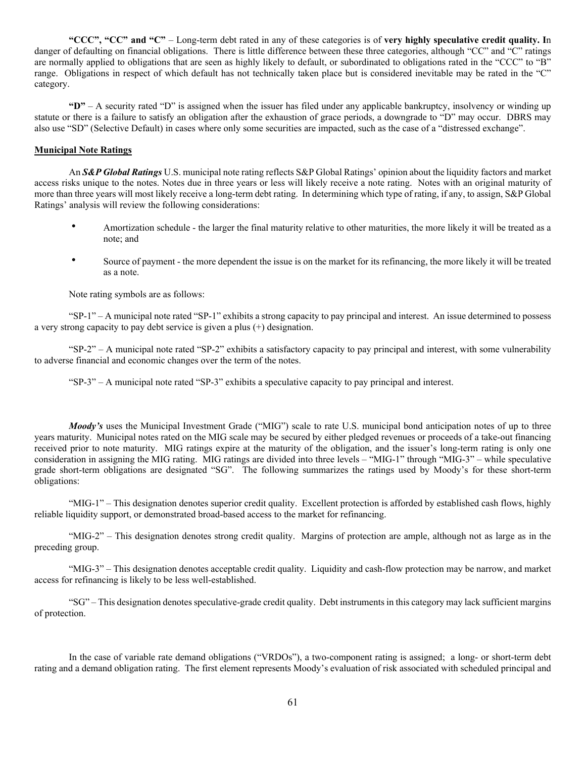**"CCC", "CC" and "C"** – Long-term debt rated in any of these categories is of **very highly speculative credit quality. I**n danger of defaulting on financial obligations. There is little difference between these three categories, although "CC" and "C" ratings are normally applied to obligations that are seen as highly likely to default, or subordinated to obligations rated in the "CCC" to "B" range. Obligations in respect of which default has not technically taken place but is considered inevitable may be rated in the "C" category.

**"D"** – A security rated "D" is assigned when the issuer has filed under any applicable bankruptcy, insolvency or winding up statute or there is a failure to satisfy an obligation after the exhaustion of grace periods, a downgrade to "D" may occur. DBRS may also use "SD" (Selective Default) in cases where only some securities are impacted, such as the case of a "distressed exchange".

# **Municipal Note Ratings**

An *S&P Global Ratings* U.S. municipal note rating reflects S&P Global Ratings' opinion about the liquidity factors and market access risks unique to the notes. Notes due in three years or less will likely receive a note rating. Notes with an original maturity of more than three years will most likely receive a long-term debt rating. In determining which type of rating, if any, to assign, S&P Global Ratings' analysis will review the following considerations:

- Amortization schedule the larger the final maturity relative to other maturities, the more likely it will be treated as a note; and
- Source of payment the more dependent the issue is on the market for its refinancing, the more likely it will be treated as a note.

Note rating symbols are as follows:

"SP-1" – A municipal note rated "SP-1" exhibits a strong capacity to pay principal and interest. An issue determined to possess a very strong capacity to pay debt service is given a plus (+) designation.

"SP-2" – A municipal note rated "SP-2" exhibits a satisfactory capacity to pay principal and interest, with some vulnerability to adverse financial and economic changes over the term of the notes.

"SP-3" – A municipal note rated "SP-3" exhibits a speculative capacity to pay principal and interest.

*Moody's* uses the Municipal Investment Grade ("MIG") scale to rate U.S. municipal bond anticipation notes of up to three years maturity. Municipal notes rated on the MIG scale may be secured by either pledged revenues or proceeds of a take-out financing received prior to note maturity. MIG ratings expire at the maturity of the obligation, and the issuer's long-term rating is only one consideration in assigning the MIG rating. MIG ratings are divided into three levels – "MIG-1" through "MIG-3" – while speculative grade short-term obligations are designated "SG". The following summarizes the ratings used by Moody's for these short-term obligations:

"MIG-1" – This designation denotes superior credit quality. Excellent protection is afforded by established cash flows, highly reliable liquidity support, or demonstrated broad-based access to the market for refinancing.

"MIG-2" – This designation denotes strong credit quality. Margins of protection are ample, although not as large as in the preceding group.

"MIG-3" – This designation denotes acceptable credit quality. Liquidity and cash-flow protection may be narrow, and market access for refinancing is likely to be less well-established.

"SG" – This designation denotes speculative-grade credit quality. Debt instruments in this category may lack sufficient margins of protection.

In the case of variable rate demand obligations ("VRDOs"), a two-component rating is assigned; a long- or short-term debt rating and a demand obligation rating. The first element represents Moody's evaluation of risk associated with scheduled principal and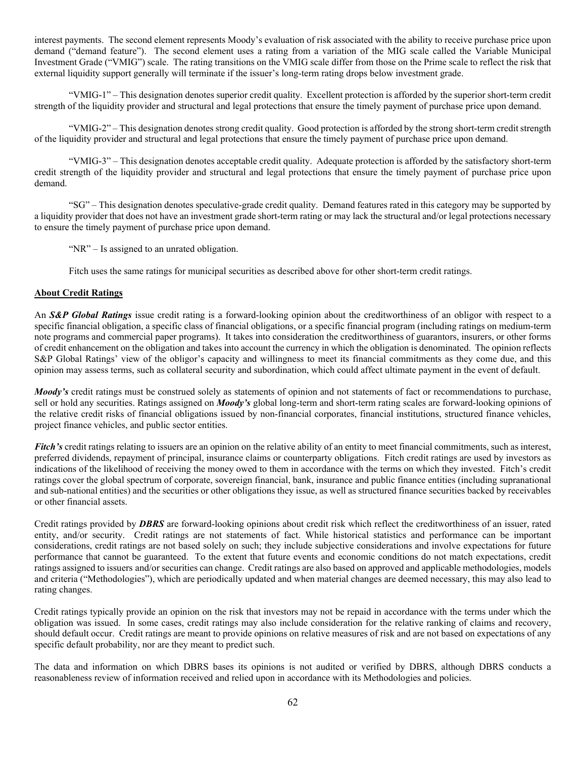interest payments. The second element represents Moody's evaluation of risk associated with the ability to receive purchase price upon demand ("demand feature"). The second element uses a rating from a variation of the MIG scale called the Variable Municipal Investment Grade ("VMIG") scale. The rating transitions on the VMIG scale differ from those on the Prime scale to reflect the risk that external liquidity support generally will terminate if the issuer's long-term rating drops below investment grade.

"VMIG-1" – This designation denotes superior credit quality. Excellent protection is afforded by the superior short-term credit strength of the liquidity provider and structural and legal protections that ensure the timely payment of purchase price upon demand.

"VMIG-2" – This designation denotes strong credit quality. Good protection is afforded by the strong short-term credit strength of the liquidity provider and structural and legal protections that ensure the timely payment of purchase price upon demand.

"VMIG-3" – This designation denotes acceptable credit quality. Adequate protection is afforded by the satisfactory short-term credit strength of the liquidity provider and structural and legal protections that ensure the timely payment of purchase price upon demand.

"SG" – This designation denotes speculative-grade credit quality. Demand features rated in this category may be supported by a liquidity provider that does not have an investment grade short-term rating or may lack the structural and/or legal protections necessary to ensure the timely payment of purchase price upon demand.

"NR" – Is assigned to an unrated obligation.

Fitch uses the same ratings for municipal securities as described above for other short-term credit ratings.

# **About Credit Ratings**

An *S&P Global Ratings* issue credit rating is a forward-looking opinion about the creditworthiness of an obligor with respect to a specific financial obligation, a specific class of financial obligations, or a specific financial program (including ratings on medium-term note programs and commercial paper programs). It takes into consideration the creditworthiness of guarantors, insurers, or other forms of credit enhancement on the obligation and takes into account the currency in which the obligation is denominated. The opinion reflects S&P Global Ratings' view of the obligor's capacity and willingness to meet its financial commitments as they come due, and this opinion may assess terms, such as collateral security and subordination, which could affect ultimate payment in the event of default.

*Moody's* credit ratings must be construed solely as statements of opinion and not statements of fact or recommendations to purchase, sell or hold any securities. Ratings assigned on *Moody's* global long-term and short-term rating scales are forward-looking opinions of the relative credit risks of financial obligations issued by non-financial corporates, financial institutions, structured finance vehicles, project finance vehicles, and public sector entities.

*Fitch's* credit ratings relating to issuers are an opinion on the relative ability of an entity to meet financial commitments, such as interest, preferred dividends, repayment of principal, insurance claims or counterparty obligations. Fitch credit ratings are used by investors as indications of the likelihood of receiving the money owed to them in accordance with the terms on which they invested. Fitch's credit ratings cover the global spectrum of corporate, sovereign financial, bank, insurance and public finance entities (including supranational and sub-national entities) and the securities or other obligations they issue, as well as structured finance securities backed by receivables or other financial assets.

Credit ratings provided by *DBRS* are forward-looking opinions about credit risk which reflect the creditworthiness of an issuer, rated entity, and/or security. Credit ratings are not statements of fact. While historical statistics and performance can be important considerations, credit ratings are not based solely on such; they include subjective considerations and involve expectations for future performance that cannot be guaranteed. To the extent that future events and economic conditions do not match expectations, credit ratings assigned to issuers and/or securities can change. Credit ratings are also based on approved and applicable methodologies, models and criteria ("Methodologies"), which are periodically updated and when material changes are deemed necessary, this may also lead to rating changes.

Credit ratings typically provide an opinion on the risk that investors may not be repaid in accordance with the terms under which the obligation was issued. In some cases, credit ratings may also include consideration for the relative ranking of claims and recovery, should default occur. Credit ratings are meant to provide opinions on relative measures of risk and are not based on expectations of any specific default probability, nor are they meant to predict such.

The data and information on which DBRS bases its opinions is not audited or verified by DBRS, although DBRS conducts a reasonableness review of information received and relied upon in accordance with its Methodologies and policies.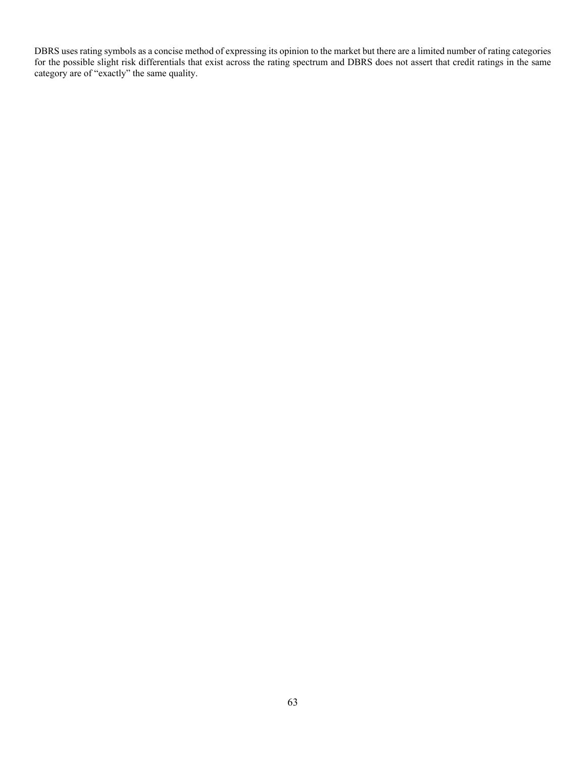DBRS uses rating symbols as a concise method of expressing its opinion to the market but there are a limited number of rating categories for the possible slight risk differentials that exist across the rating spectrum and DBRS does not assert that credit ratings in the same category are of "exactly" the same quality.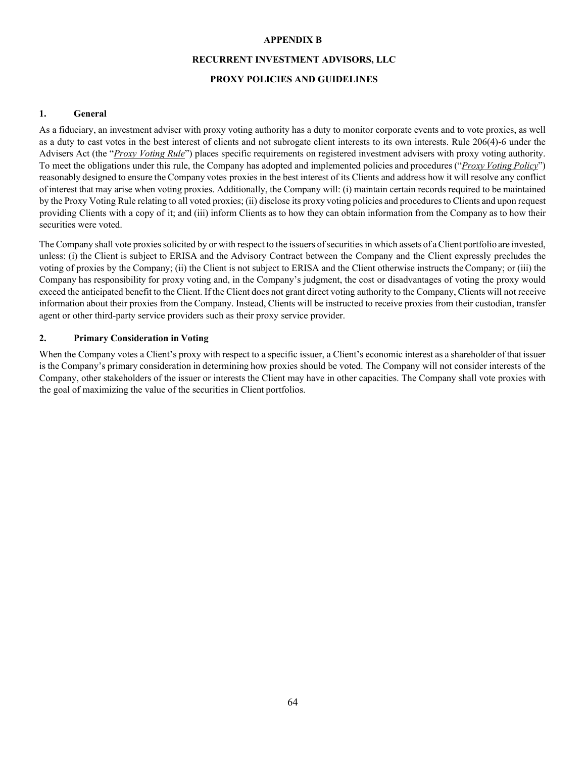# **APPENDIX B**

# **RECURRENT INVESTMENT ADVISORS, LLC**

# **PROXY POLICIES AND GUIDELINES**

# **1. General**

As a fiduciary, an investment adviser with proxy voting authority has a duty to monitor corporate events and to vote proxies, as well as a duty to cast votes in the best interest of clients and not subrogate client interests to its own interests. Rule 206(4)-6 under the Advisers Act (the "*Proxy Voting Rule*") places specific requirements on registered investment advisers with proxy voting authority. To meet the obligations under this rule, the Company has adopted and implemented policies and procedures ("*Proxy Voting Policy*") reasonably designed to ensure the Company votes proxies in the best interest of its Clients and address how it will resolve any conflict of interest that may arise when voting proxies. Additionally, the Company will: (i) maintain certain records required to be maintained by the Proxy Voting Rule relating to all voted proxies; (ii) disclose its proxy voting policies and proceduresto Clients and upon request providing Clients with a copy of it; and (iii) inform Clients as to how they can obtain information from the Company as to how their securities were voted.

The Company shall vote proxies solicited by or with respect to the issuers of securities in which assets of aClient portfolio are invested, unless: (i) the Client is subject to ERISA and the Advisory Contract between the Company and the Client expressly precludes the voting of proxies by the Company; (ii) the Client is not subject to ERISA and the Client otherwise instructs theCompany; or (iii) the Company has responsibility for proxy voting and, in the Company's judgment, the cost or disadvantages of voting the proxy would exceed the anticipated benefit to the Client. If the Client does not grant direct voting authority to the Company, Clients will not receive information about their proxies from the Company. Instead, Clients will be instructed to receive proxies from their custodian, transfer agent or other third-party service providers such as their proxy service provider.

# **2. Primary Consideration in Voting**

When the Company votes a Client's proxy with respect to a specific issuer, a Client's economic interest as a shareholder of that issuer is the Company's primary consideration in determining how proxies should be voted. The Company will not consider interests of the Company, other stakeholders of the issuer or interests the Client may have in other capacities. The Company shall vote proxies with the goal of maximizing the value of the securities in Client portfolios.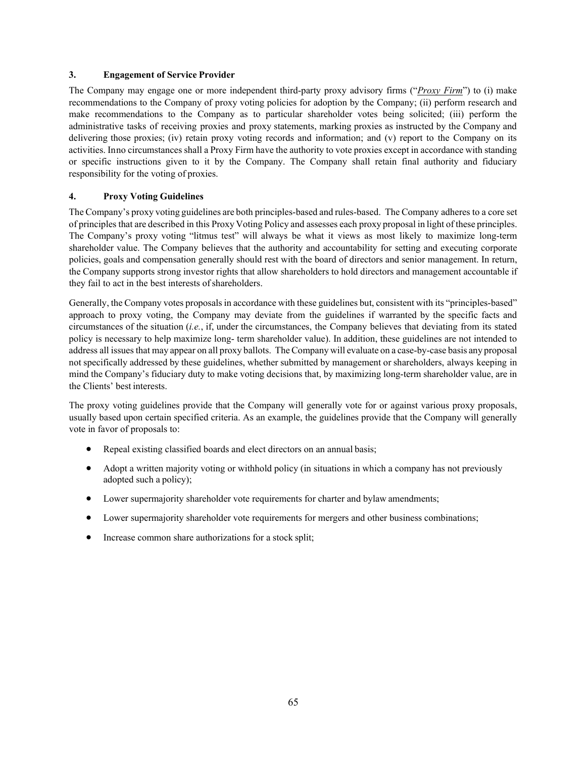# **3. Engagement of Service Provider**

The Company may engage one or more independent third-party proxy advisory firms ("*Proxy Firm*") to (i) make recommendations to the Company of proxy voting policies for adoption by the Company; (ii) perform research and make recommendations to the Company as to particular shareholder votes being solicited; (iii) perform the administrative tasks of receiving proxies and proxy statements, marking proxies as instructed by the Company and delivering those proxies; (iv) retain proxy voting records and information; and (v) report to the Company on its activities. Inno circumstances shall a Proxy Firm have the authority to vote proxies except in accordance with standing or specific instructions given to it by the Company. The Company shall retain final authority and fiduciary responsibility for the voting of proxies.

# **4. Proxy Voting Guidelines**

The Company's proxy voting guidelines are both principles-based and rules-based. The Company adheres to a core set of principles that are described in this Proxy Voting Policy and assesses each proxy proposal in light of these principles. The Company's proxy voting "litmus test" will always be what it views as most likely to maximize long-term shareholder value. The Company believes that the authority and accountability for setting and executing corporate policies, goals and compensation generally should rest with the board of directors and senior management. In return, the Company supports strong investor rights that allow shareholders to hold directors and management accountable if they fail to act in the best interests of shareholders.

Generally, the Company votes proposals in accordance with these guidelines but, consistent with its "principles-based" approach to proxy voting, the Company may deviate from the guidelines if warranted by the specific facts and circumstances of the situation (*i.e.*, if, under the circumstances, the Company believes that deviating from its stated policy is necessary to help maximize long- term shareholder value). In addition, these guidelines are not intended to address all issues that may appear on all proxy ballots. The Company will evaluate on a case-by-case basis any proposal not specifically addressed by these guidelines, whether submitted by management or shareholders, always keeping in mind the Company's fiduciary duty to make voting decisions that, by maximizing long-term shareholder value, are in the Clients' best interests.

The proxy voting guidelines provide that the Company will generally vote for or against various proxy proposals, usually based upon certain specified criteria. As an example, the guidelines provide that the Company will generally vote in favor of proposals to:

- Repeal existing classified boards and elect directors on an annual basis;
- Adopt a written majority voting or withhold policy (in situations in which a company has not previously adopted such a policy);
- Lower supermajority shareholder vote requirements for charter and bylaw amendments;
- Lower supermajority shareholder vote requirements for mergers and other business combinations;
- Increase common share authorizations for a stock split;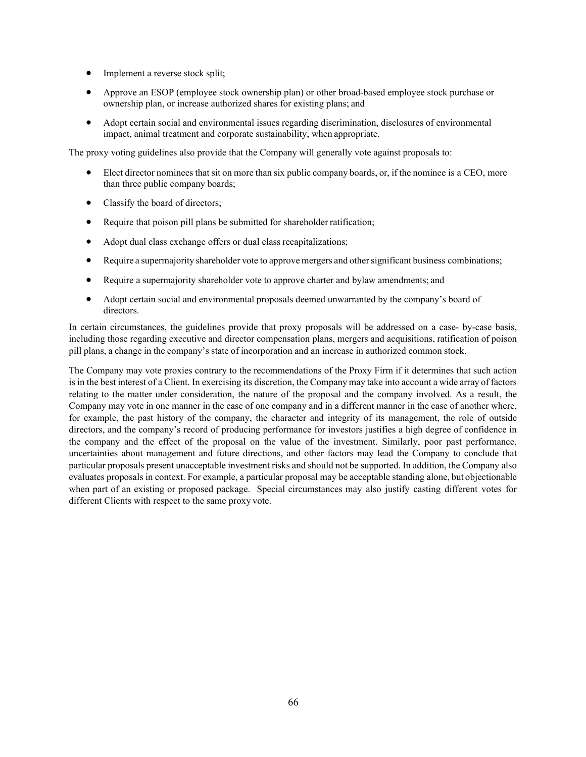- Implement a reverse stock split;
- Approve an ESOP (employee stock ownership plan) or other broad-based employee stock purchase or ownership plan, or increase authorized shares for existing plans; and
- Adopt certain social and environmental issues regarding discrimination, disclosures of environmental impact, animal treatment and corporate sustainability, when appropriate.

The proxy voting guidelines also provide that the Company will generally vote against proposals to:

- Elect director nominees that sit on more than six public company boards, or, if the nominee is a CEO, more than three public company boards;
- Classify the board of directors;
- Require that poison pill plans be submitted for shareholder ratification;
- Adopt dual class exchange offers or dual class recapitalizations;
- Require a supermajority shareholder vote to approve mergers and other significant business combinations;
- Require a supermajority shareholder vote to approve charter and bylaw amendments; and
- Adopt certain social and environmental proposals deemed unwarranted by the company's board of directors.

In certain circumstances, the guidelines provide that proxy proposals will be addressed on a case- by-case basis, including those regarding executive and director compensation plans, mergers and acquisitions, ratification of poison pill plans, a change in the company's state of incorporation and an increase in authorized common stock.

The Company may vote proxies contrary to the recommendations of the Proxy Firm if it determines that such action is in the best interest of a Client. In exercising its discretion, the Company may take into account a wide array of factors relating to the matter under consideration, the nature of the proposal and the company involved. As a result, the Company may vote in one manner in the case of one company and in a different manner in the case of another where, for example, the past history of the company, the character and integrity of its management, the role of outside directors, and the company's record of producing performance for investors justifies a high degree of confidence in the company and the effect of the proposal on the value of the investment. Similarly, poor past performance, uncertainties about management and future directions, and other factors may lead the Company to conclude that particular proposals present unacceptable investment risks and should not be supported. In addition, the Company also evaluates proposals in context. For example, a particular proposal may be acceptable standing alone, but objectionable when part of an existing or proposed package. Special circumstances may also justify casting different votes for different Clients with respect to the same proxy vote.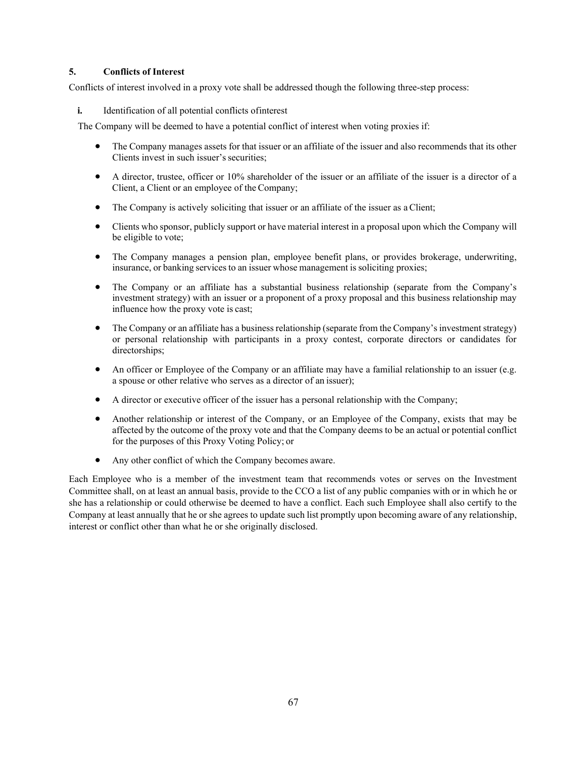# **5. Conflicts of Interest**

Conflicts of interest involved in a proxy vote shall be addressed though the following three-step process:

**i.** Identification of all potential conflicts ofinterest

The Company will be deemed to have a potential conflict of interest when voting proxies if:

- The Company manages assets for that issuer or an affiliate of the issuer and also recommends that its other Clients invest in such issuer's securities;
- A director, trustee, officer or 10% shareholder of the issuer or an affiliate of the issuer is a director of a Client, a Client or an employee of theCompany;
- The Company is actively soliciting that issuer or an affiliate of the issuer as a Client;
- Clients who sponsor, publicly support or have material interest in a proposal upon which the Company will be eligible to vote;
- The Company manages a pension plan, employee benefit plans, or provides brokerage, underwriting, insurance, or banking services to an issuer whose management is soliciting proxies;
- The Company or an affiliate has a substantial business relationship (separate from the Company's investment strategy) with an issuer or a proponent of a proxy proposal and this business relationship may influence how the proxy vote is cast;
- The Company or an affiliate has a business relationship (separate from the Company's investment strategy) or personal relationship with participants in a proxy contest, corporate directors or candidates for directorships;
- An officer or Employee of the Company or an affiliate may have a familial relationship to an issuer (e.g. a spouse or other relative who serves as a director of an issuer);
- A director or executive officer of the issuer has a personal relationship with the Company;
- Another relationship or interest of the Company, or an Employee of the Company, exists that may be affected by the outcome of the proxy vote and that the Company deems to be an actual or potential conflict for the purposes of this Proxy Voting Policy; or
- Any other conflict of which the Company becomes aware.

Each Employee who is a member of the investment team that recommends votes or serves on the Investment Committee shall, on at least an annual basis, provide to the CCO a list of any public companies with or in which he or she has a relationship or could otherwise be deemed to have a conflict. Each such Employee shall also certify to the Company at least annually that he or she agrees to update such list promptly upon becoming aware of any relationship, interest or conflict other than what he or she originally disclosed.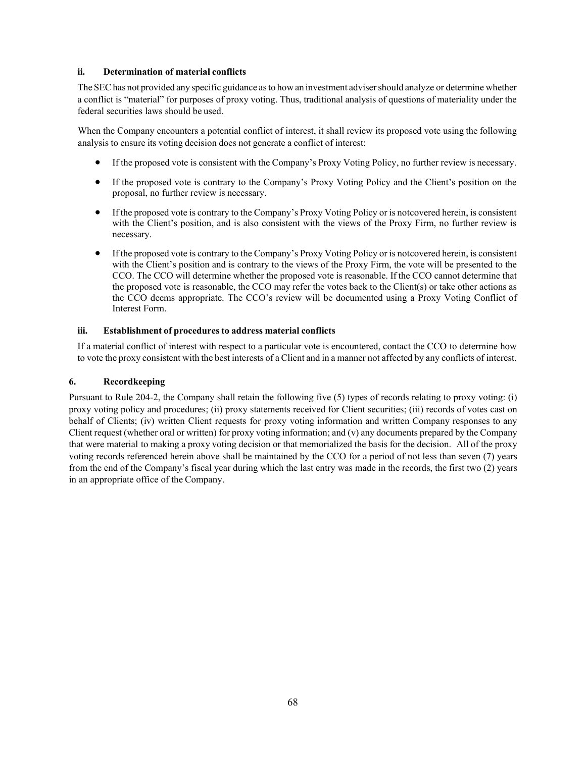# **ii. Determination of material conflicts**

The SEChas not provided any specific guidance asto how an investment advisershould analyze or determine whether a conflict is "material" for purposes of proxy voting. Thus, traditional analysis of questions of materiality under the federal securities laws should be used.

When the Company encounters a potential conflict of interest, it shall review its proposed vote using the following analysis to ensure its voting decision does not generate a conflict of interest:

- If the proposed vote is consistent with the Company's Proxy Voting Policy, no further review is necessary.
- If the proposed vote is contrary to the Company's Proxy Voting Policy and the Client's position on the proposal, no further review is necessary.
- If the proposed vote is contrary to the Company's Proxy Voting Policy or is notcovered herein, is consistent with the Client's position, and is also consistent with the views of the Proxy Firm, no further review is necessary.
- If the proposed vote is contrary to the Company's Proxy Voting Policy or is notcovered herein, is consistent with the Client's position and is contrary to the views of the Proxy Firm, the vote will be presented to the CCO. The CCO will determine whether the proposed vote is reasonable. If the CCO cannot determine that the proposed vote is reasonable, the CCO may refer the votes back to the Client(s) or take other actions as the CCO deems appropriate. The CCO's review will be documented using a Proxy Voting Conflict of Interest Form.

# **iii. Establishment of procedures to address material conflicts**

If a material conflict of interest with respect to a particular vote is encountered, contact the CCO to determine how to vote the proxy consistent with the best interests of a Client and in a manner not affected by any conflicts of interest.

# **6. Recordkeeping**

Pursuant to Rule 204-2, the Company shall retain the following five (5) types of records relating to proxy voting: (i) proxy voting policy and procedures; (ii) proxy statements received for Client securities; (iii) records of votes cast on behalf of Clients; (iv) written Client requests for proxy voting information and written Company responses to any Client request (whether oral or written) for proxy voting information; and (v) any documents prepared by the Company that were material to making a proxy voting decision or that memorialized the basis for the decision. All of the proxy voting records referenced herein above shall be maintained by the CCO for a period of not less than seven (7) years from the end of the Company's fiscal year during which the last entry was made in the records, the first two (2) years in an appropriate office of the Company.